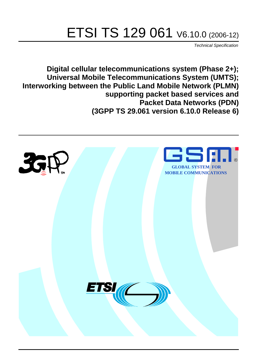# ETSI TS 129 061 V6.10.0 (2006-12)

Technical Specification

**Digital cellular telecommunications system (Phase 2+); Universal Mobile Telecommunications System (UMTS); Interworking between the Public Land Mobile Network (PLMN) supporting packet based services and Packet Data Networks (PDN) (3GPP TS 29.061 version 6.10.0 Release 6)**

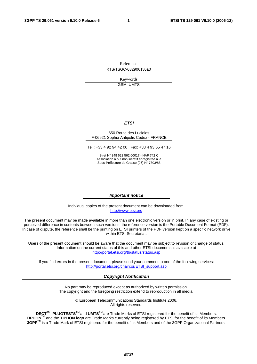Reference RTS/TSGC-0329061v6a0

> Keywords GSM, UMTS

#### **ETSI**

#### 650 Route des Lucioles F-06921 Sophia Antipolis Cedex - FRANCE

Tel.: +33 4 92 94 42 00 Fax: +33 4 93 65 47 16

Siret N° 348 623 562 00017 - NAF 742 C Association à but non lucratif enregistrée à la Sous-Préfecture de Grasse (06) N° 7803/88

#### **Important notice**

Individual copies of the present document can be downloaded from: [http://www.etsi.org](http://www.etsi.org/)

The present document may be made available in more than one electronic version or in print. In any case of existing or perceived difference in contents between such versions, the reference version is the Portable Document Format (PDF). In case of dispute, the reference shall be the printing on ETSI printers of the PDF version kept on a specific network drive within ETSI Secretariat.

Users of the present document should be aware that the document may be subject to revision or change of status. Information on the current status of this and other ETSI documents is available at <http://portal.etsi.org/tb/status/status.asp>

If you find errors in the present document, please send your comment to one of the following services: [http://portal.etsi.org/chaircor/ETSI\\_support.asp](http://portal.etsi.org/chaircor/ETSI_support.asp)

#### **Copyright Notification**

No part may be reproduced except as authorized by written permission. The copyright and the foregoing restriction extend to reproduction in all media.

> © European Telecommunications Standards Institute 2006. All rights reserved.

**DECT**TM, **PLUGTESTS**TM and **UMTS**TM are Trade Marks of ETSI registered for the benefit of its Members. **TIPHON**TM and the **TIPHON logo** are Trade Marks currently being registered by ETSI for the benefit of its Members. **3GPP**TM is a Trade Mark of ETSI registered for the benefit of its Members and of the 3GPP Organizational Partners.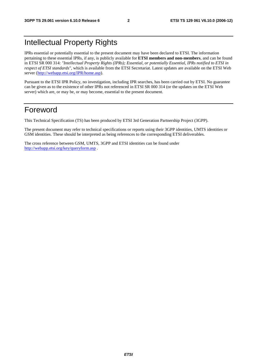# Intellectual Property Rights

IPRs essential or potentially essential to the present document may have been declared to ETSI. The information pertaining to these essential IPRs, if any, is publicly available for **ETSI members and non-members**, and can be found in ETSI SR 000 314: *"Intellectual Property Rights (IPRs); Essential, or potentially Essential, IPRs notified to ETSI in respect of ETSI standards"*, which is available from the ETSI Secretariat. Latest updates are available on the ETSI Web server ([http://webapp.etsi.org/IPR/home.asp\)](http://webapp.etsi.org/IPR/home.asp).

Pursuant to the ETSI IPR Policy, no investigation, including IPR searches, has been carried out by ETSI. No guarantee can be given as to the existence of other IPRs not referenced in ETSI SR 000 314 (or the updates on the ETSI Web server) which are, or may be, or may become, essential to the present document.

### Foreword

This Technical Specification (TS) has been produced by ETSI 3rd Generation Partnership Project (3GPP).

The present document may refer to technical specifications or reports using their 3GPP identities, UMTS identities or GSM identities. These should be interpreted as being references to the corresponding ETSI deliverables.

The cross reference between GSM, UMTS, 3GPP and ETSI identities can be found under <http://webapp.etsi.org/key/queryform.asp>.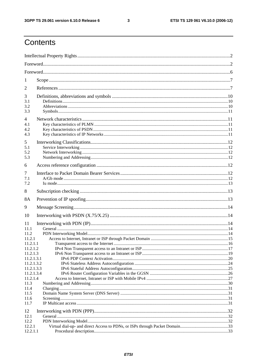$\mathbf{3}$ 

# Contents

| 1                    |  |  |  |
|----------------------|--|--|--|
| 2                    |  |  |  |
| 3                    |  |  |  |
| 3.1                  |  |  |  |
| 3.2                  |  |  |  |
| 3.3                  |  |  |  |
| 4<br>4.1             |  |  |  |
| 4.2                  |  |  |  |
| 4.3                  |  |  |  |
| 5                    |  |  |  |
| 5.1                  |  |  |  |
| 5.2                  |  |  |  |
| 5.3                  |  |  |  |
| 6                    |  |  |  |
| 7                    |  |  |  |
| 7.1                  |  |  |  |
| 7.2                  |  |  |  |
| 8                    |  |  |  |
| <b>8A</b>            |  |  |  |
| 9                    |  |  |  |
| 10                   |  |  |  |
| 11                   |  |  |  |
| 11.1                 |  |  |  |
| 11.2                 |  |  |  |
| 11.2.1               |  |  |  |
| 11.2.1.1<br>11.2.1.2 |  |  |  |
| 11.2.1.3             |  |  |  |
| 11.2.1.3.1           |  |  |  |
| 11.2.1.3.2           |  |  |  |
| 11.2.1.3.3           |  |  |  |
| 11.2.1.3.4           |  |  |  |
| 11.2.1.4<br>11.3     |  |  |  |
| 11.4                 |  |  |  |
| 11.5                 |  |  |  |
| 11.6                 |  |  |  |
| 11.7                 |  |  |  |
| 12                   |  |  |  |
| 12.1                 |  |  |  |
| 12.2                 |  |  |  |
| 12.2.1<br>12.2.1.1   |  |  |  |
|                      |  |  |  |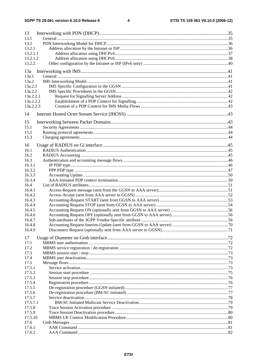| 13               |  |
|------------------|--|
| 13.1             |  |
| 13.2             |  |
| 13.2.1           |  |
| 13.2.1.1         |  |
| 13.2.1.2         |  |
| 13.2.2           |  |
| 13a              |  |
| 13a.1            |  |
| 13a.2            |  |
| 13a.2.1          |  |
| 13a.2.2          |  |
| 13a.2.2.1        |  |
| 13a.2.2.2        |  |
| 13a.2.2.3        |  |
| 14               |  |
|                  |  |
| 15<br>15.1       |  |
| 15.2             |  |
| 15.3             |  |
|                  |  |
| 16               |  |
| 16.1             |  |
| 16.2             |  |
| 16.3<br>16.3.1   |  |
| 16.3.2           |  |
| 16.3.3           |  |
| 16.3.4           |  |
| 16.4             |  |
| 16.4.1           |  |
| 16.4.2           |  |
| 16.4.3           |  |
| 16.4.4           |  |
| 16.4.5           |  |
| 16.4.6           |  |
| 16.4.7           |  |
| 16.4.8           |  |
| 16.4.9           |  |
| 17               |  |
| 17.1             |  |
| 17.2             |  |
| 17.3             |  |
| 17.4             |  |
| 17.5             |  |
| 17.5.1           |  |
| 17.5.2<br>17.5.3 |  |
| 17.5.4           |  |
| 17.5.5           |  |
| 17.5.6           |  |
| 17.5.7           |  |
| 17.5.7.1         |  |
| 17.5.8           |  |
| 17.5.9           |  |
| 17.5.10          |  |
| 17.6             |  |
| 17.6.1           |  |
| 17.6.2           |  |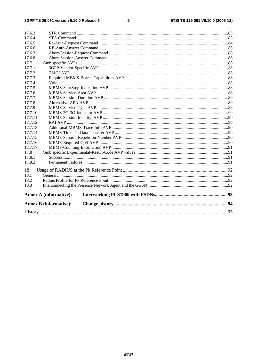#### $\overline{\mathbf{5}}$

| <b>Annex B (informative):</b> |  |
|-------------------------------|--|
| <b>Annex A (informative):</b> |  |
| 18.3                          |  |
| 18.2                          |  |
| 18.1                          |  |
| 18                            |  |
|                               |  |
| 17.8.2                        |  |
| 17.8.1                        |  |
| 17.8                          |  |
| 17.7.17                       |  |
| 17.7.16                       |  |
| 17.7.15                       |  |
| 17.7.14                       |  |
| 17.7.13                       |  |
| 17.7.12                       |  |
| 17.7.10<br>17.7.11            |  |
| 17.7.9                        |  |
| 17.7.8                        |  |
| 17.7.7                        |  |
| 17.7.6                        |  |
| 17.7.5                        |  |
| 17.7.4                        |  |
| 17.7.3                        |  |
| 17.7.2                        |  |
| 17.7.1                        |  |
| 17.7                          |  |
| 17.6.8                        |  |
| 17.6.7                        |  |
| 17.6.6                        |  |
| 17.6.5                        |  |
| 17.6.4                        |  |
| 17.6.3                        |  |
|                               |  |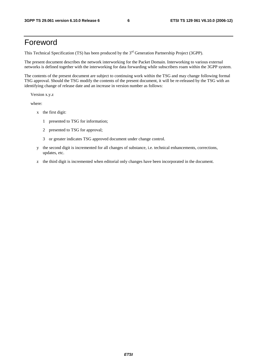## Foreword

This Technical Specification (TS) has been produced by the 3<sup>rd</sup> Generation Partnership Project (3GPP).

The present document describes the network interworking for the Packet Domain. Interworking to various external networks is defined together with the interworking for data forwarding while subscribers roam within the 3GPP system.

The contents of the present document are subject to continuing work within the TSG and may change following formal TSG approval. Should the TSG modify the contents of the present document, it will be re-released by the TSG with an identifying change of release date and an increase in version number as follows:

Version x.y.z

where:

- x the first digit:
	- 1 presented to TSG for information;
	- 2 presented to TSG for approval;
	- 3 or greater indicates TSG approved document under change control.
- y the second digit is incremented for all changes of substance, i.e. technical enhancements, corrections, updates, etc.
- z the third digit is incremented when editorial only changes have been incorporated in the document.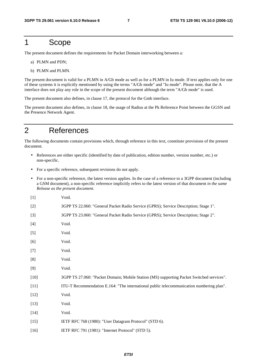### 1 Scope

The present document defines the requirements for Packet Domain interworking between a:

- a) PLMN and PDN;
- b) PLMN and PLMN.

The present document is valid for a PLMN in A/Gb mode as well as for a PLMN in Iu mode. If text applies only for one of these systems it is explicitly mentioned by using the terms "A/Gb mode" and "Iu mode". Please note, that the A interface does not play any role in the scope of the present document although the term "A/Gb mode" is used.

The present document also defines, in clause 17, the protocol for the Gmb interface.

The present document also defines, in clause 18, the usage of Radius at the Pk Reference Point between the GGSN and the Presence Network Agent.

# 2 References

The following documents contain provisions which, through reference in this text, constitute provisions of the present document.

- References are either specific (identified by date of publication, edition number, version number, etc.) or non-specific.
- For a specific reference, subsequent revisions do not apply.
- For a non-specific reference, the latest version applies. In the case of a reference to a 3GPP document (including a GSM document), a non-specific reference implicitly refers to the latest version of that document *in the same Release as the present document*.
- [1] Void.
- [2] 3GPP TS 22.060: "General Packet Radio Service (GPRS); Service Description; Stage 1".
- [3] 3GPP TS 23.060: "General Packet Radio Service (GPRS); Service Description; Stage 2".
- [4] Void.
- [5] Void.
- [6] Void.
- [7] Void.
- [8] Void.
- [9] Void.
- [10] 3GPP TS 27.060: "Packet Domain; Mobile Station (MS) supporting Packet Switched services".
- [11] ITU-T Recommendation E.164: "The international public telecommunication numbering plan".
- [12] **Void.**
- [13] **Void.**
- [14] **Void.**
- [15] IETF RFC 768 (1980): "User Datagram Protocol" (STD 6).
- [16] IETF RFC 791 (1981): "Internet Protocol" (STD 5).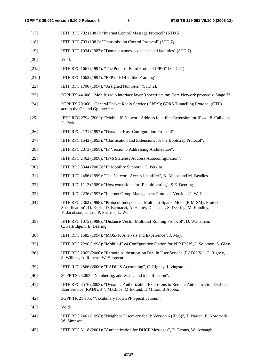| $[17]$ | IETF RFC 792 (1981): "Internet Control Message Protocol" (STD 5).                                                                                                                                                       |
|--------|-------------------------------------------------------------------------------------------------------------------------------------------------------------------------------------------------------------------------|
| $[18]$ | IETF RFC 793 (1981): "Transmission Control Protocol" (STD 7).                                                                                                                                                           |
| $[19]$ | IETF RFC 1034 (1987): "Domain names - concepts and facilities" (STD 7).                                                                                                                                                 |
| $[20]$ | Void.                                                                                                                                                                                                                   |
| [21a]  | IETF RFC 1661 (1994): "The Point-to-Point Protocol (PPP)" (STD 51).                                                                                                                                                     |
| [21b]  | IETF RFC 1662 (1994): "PPP in HDLC-like Framing".                                                                                                                                                                       |
| $[22]$ | IETF RFC 1700 (1994): "Assigned Numbers" (STD 2).                                                                                                                                                                       |
| $[23]$ | 3GPP TS 44.008: "Mobile radio interface layer 3 specification; Core Network protocols; Stage 3".                                                                                                                        |
| $[24]$ | 3GPP TS 29.060: "General Packet Radio Service (GPRS); GPRS Tunnelling Protocol (GTP)<br>across the Gn and Gp interface".                                                                                                |
| $[25]$ | IETF RFC 2794 (2000): "Mobile IP Network Address Identifier Extension for IPv4", P. Calhoun,<br>C. Perkins.                                                                                                             |
| $[26]$ | IETF RFC 2131 (1997): "Dynamic Host Configuration Protocol".                                                                                                                                                            |
| $[27]$ | IETF RFC 1542 (1993): "Clarification and Extensions for the Bootstrap Protocol".                                                                                                                                        |
| $[28]$ | IETF RFC 2373 (1998): "IP Version 6 Addressing Architecture".                                                                                                                                                           |
| $[29]$ | IETF RFC 2462 (1998): "IPv6 Stateless Address Autoconfiguration".                                                                                                                                                       |
| $[30]$ | IETF RFC 3344 (2002): "IP Mobility Support", C. Perkins.                                                                                                                                                                |
| $[31]$ | IETF RFC 2486 (1999): "The Network Access Identifier", B. Aboba and M. Beadles.                                                                                                                                         |
| $[32]$ | IETF RFC 1112 (1989): "Host extensions for IP multicasting", S.E. Deering.                                                                                                                                              |
| $[33]$ | IETF RFC 2236 (1997): "Internet Group Management Protocol, Version 2", W. Fenner.                                                                                                                                       |
| $[34]$ | IETF RFC 2362 (1998): "Protocol Independent Multicast-Sparse Mode (PIM-SM): Protocol<br>Specification", D. Estrin, D. Farinacci, A. Helmy, D. Thaler, S. Deering, M. Handley,<br>V. Jacobson, C. Liu, P. Sharma, L. Wei |
| $[35]$ | IETF RFC 1075 (1988): "Distance Vector Multicast Routing Protocol", D. Waitzman,<br>C. Partridge, S.E. Deering.                                                                                                         |
| $[36]$ | IETF RFC 1585 (1994): "MOSPF: Analysis and Experience", J. Moy.                                                                                                                                                         |
| $[37]$ | IETF RFC 2290 (1998): "Mobile-IPv4 Configuration Option for PPP IPCP", J. Solomon, S. Glass.                                                                                                                            |
| $[38]$ | IETF RFC 2865 (2000): "Remote Authentication Dial In User Service (RADIUS)", C. Rigney,<br>S. Willens, A. Rubens, W. Simpson.                                                                                           |
| $[39]$ | IETF RFC 2866 (2000): "RADIUS Accounting", C. Rigney, Livingston.                                                                                                                                                       |
| $[40]$ | 3GPP TS 23.003: "Numbering, addressing and identification".                                                                                                                                                             |
| $[41]$ | IETF RFC 3576 (2003): "Dynamic Authorization Extensions to Remote Authentication Dial In<br>User Service (RADIUS)", M.Chiba, M.Eklund, D.Mitton, B.Aboba.                                                               |
| $[42]$ | 3GPP TR 21.905: "Vocabulary for 3GPP Specifications".                                                                                                                                                                   |
| $[43]$ | Void.                                                                                                                                                                                                                   |
| $[44]$ | IETF RFC 2461 (1998): "Neighbor Discovery for IP Version 6 (IPv6)", T. Narten, E. Nordmark,<br>W. Simpson                                                                                                               |

[45] IETF RFC 3118 (2001): "Authentication for DHCP Messages", R. Droms, W. Arbaugh.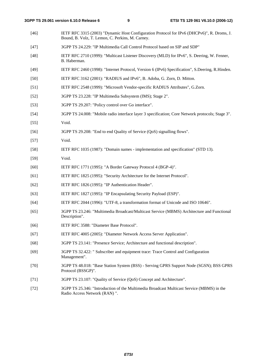- [46] IETF RFC 3315 (2003) "Dynamic Host Configuration Protocol for IPv6 (DHCPv6)", R. Droms, J. Bound, B. Volz, T. Lemon, C. Perkins, M. Carney. [47] 3GPP TS 24.229: "IP Multimedia Call Control Protocol based on SIP and SDP" [48] IETF RFC 2710 (1999): "Multicast Listener Discovery (MLD) for IPv6", S. Deering, W. Fenner, B. Haberman. [49] IETF RFC 2460 (1998): "Internet Protocol, Version 6 (IPv6) Specification", S.Deering, R.Hinden. [50] IETF RFC 3162 (2001): "RADIUS and IPv6", B. Adoba, G. Zorn, D. Mitton. [51] IETF RFC 2548 (1999): "Microsoft Vendor-specific RADIUS Attributes", G.Zorn. [52] 3GPP TS 23.228: "IP Multimedia Subsystem (IMS); Stage 2". [53] 3GPP TS 29.207: "Policy control over Go interface". [54] 3GPP TS 24.008: "Mobile radio interface layer 3 specification; Core Network protocols; Stage 3". [55] Void. [56] 3GPP TS 29.208: "End to end Quality of Service (QoS) signalling flows". [57] Void. [58] IETF RFC 1035 (1987): "Domain names - implementation and specification" (STD 13). [59] Void. [60] IETF RFC 1771 (1995): "A Border Gateway Protocol 4 (BGP-4)". [61] IETF RFC 1825 (1995): "Security Architecture for the Internet Protocol". [62] IETF RFC 1826 (1995): "IP Authentication Header". [63] IETF RFC 1827 (1995): "IP Encapsulating Security Payload (ESP)". [64] IETF RFC 2044 (1996): "UTF-8, a transformation format of Unicode and ISO 10646". [65] 3GPP TS 23.246: "Multimedia Broadcast/Multicast Service (MBMS) Architecture and Functional Description". [66] IETF RFC 3588: "Diameter Base Protocol". [67] IETF RFC 4005 (2005): "Diameter Network Access Server Application". [68] 3GPP TS 23.141: "Presence Service; Architecture and functional description". [69] 3GPP TS 32.422: " Subscriber and equipment trace: Trace Control and Configuration Management". [70] 3GPP TS 48.018: "Base Station System (BSS) - Serving GPRS Support Node (SGSN); BSS GPRS Protocol (BSSGP)". [71] 3GPP TS 23.107: "Quality of Service (QoS) Concept and Architecture".
- [72] 3GPP TS 25.346: "Introduction of the Multimedia Broadcast Multicast Service (MBMS) in the Radio Access Network (RAN) ".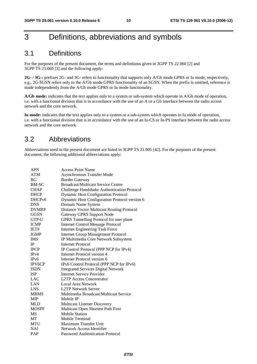# 3 Definitions, abbreviations and symbols

# 3.1 Definitions

For the purposes of the present document, the terms and definitions given in 3GPP TS 22.060 [2] and 3GPP TS 23.060 [3] and the following apply:

**2G- / 3G-:** prefixes 2G- and 3G- refers to functionality that supports only A/Gb mode GPRS or Iu mode, respectively, e.g., 2G-SGSN refers only to the A/Gb mode GPRS functionality of an SGSN. When the prefix is omitted, reference is made independently from the A/Gb mode GPRS or Iu mode functionality.

**A/Gb mode:** indicates that the text applies only to a system or sub-system which operate in A/Gb mode of operation, i.e. with a functional division that is in accordance with the use of an A or a Gb interface between the radio access network and the core network.

**Iu mode:** indicates that the text applies only to a system or a sub-system which operates in Iu mode of operation, i.e. with a functional division that is in accordance with the use of an Iu-CS or Iu-PS interface between the radio access network and the core network.

# 3.2 Abbreviations

Abbreviations used in the present document are listed in 3GPP TS 21.905 [42]. For the purposes of the present document, the following additional abbreviations apply:

| <b>APN</b>         | <b>Access Point Name</b>                          |
|--------------------|---------------------------------------------------|
| <b>ATM</b>         | <b>Asynchronous Transfer Mode</b>                 |
| BG                 | <b>Border Gateway</b>                             |
| <b>BM-SC</b>       | <b>Broadcast/Multicast Service Centre</b>         |
| <b>CHAP</b>        | Challenge Handshake Authentication Protocol       |
| <b>DHCP</b>        | <b>Dynamic Host Configuration Protocol</b>        |
| DHCP <sub>v6</sub> | Dynamic Host Configuration Protocol version 6     |
| <b>DNS</b>         | Domain Name System                                |
| <b>DVMRP</b>       | <b>Distance Vector Multicast Routing Protocol</b> |
| <b>GGSN</b>        | <b>Gateway GPRS Support Node</b>                  |
| GTP-U              | GPRS Tunnelling Protocol for user plane           |
| <b>ICMP</b>        | <b>Internet Control Message Protocol</b>          |
| <b>IETF</b>        | <b>Internet Engineering Task Force</b>            |
| <b>IGMP</b>        | <b>Internet Group Management Protocol</b>         |
| <b>IMS</b>         | IP Multimedia Core Network Subsystem              |
| IP                 | <b>Internet Protocol</b>                          |
| <b>IPCP</b>        | IP Control Protocol (PPP NCP for IPv4)            |
| IPv4               | Internet Protocol version 4                       |
| IP <sub>v</sub> 6  | Internet Protocol version 6                       |
| <b>IPV6CP</b>      | IPv6 Control Protocol (PPP NCP for IPv6)          |
| <b>ISDN</b>        | <b>Integrated Services Digital Network</b>        |
| <b>ISP</b>         | Internet Service Provider                         |
| LAC                | <b>L2TP Access Concentrator</b>                   |
| LAN                | <b>Local Area Network</b>                         |
| <b>LNS</b>         | <b>L2TP Network Server</b>                        |
| <b>MBMS</b>        | Multimedia Broadcast/Multicast Service            |
| <b>MIP</b>         | Mobile IP                                         |
| <b>MLD</b>         | Multicast Listener Discovery                      |
| <b>MOSPF</b>       | Multicast Open Shortest Path First                |
| <b>MS</b>          | <b>Mobile Station</b>                             |
| MT                 | Mobile Terminal                                   |
| <b>MTU</b>         | Maximum Transfer Unit                             |
| <b>NAI</b>         | Network Access Identifier                         |
| <b>PAP</b>         | <b>Password Authentication Protocol</b>           |
|                    |                                                   |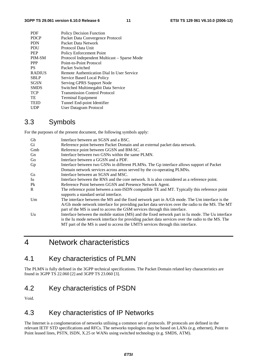| <b>PDF</b>    | <b>Policy Decision Function</b>              |
|---------------|----------------------------------------------|
| <b>PDCP</b>   | Packet Data Convergence Protocol             |
| <b>PDN</b>    | Packet Data Network                          |
| <b>PDU</b>    | Protocol Data Unit                           |
| <b>PEP</b>    | Policy Enforcement Point                     |
| PIM-SM        | Protocol Independent Multicast – Sparse Mode |
| <b>PPP</b>    | Point-to-Point Protocol                      |
| <b>PS</b>     | Packet Switched                              |
| <b>RADIUS</b> | Remote Authentication Dial In User Service   |
| <b>SBLP</b>   | Service Based Local Policy                   |
| <b>SGSN</b>   | Serving GPRS Support Node                    |
| <b>SMDS</b>   | Switched Multimegabit Data Service           |
| <b>TCP</b>    | <b>Transmission Control Protocol</b>         |
| <b>TE</b>     | <b>Terminal Equipment</b>                    |
| <b>TEID</b>   | Tunnel End-point Identifier                  |
| <b>UDP</b>    | User Datagram Protocol                       |
|               |                                              |

### 3.3 Symbols

For the purposes of the present document, the following symbols apply:

| <b>G<sub>b</sub></b> | Interface between an SGSN and a BSC.                                                                                                                                                                                                                                                    |
|----------------------|-----------------------------------------------------------------------------------------------------------------------------------------------------------------------------------------------------------------------------------------------------------------------------------------|
| Gi                   | Reference point between Packet Domain and an external packet data network.                                                                                                                                                                                                              |
| Gmb                  | Reference point between GGSN and BM-SC.                                                                                                                                                                                                                                                 |
| Gn                   | Interface between two GSNs within the same PLMN.                                                                                                                                                                                                                                        |
| Go                   | Interface between a GGSN and a PDF.                                                                                                                                                                                                                                                     |
| Gp                   | Interface between two GSNs in different PLMNs. The Gp interface allows support of Packet                                                                                                                                                                                                |
|                      | Domain network services across areas served by the co-operating PLMNs.                                                                                                                                                                                                                  |
| <b>Gs</b>            | Interface between an SGSN and MSC.                                                                                                                                                                                                                                                      |
| Iu                   | Interface between the RNS and the core network. It is also considered as a reference point.                                                                                                                                                                                             |
| Pk                   | Reference Point between GGSN and Presence Network Agent.                                                                                                                                                                                                                                |
| R                    | The reference point between a non-ISDN compatible TE and MT. Typically this reference point<br>supports a standard serial interface.                                                                                                                                                    |
| Um                   | The interface between the MS and the fixed network part in A/Gb mode. The Um interface is the<br>A/Gb mode network interface for providing packet data services over the radio to the MS. The MT<br>part of the MS is used to access the GSM services through this interface.           |
| Uu                   | Interface between the mobile station (MS) and the fixed network part in Iu mode. The Uu interface<br>is the Iu mode network interface for providing packet data services over the radio to the MS. The<br>MT part of the MS is used to access the UMTS services through this interface. |

# 4 Network characteristics

### 4.1 Key characteristics of PLMN

The PLMN is fully defined in the 3GPP technical specifications. The Packet Domain related key characteristics are found in 3GPP TS 22.060 [2] and 3GPP TS 23.060 [3].

# 4.2 Key characteristics of PSDN

Void.

# 4.3 Key characteristics of IP Networks

The Internet is a conglomeration of networks utilising a common set of protocols. IP protocols are defined in the relevant IETF STD specifications and RFCs. The networks topologies may be based on LANs (e.g. ethernet), Point to Point leased lines, PSTN, ISDN, X.25 or WANs using switched technology (e.g. SMDS, ATM).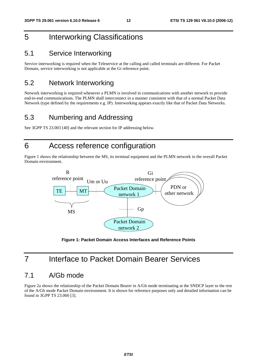# 5 Interworking Classifications

### 5.1 Service Interworking

Service interworking is required when the Teleservice at the calling and called terminals are different. For Packet Domain, service interworking is not applicable at the Gi reference point.

### 5.2 Network Interworking

Network interworking is required whenever a PLMN is involved in communications with another network to provide end-to-end communications. The PLMN shall interconnect in a manner consistent with that of a normal Packet Data Network (type defined by the requirements e.g. IP). Interworking appears exactly like that of Packet Data Networks.

### 5.3 Numbering and Addressing

See 3GPP TS 23.003 [40] and the relevant section for IP addressing below.

# 6 Access reference configuration

Figure 1 shows the relationship between the MS, its terminal equipment and the PLMN network in the overall Packet Domain environment.



**Figure 1: Packet Domain Access Interfaces and Reference Points** 

# 7 Interface to Packet Domain Bearer Services

### 7.1 A/Gb mode

Figure 2a shows the relationship of the Packet Domain Bearer in A/Gb mode terminating at the SNDCP layer to the rest of the A/Gb mode Packet Domain environment. It is shown for reference purposes only and detailed information can be found in 3GPP TS 23.060 [3].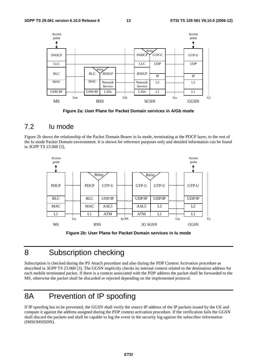

**Figure 2a: User Plane for Packet Domain services in A/Gb mode** 

### 7.2 Iu mode

Figure 2b shows the relationship of the Packet Domain Bearer in Iu mode, terminating at the PDCP layer, to the rest of the Iu mode Packet Domain environment. It is shown for reference purposes only and detailed information can be found in 3GPP TS 23.060 [3].



**Figure 2b: User Plane for Packet Domain services in Iu mode** 

# 8 Subscription checking

Subscription is checked during the PS Attach procedure and also during the PDP Context Activation procedure as described in 3GPP TS 23.060 [3]. The GGSN implicitly checks its internal context related to the destination address for each mobile terminated packet. If there is a context associated with the PDP address the packet shall be forwarded to the MS, otherwise the packet shall be discarded or rejected depending on the implemented protocol.

# 8A Prevention of IP spoofing

If IP spoofing has to be prevented, the GGSN shall verify the source IP address of the IP packets issued by the UE and compare it against the address assigned during the PDP context activation procedure. If the verification fails the GGSN shall discard the packets and shall be capable to log the event in the security log against the subscriber information (IMSI/MSISDN).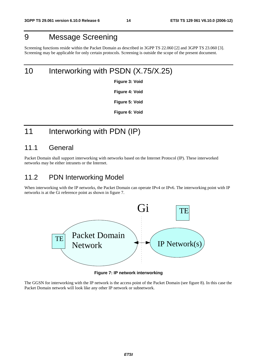# 9 Message Screening

Screening functions reside within the Packet Domain as described in 3GPP TS 22.060 [2] and 3GPP TS 23.060 [3]. Screening may be applicable for only certain protocols. Screening is outside the scope of the present document.

# 10 Interworking with PSDN (X.75/X.25)

**Figure 3: Void** 

**Figure 4: Void** 

**Figure 5: Void** 

**Figure 6: Void** 

# 11 Interworking with PDN (IP)

### 11.1 General

Packet Domain shall support interworking with networks based on the Internet Protocol (IP). These interworked networks may be either intranets or the Internet.

### 11.2 PDN Interworking Model

When interworking with the IP networks, the Packet Domain can operate IPv4 or IPv6. The interworking point with IP networks is at the Gi reference point as shown in figure 7.



**Figure 7: IP network interworking** 

The GGSN for interworking with the IP network is the access point of the Packet Domain (see figure 8). In this case the Packet Domain network will look like any other IP network or subnetwork.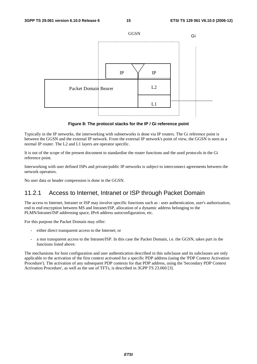

#### **Figure 8: The protocol stacks for the IP / Gi reference point**

Typically in the IP networks, the interworking with subnetworks is done via IP routers. The Gi reference point is between the GGSN and the external IP network. From the external IP network's point of view, the GGSN is seen as a normal IP router. The L2 and L1 layers are operator specific.

It is out of the scope of the present document to standardise the router functions and the used protocols in the Gi reference point.

Interworking with user defined ISPs and private/public IP networks is subject to interconnect agreements between the network operators.

No user data or header compression is done in the GGSN.

### 11.2.1 Access to Internet, Intranet or ISP through Packet Domain

The access to Internet, Intranet or ISP may involve specific functions such as : user authentication, user's authorization, end to end encryption between MS and Intranet/ISP, allocation of a dynamic address belonging to the PLMN/Intranet/ISP addressing space, IPv6 address autoconfiguration, etc.

For this purpose the Packet Domain may offer:

- either direct transparent access to the Internet: or
- a non transparent access to the Intranet/ISP. In this case the Packet Domain, i.e. the GGSN, takes part in the functions listed above.

The mechanisms for host configuration and user authentication described in this subclause and its subclauses are only applicable to the activation of the first context activated for a specific PDP address (using the 'PDP Context Activation Procedure'). The activation of any subsequent PDP contexts for that PDP address, using the 'Secondary PDP Context Activation Procedure', as well as the use of TFTs, is described in 3GPP TS 23.060 [3].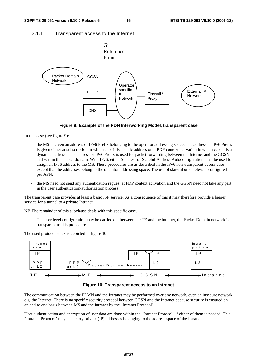### 11.2.1.1 Transparent access to the Internet





In this case (see figure 9):

- the MS is given an address or IPv6 Prefix belonging to the operator addressing space. The address or IPv6 Prefix is given either at subscription in which case it is a static address or at PDP context activation in which case it is a dynamic address. This address or IPv6 Prefix is used for packet forwarding between the Internet and the GGSN and within the packet domain. With IPv6, either Stateless or Stateful Address Autoconfiguration shall be used to assign an IPv6 address to the MS. These procedures are as described in the IPv6 non-transparent access case except that the addresses belong to the operator addressing space. The use of stateful or stateless is configured per APN.
- the MS need not send any authentication request at PDP context activation and the GGSN need not take any part in the user authentication/authorization process.

The transparent case provides at least a basic ISP service. As a consequence of this it may therefore provide a bearer service for a tunnel to a private Intranet.

NB The remainder of this subclause deals with this specific case.

The user level configuration may be carried out between the TE and the intranet, the Packet Domain network is transparent to this procedure.



The used protocol stack is depicted in figure 10.



The communication between the PLMN and the Intranet may be performed over any network, even an insecure network e.g. the Internet. There is no specific security protocol between GGSN and the Intranet because security is ensured on an end to end basis between MS and the intranet by the "Intranet Protocol".

User authentication and encryption of user data are done within the "Intranet Protocol" if either of them is needed. This "Intranet Protocol" may also carry private (IP) addresses belonging to the address space of the Intranet.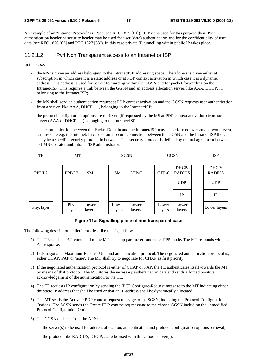An example of an "Intranet Protocol" is IPsec (see RFC 1825 [61]). If IPsec is used for this purpose then IPsec authentication header or security header may be used for user (data) authentication and for the confidentiality of user data (see RFC 1826 [62] and RFC 1827 [63]). In this case private IP tunnelling within public IP takes place.

#### 11.2.1.2 IPv4 Non Transparent access to an Intranet or ISP

In this case:

- the MS is given an address belonging to the Intranet/ISP addressing space. The address is given either at subscription in which case it is a static address or at PDP context activation in which case it is a dynamic address. This address is used for packet forwarding within the GGSN and for packet forwarding on the Intranet/ISP. This requires a link between the GGSN and an address allocation server, like AAA, DHCP, …, belonging to the Intranet/ISP;
- the MS shall send an authentication request at PDP context activation and the GGSN requests user authentication from a server, like AAA, DHCP, …, belonging to the Intranet/ISP;
- the protocol configuration options are retrieved (if requested by the MS at PDP context activation) from some server (AAA or DHCP, ...) belonging to the Intranet/ISP;
- the communication between the Packet Domain and the Intranet/ISP may be performed over any network, even an insecure e.g. the Internet. In case of an insecure connection between the GGSN and the Intranet/ISP there may be a specific security protocol in between. This security protocol is defined by mutual agreement between PLMN operator and Intranet/ISP administrator.



**Figure 11a: Signalling plane of non transparent case** 

The following description bullet items describe the signal flow.

- 1) The TE sends an AT-command to the MT to set up parameters and enter PPP mode. The MT responds with an AT-response.
- 2) LCP negotiates Maximum-Receive-Unit and authentication protocol. The negotiated authentication protocol is, either CHAP, PAP or 'none'. The MT shall try to negotiate for CHAP as first priority.
- 3) If the negotiated authentication protocol is either of CHAP or PAP, the TE authenticates itself towards the MT by means of that protocol. The MT stores the necessary authentication data and sends a forced positive acknowledgement of the authentication to the TE.
- 4) The TE requests IP configuration by sending the IPCP Configure-Request message to the MT indicating either the static IP address that shall be used or that an IP-address shall be dynamically allocated.
- 5) The MT sends the Activate PDP context request message to the SGSN, including the Protocol Configuration Options. The SGSN sends the Create PDP context req message to the chosen GGSN including the unmodified Protocol Configuration Options.
- 6) The GGSN deduces from the APN:
	- the server(s) to be used for address allocation, authentication and protocol configuration options retrieval;
	- the protocol like RADIUS, DHCP,  $\dots$  to be used with this / those server(s);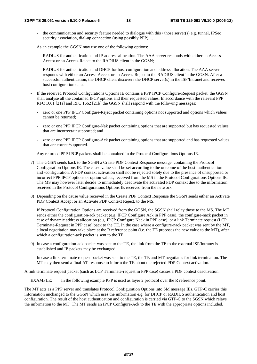- the communication and security feature needed to dialogue with this / those server(s) e.g. tunnel, IPSec security association, dial-up connection (using possibly PPP), ...

As an example the GGSN may use one of the following options:

- RADIUS for authentication and IP-address allocation. The AAA server responds with either an Access-Accept or an Access-Reject to the RADIUS client in the GGSN;
- RADIUS for authentication and DHCP for host configuration and address allocation. The AAA server responds with either an Access-Accept or an Access-Reject to the RADIUS client in the GGSN. After a successful authentication, the DHCP client discovers the DHCP server(s) in the ISP/Intranet and receives host configuration data.
- If the received Protocol Configurations Options IE contains a PPP IPCP Configure-Request packet, the GGSN shall analyse all the contained IPCP options and their requested values. In accordance with the relevant PPP RFC 1661 [21a] and RFC 1662 [21b] the GGSN shall respond with the following messages:
	- zero or one PPP IPCP Configure-Reject packet containing options not supported and options which values cannot be returned;
	- zero or one PPP IPCP Configure-Nak packet containing options that are supported but has requested values that are incorrect/unsupported; and
	- zero or one PPP IPCP Configure-Ack packet containing options that are supported and has requested values that are correct/supported.

Any returned PPP IPCP packets shall be contained in the Protocol Configurations Options IE.

- 7) The GGSN sends back to the SGSN a Create PDP Context Response message, containing the Protocol Configuration Options IE. The cause value shall be set according to the outcome of the host -authentication and -configuration. A PDP context activation shall not be rejected solely due to the presence of unsupported or incorrect PPP IPCP options or option values, received from the MS in the Protocol Configurations Options IE. The MS may however later decide to immediately deactivate the activated PDP context due to the information received in the Protocol Configurations Options IE received from the network.
- 8) Depending on the cause value received in the Create PDP Context Response the SGSN sends either an Activate PDP Context Accept or an Activate PDP Context Reject, to the MS.

 If Protocol Configuration Options are received from the GGSN, the SGSN shall relay those to the MS. The MT sends either the configuration-ack packet (e.g. IPCP Configure Ack in PPP case), the configure-nack packet in case of dynamic address allocation (e.g. IPCP Configure Nack in PPP case), or a link Terminate request (LCP Terminate-Request in PPP case) back to the TE. In the case where a configure-nack packet was sent by the MT, a local negotiation may take place at the R reference point (i.e. the TE proposes the new value to the MT), after which a configuration-ack packet is sent to the TE.

9) In case a configuration-ack packet was sent to the TE, the link from the TE to the external ISP/Intranet is established and IP packets may be exchanged.

 In case a link terminate request packet was sent to the TE, the TE and MT negotiates for link termination. The MT may then send a final AT-response to inform the TE about the rejected PDP Context activation.

A link terminate request packet (such as LCP Terminate-request in PPP case) causes a PDP context deactivation.

EXAMPLE: In the following example PPP is used as layer 2 protocol over the R reference point.

The MT acts as a PPP server and translates Protocol Configuration Options into SM message IEs. GTP-C carries this information unchanged to the GGSN which uses the information e.g. for DHCP or RADIUS authentication and host configuration. The result of the host authentication and configuration is carried via GTP-C to the SGSN which relays the information to the MT. The MT sends an IPCP Configure-Ack to the TE with the appropriate options included.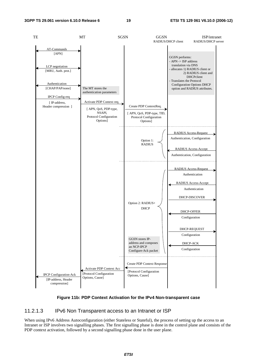

#### **Figure 11b: PDP Context Activation for the IPv4 Non-transparent case**

#### 11.2.1.3 IPv6 Non Transparent access to an Intranet or ISP

When using IPv6 Address Autoconfiguration (either Stateless or Stateful), the process of setting up the access to an Intranet or ISP involves two signalling phases. The first signalling phase is done in the control plane and consists of the PDP context activation, followed by a second signalling phase done in the user plane.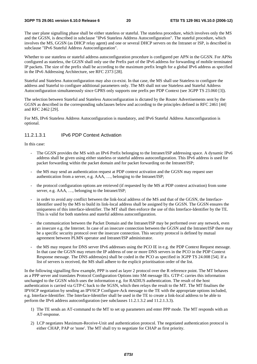The user plane signalling phase shall be either stateless or stateful. The stateless procedure, which involves only the MS and the GGSN, is described in subclause "IPv6 Stateless Address Autoconfiguration". The stateful procedure, which involves the MS, GGSN (as DHCP relay agent) and one or several DHCP servers on the Intranet or ISP, is described in subclause "IPv6 Stateful Address Autoconfiguration".

Whether to use stateless or stateful address autoconfiguration procedure is configured per APN in the GGSN. For APNs configured as stateless, the GGSN shall only use the Prefix part of the IPv6 address for forwarding of mobile terminated IP packets. The size of the prefix shall be according to the maximum prefix length for a global IPv6 address as specified in the IPv6 Addressing Architecture, see RFC 2373 [28].

Stateful and Stateless Autoconfiguration may also co-exist. In that case, the MS shall use Stateless to configure the address and Stateful to configure additional parameters only. The MS shall not use Stateless and Stateful Address Autoconfiguration simultaneously since GPRS only supports one prefix per PDP Context (see 3GPP TS 23.060 [3]).

The selection between Stateful and Stateless Autoconfiguration is dictated by the Router Advertisements sent by the GGSN as described in the corresponding subclauses below and according to the principles defined in RFC 2461 [44] and RFC 2462 [29].

For MS, IPv6 Stateless Address Autoconfiguration is mandatory, and IPv6 Stateful Address Autoconfiguration is optional.

#### 11.2.1.3.1 IPv6 PDP Context Activation

In this case:

- The GGSN provides the MS with an IPv6 Prefix belonging to the Intranet/ISP addressing space. A dynamic IPv6 address shall be given using either stateless or stateful address autoconfiguration. This IPv6 address is used for packet forwarding within the packet domain and for packet forwarding on the Intranet/ISP;
- the MS may send an authentication request at PDP context activation and the GGSN may request user authentication from a server, e.g. AAA, …, belonging to the Intranet/ISP;
- the protocol configuration options are retrieved (if requested by the MS at PDP context activation) from some server, e.g. AAA, ..., belonging to the Intranet/ISP;
- in order to avoid any conflict between the link-local address of the MS and that of the GGSN, the Interface-Identifier used by the MS to build its link-local address shall be assigned by the GGSN. The GGSN ensures the uniqueness of this interface-identifier. The MT shall then enforce the use of this Interface-Identifier by the TE. This is valid for both stateless and stateful address autoconfiguration.
- the communication between the Packet Domain and the Intranet/ISP may be performed over any network, even an insecure e.g. the Internet. In case of an insecure connection between the GGSN and the Intranet/ISP there may be a specific security protocol over the insecure connection. This security protocol is defined by mutual agreement between PLMN operator and Intranet/ISP administrator.
- the MS may request for DNS server IPv6 addresses using the PCO IE in e.g. the PDP Context Request message. In that case the GGSN may return the IP address of one or more DNS servers in the PCO in the PDP Context Response message. The DNS address(es) shall be coded in the PCO as specified in 3GPP TS 24.008 [54]. If a list of servers is received, the MS shall adhere to the explicit prioritisation order of the list.

In the following signalling flow example, PPP is used as layer 2 protocol over the R reference point. The MT behaves as a PPP server and translates Protocol Configuration Options into SM message IEs. GTP-C carries this information unchanged to the GGSN which uses the information e.g. for RADIUS authentication. The result of the host authentication is carried via GTP-C back to the SGSN, which then relays the result to the MT. The MT finalises the IPV6CP negotiation by sending an IPV6CP Configure-Ack message to the TE with the appropriate options included, e.g. Interface-Identifier. The Interface-Identifier shall be used in the TE to create a link-local address to be able to perform the IPv6 address autoconfiguration (see subclauses 11.2.1.3.2 and 11.2.1.3.3).

- 1) The TE sends an AT-command to the MT to set up parameters and enter PPP mode. The MT responds with an AT-response.
- 2) LCP negotiates Maximum-Receive-Unit and authentication protocol. The negotiated authentication protocol is either CHAP, PAP or 'none'. The MT shall try to negotiate for CHAP as first priority.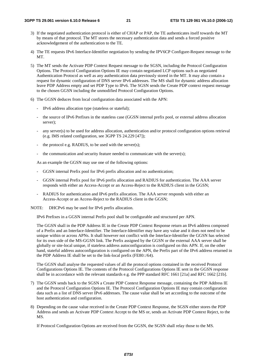- 3) If the negotiated authentication protocol is either of CHAP or PAP, the TE authenticates itself towards the MT by means of that protocol. The MT stores the necessary authentication data and sends a forced positive acknowledgement of the authentication to the TE.
- 4) The TE requests IPv6 Interface-Identifier negotiation by sending the IPV6CP Configure-Request message to the MT.
- 5) The MT sends the Activate PDP Context Request message to the SGSN, including the Protocol Configuration Options. The Protocol Configuration Options IE may contain negotiated LCP options such as negotiated Authentication Protocol as well as any authentication data previously stored in the MT. It may also contain a request for dynamic configuration of DNS server IPv6 addresses. The MS shall for dynamic address allocation leave PDP Address empty and set PDP Type to IPv6. The SGSN sends the Create PDP context request message to the chosen GGSN including the unmodified Protocol Configuration Options.
- 6) The GGSN deduces from local configuration data associated with the APN:
	- IPv6 address allocation type (stateless or stateful);
	- the source of IPv6 Prefixes in the stateless case (GGSN internal prefix pool, or external address allocation server);
	- any server(s) to be used for address allocation, authentication and/or protocol configuration options retrieval (e.g. IMS related configuration, see 3GPP TS 24.229 [47]);
	- the protocol e.g. RADIUS, to be used with the server(s);
	- the communication and security feature needed to communicate with the server(s);

As an example the GGSN may use one of the following options:

- GGSN internal Prefix pool for IPv6 prefix allocation and no authentication;
- GGSN internal Prefix pool for IPv6 prefix allocation and RADIUS for authentication. The AAA server responds with either an Access-Accept or an Access-Reject to the RADIUS client in the GGSN;
- RADIUS for authentication and IPv6 prefix allocation. The AAA server responds with either an Access-Accept or an Access-Reject to the RADIUS client in the GGSN;

NOTE: DHCPv6 may be used for IPv6 prefix allocation.

IPv6 Prefixes in a GGSN internal Prefix pool shall be configurable and structured per APN.

The GGSN shall in the PDP Address IE in the Create PDP Context Response return an IPv6 address composed of a Prefix and an Interface-Identifier. The Interface-Identifier may have any value and it does not need to be unique within or across APNs. It shall however not conflict with the Interface-Identifier the GGSN has selected for its own side of the MS-GGSN link. The Prefix assigned by the GGSN or the external AAA server shall be globally or site-local unique, if stateless address autoconfiguration is configured on this APN. If, on the other hand, stateful address autoconfiguration is configured on the APN, the Prefix part of the IPv6 address returned in the PDP Address IE shall be set to the link-local prefix (FE80::/64).

The GGSN shall analyse the requested values of all the protocol options contained in the received Protocol Configurations Options IE. The contents of the Protocol Configurations Options IE sent in the GGSN response shall be in accordance with the relevant standards e.g. the PPP standard RFC 1661 [21a] and RFC 1662 [21b].

- 7) The GGSN sends back to the SGSN a Create PDP Context Response message, containing the PDP Address IE and the Protocol Configuration Options IE. The Protocol Configuration Options IE may contain configuration data such as a list of DNS server IPv6 addresses. The cause value shall be set according to the outcome of the host authentication and configuration.
- 8) Depending on the cause value received in the Create PDP Context Response, the SGSN either stores the PDP Address and sends an Activate PDP Context Accept to the MS or, sends an Activate PDP Context Reject, to the MS.

If Protocol Configuration Options are received from the GGSN, the SGSN shall relay those to the MS.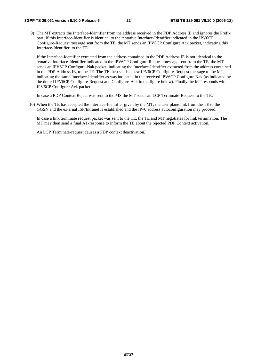#### **3GPP TS 29.061 version 6.10.0 Release 6 22 ETSI TS 129 061 V6.10.0 (2006-12)**

9) The MT extracts the Interface-Identifier from the address received in the PDP Address IE and ignores the Prefix part. If this Interface-Identifier is identical to the tentative Interface-Identifier indicated in the IPV6CP Configure-Request message sent from the TE, the MT sends an IPV6CP Configure Ack packet, indicating this Interface-Identifier, to the TE.

 If the Interface-Identifier extracted from the address contained in the PDP Address IE is not identical to the tentative Interface-Identifier indicated in the IPV6CP Configure-Request message sent from the TE, the MT sends an IPV6CP Configure-Nak packet, indicating the Interface-Identifier extracted from the address contained in the PDP Address IE, to the TE. The TE then sends a new IPV6CP Configure-Request message to the MT, indicating the same Interface-Identifier as was indicated in the received IPV6CP Configure Nak (as indicated by the dotted IPV6CP Configure-Request and Configure-Ack in the figure below). Finally the MT responds with a IPV6CP Configure Ack packet.

In case a PDP Context Reject was sent to the MS the MT sends an LCP Terminate-Request to the TE.

10) When the TE has accepted the Interface-Identifier given by the MT, the user plane link from the TE to the GGSN and the external ISP/Intranet is established and the IPv6 address autoconfiguration may proceed.

 In case a link terminate request packet was sent to the TE, the TE and MT negotiates for link termination. The MT may then send a final AT-response to inform the TE about the rejected PDP Context activation.

An LCP Terminate-request causes a PDP context deactivation.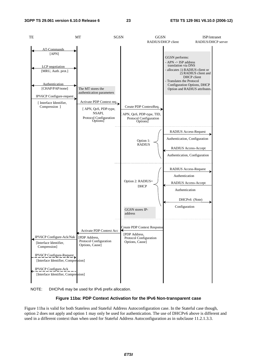

NOTE: DHCPv6 may be used for IPv6 prefix allocation.

#### **Figure 11ba: PDP Context Activation for the IPv6 Non-transparent case**

Figure 11ba is valid for both Stateless and Stateful Address Autoconfiguration case. In the Stateful case though, option 2 does not apply and option 1 may only be used for authentication. The use of DHCPv6 above is different and used in a different context than when used for Stateful Address Autoconfiguration as in subclause 11.2.1.3.3.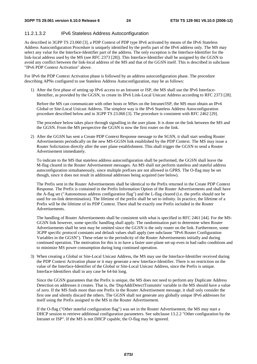#### 11.2.1.3.2 IPv6 Stateless Address Autoconfiguration

As described in 3GPP TS 23.060 [3], a PDP Context of PDP type IPv6 activated by means of the IPv6 Stateless Address Autoconfiguration Procedure is uniquely identified by the prefix part of the IPv6 address only. The MS may select any value for the Interface-Identifier part of the address. The only exception is the Interface-Identifier for the link-local address used by the MS (see RFC 2373 [28]). This Interface-Identifier shall be assigned by the GGSN to avoid any conflict between the link-local address of the MS and that of the GGSN itself. This is described in subclause "IPv6 PDP Context Activation" above.

For IPv6 the PDP Context Activation phase is followed by an address autoconfiguration phase. The procedure describing APNs configured to use Stateless Address Autoconfiguration, may be as follows:

1) After the first phase of setting up IPv6 access to an Intranet or ISP, the MS shall use the IPv6 Interface-Identifier, as provided by the GGSN, to create its IPv6 Link-Local Unicast Address according to RFC 2373 [28].

Before the MS can communicate with other hosts or MSes on the Intranet/ISP, the MS must obtain an IPv6 Global or Site-Local Unicast Address. The simplest way is the IPv6 Stateless Address Autoconfiguration procedure described below and in 3GPP TS 23.060 [3]. The procedure is consistent with RFC 2462 [29].

The procedure below takes place through signalling in the user plane. It is done on the link between the MS and the GGSN. From the MS perspective the GGSN is now the first router on the link.

2) After the GGSN has sent a Create PDP Context Response message to the SGSN, it shall start sending Router Advertisements periodically on the new MS-GGSN link established by the PDP Context. The MS may issue a Router Solicitation directly after the user plane establishment. This shall trigger the GGSN to send a Router Advertisement immediately.

 To indicate to the MS that stateless address autoconfiguration shall be performed, the GGSN shall leave the M-flag cleared in the Router Advertisement messages. An MS shall not perform stateless and stateful address autoconfiguration simultaneously, since multiple prefixes are not allowed in GPRS. The O-flag may be set though, since it does not result in additional addresses being acquired (see below).

 The Prefix sent in the Router Advertisements shall be identical to the Prefix returned in the Create PDP Context Response. The Prefix is contained in the Prefix Information Option of the Router Advertisements and shall have the A-flag set ("Autonomous address configuration flag") and the L-flag cleared (i.e. the prefix should not be used for on-link determination). The lifetime of the prefix shall be set to infinity. In practice, the lifetime of a Prefix will be the lifetime of its PDP Context. There shall be exactly one Prefix included in the Router Advertisements.

 The handling of Router Advertisements shall be consistent with what is specified in RFC 2461 [44]. For the MS-GGSN link however, some specific handling shall apply. The randomisation part to determine when Router Advertisements shall be sent may be omitted since the GGSN is the only router on the link. Furthermore, some 3GPP specific protocol constants and default values shall apply (see subclause "IPv6 Router Configuration Variables in the GGSN"). These relate to the periodicity of the Router Advertisements initially and during continued operation. The motivation for this is to have a faster user-plane set-up even in bad radio conditions and to minimize MS power consumption during long continued operation.

3) When creating a Global or Site-Local Unicast Address, the MS may use the Interface-Identifier received during the PDP Context Activation phase or it may generate a new Interface-Identifier. There is no restriction on the value of the Interface-Identifier of the Global or Site-Local Unicast Address, since the Prefix is unique. Interface-Identifiers shall in any case be 64-bit long.

Since the GGSN guarantees that the Prefix is unique, the MS does not need to perform any Duplicate Address Detection on addresses it creates. That is, the 'DupAddrDetectTransmits' variable in the MS should have a value of zero. If the MS finds more than one Prefix in the Router Advertisement message, it shall only consider the first one and silently discard the others. The GGSN shall not generate any globally unique IPv6 addresses for itself using the Prefix assigned to the MS in the Router Advertisement.

If the O-flag ("Other stateful configuration flag") was set in the Router Advertisement, the MS may start a DHCP session to retrieve additional configuration parameters. See subclause 13.2.2 "Other configuration by the Intranet or ISP". If the MS is not DHCP capable, the O-flag may be ignored.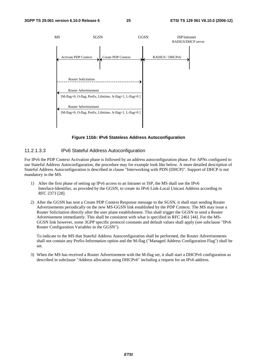

#### **Figure 11bb: IPv6 Stateless Address Autoconfiguration**

#### 11.2.1.3.3 IPv6 Stateful Address Autoconfiguration

For IPv6 the PDP Context Activation phase is followed by an address autoconfiguration phase. For APNs configured to use Stateful Address Autoconfiguration, the procedure may for example look like below. A more detailed description of Stateful Address Autoconfiguration is described in clause "Interworking with PDN (DHCP)". Support of DHCP is not mandatory in the MS.

- 1) After the first phase of setting up IPv6 access to an Intranet or ISP, the MS shall use the IPv6 Interface-Identifier, as provided by the GGSN, to create its IPv6 Link-Local Unicast Address according to RFC 2373 [28].
- 2) After the GGSN has sent a Create PDP Context Response message to the SGSN, it shall start sending Router Advertisements periodically on the new MS-GGSN link established by the PDP Context. The MS may issue a Router Solicitation directly after the user plane establishment. This shall trigger the GGSN to send a Router Advertisement immediately. This shall be consistent with what is specified in RFC 2461 [44]. For the MS-GGSN link however, some 3GPP specific protocol constants and default values shall apply (see subclause "IPv6 Router Configuration Variables in the GGSN").

 To indicate to the MS that Stateful Address Autoconfiguration shall be performed, the Router Advertisements shall not contain any Prefix-Information option and the M-flag ("Managed Address Configuration Flag") shall be set.

3) When the MS has received a Router Advertisement with the M-flag set, it shall start a DHCPv6 configuration as described in subclause "Address allocation using DHCPv6" including a request for an IPv6 address.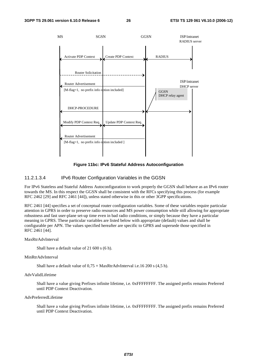

#### **Figure 11bc: IPv6 Stateful Address Autoconfiguration**

#### 11.2.1.3.4 IPv6 Router Configuration Variables in the GGSN

For IPv6 Stateless and Stateful Address Autoconfiguration to work properly the GGSN shall behave as an IPv6 router towards the MS. In this respect the GGSN shall be consistent with the RFCs specifying this process (for example RFC 2462 [29] and RFC 2461 [44]), unless stated otherwise in this or other 3GPP specifications.

RFC 2461 [44] specifies a set of conceptual router configuration variables. Some of these variables require particular attention in GPRS in order to preserve radio resources and MS power consumption while still allowing for appropriate robustness and fast user-plane set-up time even in bad radio conditions, or simply because they have a particular meaning in GPRS. These particular variables are listed below with appropriate (default) values and shall be configurable per APN. The values specified hereafter are specific to GPRS and supersede those specified in RFC 2461 [44].

#### MaxRtrAdvInterval

Shall have a default value of 21 600 s (6 h).

#### MinRtrAdvInterval

Shall have a default value of  $0.75 \times \text{MaxRtr}$  AdvInterval i.e.16 200 s (4,5 h).

#### AdvValidLifetime

 Shall have a value giving Prefixes infinite lifetime, i.e. 0xFFFFFFFF. The assigned prefix remains Preferred until PDP Context Deactivation.

#### AdvPreferredLifetime

 Shall have a value giving Prefixes infinite lifetime, i.e. 0xFFFFFFFF. The assigned prefix remains Preferred until PDP Context Deactivation.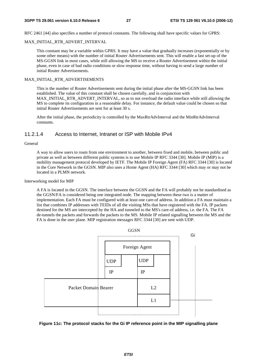RFC 2461 [44] also specifies a number of protocol constants. The following shall have specific values for GPRS:

#### MAX\_INITIAL\_RTR\_ADVERT\_INTERVAL

 This constant may be a variable within GPRS. It may have a value that gradually increases (exponentially or by some other means) with the number of initial Router Advertisements sent. This will enable a fast set-up of the MS-GGSN link in most cases, while still allowing the MS to receive a Router Advertisement within the initial phase, even in case of bad radio conditions or slow response time, without having to send a large number of initial Router Advertisements.

#### MAX\_INITIAL\_RTR\_ADVERTISEMENTS

 This is the number of Router Advertisements sent during the initial phase after the MS-GGSN link has been established. The value of this constant shall be chosen carefully, and in conjunction with MAX\_INITIAL\_RTR\_ADVERT\_INTERVAL, so as to not overload the radio interface while still allowing the MS to complete its configuration in a reasonable delay. For instance, the default value could be chosen so that initial Router Advertisements are sent for at least 30 s.

 After the initial phase, the periodicity is controlled by the MaxRtrAdvInterval and the MinRtrAdvInterval constants.

#### 11.2.1.4 Access to Internet, Intranet or ISP with Mobile IPv4

#### General

 A way to allow users to roam from one environment to another, between fixed and mobile, between public and private as well as between different public systems is to use Mobile IP RFC 3344 [30]. Mobile IP (MIP) is a mobility management protocol developed by IETF. The Mobile IP Foreign Agent (FA) RFC 3344 [30] is located in the Core Network in the GGSN. MIP also uses a Home Agent (HA) RFC 3344 [30] which may or may not be located in a PLMN network.

#### Interworking model for MIP

 A FA is located in the GGSN. The interface between the GGSN and the FA will probably not be standardised as the GGSN/FA is considered being one integrated node. The mapping between these two is a matter of implementation. Each FA must be configured with at least one care-of address. In addition a FA must maintain a list that combines IP addresses with TEIDs of all the visiting MSs that have registered with the FA. IP packets destined for the MS are intercepted by the HA and tunneled to the MS's care-of address, i.e. the FA. The FA de-tunnels the packets and forwards the packets to the MS. Mobile IP related signalling between the MS and the FA is done in the user plane. MIP registration messages RFC 3344 [30] are sent with UDP.



**Figure 11c: The protocol stacks for the Gi IP reference point in the MIP signalling plane**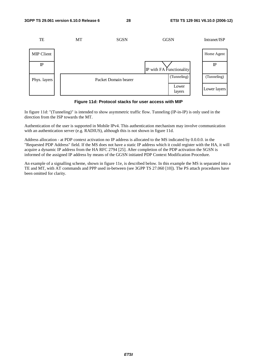

**Figure 11d: Protocol stacks for user access with MIP** 

In figure 11d: "(Tunneling)" is intended to show asymmetric traffic flow. Tunneling (IP-in-IP) is only used in the direction from the ISP towards the MT.

Authentication of the user is supported in Mobile IPv4. This authentication mechanism may involve communication with an authentication server (e.g. RADIUS), although this is not shown in figure 11d.

Address allocation - at PDP context activation no IP address is allocated to the MS indicated by 0.0.0.0. in the "Requested PDP Address" field. If the MS does not have a static IP address which it could register with the HA, it will acquire a dynamic IP address from the HA RFC 2794 [25]. After completion of the PDP activation the SGSN is informed of the assigned IP address by means of the GGSN initiated PDP Context Modification Procedure.

An example of a signalling scheme, shown in figure 11e, is described below. In this example the MS is separated into a TE and MT, with AT commands and PPP used in-between (see 3GPP TS 27.060 [10]). The PS attach procedures have been omitted for clarity.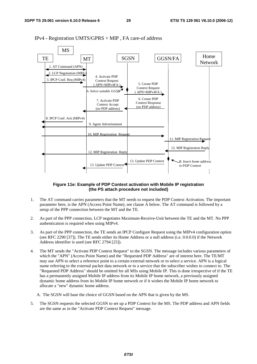

IPv4 - Registration UMTS/GPRS + MIP , FA care-of address

#### **Figure 11e: Example of PDP Context activation with Mobile IP registration (the PS attach procedure not included)**

- 1. The AT command carries parameters that the MT needs to request the PDP Context Activation. The important parameter here, is the APN (Access Point Name), see clause A below. The AT command is followed by a setup of the PPP connection between the MT and the TE.
- 2. As part of the PPP connection, LCP negotiates Maximum-Receive-Unit between the TE and the MT. No PPP authentication is required when using MIPv4.
- 3. As part of the PPP connection, the TE sends an IPCP Configure Request using the MIPv4 configuration option (see RFC 2290 [37]). The TE sends either its Home Address or a null address (i.e. 0.0.0.0) if the Network Address identifier is used (see RFC 2794 [25]).
- 4. The MT sends the "Activate PDP Context Request" to the SGSN. The message includes various parameters of which the "APN" (Access Point Name) and the "Requested PDP Address" are of interest here. The TE/MT may use APN to select a reference point to a certain external network or to select a service. APN is a logical name referring to the external packet data network or to a service that the subscriber wishes to connect to. The "Requested PDP Address" should be omitted for all MSs using Mobile IP. This is done irrespective of if the TE has a permanently assigned Mobile IP address from its Mobile IP home network, a previously assigned dynamic home address from its Mobile IP home network or if it wishes the Mobile IP home network to allocate a "new" dynamic home address.

A. The SGSN will base the choice of GGSN based on the APN that is given by the MS.

5. The SGSN requests the selected GGSN to set up a PDP Context for the MS. The PDP address and APN fields are the same as in the "Activate PDP Context Request" message.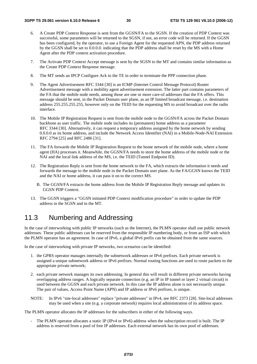- 6. A Create PDP Context Response is sent from the GGSN/FA to the SGSN. If the creation of PDP Context was successful, some parameters will be returned to the SGSN, if not, an error code will be returned. If the GGSN has been configured, by the operator, to use a Foreign Agent for the requested APN, the PDP address returned by the GGSN shall be set to 0.0.0.0. indicating that the PDP address shall be reset by the MS with a Home Agent after the PDP context activation procedure.
- 7. The Activate PDP Context Accept message is sent by the SGSN to the MT and contains similar information as the Create PDP Context Response message.
- 8. The MT sends an IPCP Configure Ack to the TE in order to terminate the PPP connection phase.
- 9. The Agent Advertisement RFC 3344 [30] is an ICMP (Internet Control Message Protocol) Router Advertisement message with a mobility agent advertisement extension. The latter part contains parameters of the FA that the mobile node needs, among those are one or more care-of addresses that the FA offers. This message should be sent, in the Packet Domain user plane, as an IP limited broadcast message, i.e. destination address 255.255.255.255, however only on the TEID for the requesting MS to avoid broadcast over the radio interface.
- 10. The Mobile IP Registration Request is sent from the mobile node to the GGSN/FA across the Packet Domain backbone as user traffic. The mobile node includes its (permanent) home address as a parameter RFC 3344 [30]. Alternatively, it can request a temporary address assigned by the home network by sending 0.0.0.0 as its home address, and include the Network Access Identifier (NAI) in a Mobile-Node-NAI Extension RFC 2794 [25] and RFC 2486 [31].
- 11. The FA forwards the Mobile IP Registration Request to the home network of the mobile node, where a home agent (HA) processes it. Meanwhile, the GGSN/FA needs to store the home address of the mobile node or the NAI and the local link address of the MS, i.e. the TEID (Tunnel Endpoint ID).
- 12. The Registration Reply is sent from the home network to the FA, which extracts the information it needs and forwards the message to the mobile node in the Packet Domain user plane. As the FA/GGSN knows the TEID and the NAI or home address, it can pass it on to the correct MS.
	- B. The GGSN/FA extracts the home address from the Mobile IP Registration Reply message and updates its GGSN PDP Context.
- 13. The GGSN triggers a "GGSN initiated PDP Context modification procedure" in order to update the PDP address in the SGSN and in the MT.

### 11.3 Numbering and Addressing

In the case of interworking with public IP networks (such as the Internet), the PLMN operator shall use public network addresses. These public addresses can be reserved from the responsible IP numbering body, or from an ISP with which the PLMN operator has an agreement. In case of IPv6, a global IPv6 prefix can be obtained from the same sources.

In the case of interworking with private IP networks, two scenarios can be identified:

- 1. the GPRS operator manages internally the subnetwork addresses or IPv6 prefixes. Each private network is assigned a unique subnetwork address or IPv6 prefixes. Normal routing functions are used to route packets to the appropriate private network;
- 2. each private network manages its own addressing. In general this will result in different private networks having overlapping address ranges. A logically separate connection (e.g. an IP in IP tunnel or layer 2 virtual circuit) is used between the GGSN and each private network. In this case the IP address alone is not necessarily unique. The pair of values, Access Point Name (APN) and IP address or IPv6 prefixes, is unique.
- NOTE: In IPv6 "site-local addresses" replace "private addresses" in IPv4, see RFC 2373 [28]. Site-local addresses may be used when a site (e.g. a corporate network) requires local administration of its address space.

The PLMN operator allocates the IP addresses for the subscribers in either of the following ways.

The PLMN operator allocates a static IP (IPv4 or IPv6) address when the subscription record is built. The IP address is reserved from a pool of free IP addresses. Each external network has its own pool of addresses.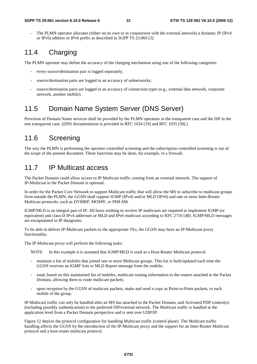The PLMN operator allocates (either on its own or in conjunction with the external network) a dynamic IP (IPv4 or IPv6) address or IPv6 prefix as described in 3GPP TS 23.060 [3].

### 11.4 Charging

The PLMN operator may define the accuracy of the charging mechanism using one of the following categories:

- every source/destination pair is logged separately;
- source/destination pairs are logged to an accuracy of subnetworks;
- source/destination pairs are logged to an accuracy of connection types (e.g., external data network, corporate network, another mobile).

### 11.5 Domain Name System Server (DNS Server)

Provision of Domain Name services shall be provided by the PLMN operators in the transparent case and the ISP in the non transparent case. (DNS documentation is provided in RFC 1034 [19] and RFC 1035 [58].)

### 11.6 Screening

The way the PLMN is performing the operator controlled screening and the subscription controlled screening is out of the scope of the present document. These functions may be done, for example, in a firewall.

### 11.7 IP Multicast access

The Packet Domain could allow access to IP Multicast traffic coming from an external network. The support of IP-Multicast in the Packet Domain is optional.

In order for the Packet Core Network to support Multicast traffic that will allow the MS to subscribe to multicast groups from outside the PLMN, the GGSN shall support IGMP (IPv4) and/or MLD (IPv6) and one or more Inter-Router Multicast protocols, such as DVMRP, MOSPF, or PIM-SM.

IGMP/MLD is an integral part of IP. All hosts wishing to receive IP multicasts are required to implement IGMP (or equivalent) and class-D IPv4 addresses or MLD and IPv6 multicast according to RFC 2710 [48]. IGMP/MLD messages are encapsulated in IP datagrams.

To be able to deliver IP-Multicast packets to the appropriate TEs, the GGSN may have an IP-Multicast proxy functionality.

The IP-Multicast proxy will perform the following tasks:

NOTE: In this example it is assumed that IGMP/MLD is used as a Host-Router Multicast protocol.

- maintain a list of mobiles that joined one or more Multicast groups. This list is built/updated each time the GGSN receives an IGMP Join or MLD Report message from the mobile;
- send, based on this maintained list of mobiles, multicast routing information to the routers attached to the Packet Domain, allowing them to route multicast packets;
- upon reception by the GGSN of multicast packets, make and send a copy as Point-to-Point packets, to each mobile of the group.

IP-Multicast traffic can only be handled after an MS has attached to the Packet Domain, and Activated PDP context(s) (including possibly authentication) to the preferred ISP/external network. The Multicast traffic is handled at the application level from a Packet Domain perspective and is sent over UDP/IP.

Figure 12 depicts the protocol configuration for handling Multicast traffic (control plane). The Multicast traffic handling affects the GGSN by the introduction of the IP-Multicast proxy and the support for an Inter-Router Multicast protocol and a host-router multicast protocol.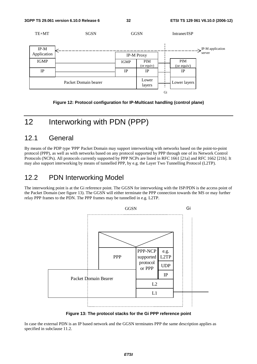



# 12 Interworking with PDN (PPP)

### 12.1 General

By means of the PDP type 'PPP' Packet Domain may support interworking with networks based on the point-to-point protocol (PPP), as well as with networks based on any protocol supported by PPP through one of its Network Control Protocols (NCPs). All protocols currently supported by PPP NCPs are listed in RFC 1661 [21a] and RFC 1662 [21b]. It may also support interworking by means of tunnelled PPP, by e.g. the Layer Two Tunnelling Protocol (L2TP).

### 12.2 PDN Interworking Model

The interworking point is at the Gi reference point. The GGSN for interworking with the ISP/PDN is the access point of the Packet Domain (see figure 13). The GGSN will either terminate the PPP connection towards the MS or may further relay PPP frames to the PDN. The PPP frames may be tunnelled in e.g. L2TP.



**Figure 13: The protocol stacks for the Gi PPP reference point** 

In case the external PDN is an IP based network and the GGSN terminates PPP the same description applies as specified in subclause 11.2.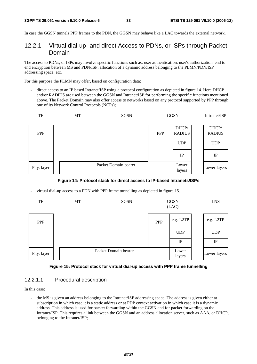In case the GGSN tunnels PPP frames to the PDN, the GGSN may behave like a LAC towards the external network.

### 12.2.1 Virtual dial-up- and direct Access to PDNs, or ISPs through Packet Domain

The access to PDNs, or ISPs may involve specific functions such as: user authentication, user's authorization, end to end encryption between MS and PDN/ISP, allocation of a dynamic address belonging to the PLMN/PDN/ISP addressing space, etc.

For this purpose the PLMN may offer, based on configuration data:

direct access to an IP based Intranet/ISP using a protocol configuration as depicted in figure 14. Here DHCP and/or RADIUS are used between the GGSN and Intranet/ISP for performing the specific functions mentioned above. The Packet Domain may also offer access to networks based on any protocol supported by PPP through one of its Network Control Protocols (NCPs);



#### **Figure 14: Protocol stack for direct access to IP-based Intranets/ISPs**

virtual dial-up access to a PDN with PPP frame tunnelling as depicted in figure 15.



#### **Figure 15: Protocol stack for virtual dial-up access with PPP frame tunnelling**

#### 12.2.1.1 Procedural description

In this case:

the MS is given an address belonging to the Intranet/ISP addressing space. The address is given either at subscription in which case it is a static address or at PDP context activation in which case it is a dynamic address. This address is used for packet forwarding within the GGSN and for packet forwarding on the Intranet/ISP. This requires a link between the GGSN and an address allocation server, such as AAA, or DHCP, belonging to the Intranet/ISP;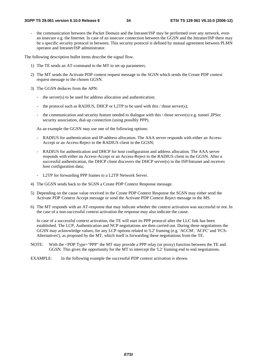the communication between the Packet Domain and the Intranet/ISP may be performed over any network, even an insecure e.g. the Internet. In case of an insecure connection between the GGSN and the Intranet/ISP there may be a specific security protocol in between. This security protocol is defined by mutual agreement between PLMN operator and Intranet/ISP administrator.

The following description bullet items describe the signal flow.

- 1) The TE sends an AT-command to the MT to set up parameters.
- 2) The MT sends the Activate PDP context request message to the SGSN which sends the Create PDP context request message to the chosen GGSN.
- 3) The GGSN deduces from the APN:
	- the server(s) to be used for address allocation and authentication;
	- the protocol such as RADIUS, DHCP or L2TP to be used with this / those server(s);
	- the communication and security feature needed to dialogue with this / those server(s) e.g. tunnel ,IPSec security association, dial-up connection (using possibly PPP).

As an example the GGSN may use one of the following options:

- RADIUS for authentication and IP-address allocation. The AAA server responds with either an Access-Accept or an Access-Reject to the RADIUS client in the GGSN;
- RADIUS for authentication and DHCP for host configuration and address allocation. The AAA server responds with either an Access-Accept or an Access-Reject to the RADIUS client in the GGSN. After a successful authentication, the DHCP client discovers the DHCP server(s) in the ISP/Intranet and receives host configuration data;
- L2TP for forwarding PPP frames to a L2TP Network Server.
- 4) The GGSN sends back to the SGSN a Create PDP Context Response message.
- 5) Depending on the cause value received in the Create PDP Context Response the SGSN may either send the Activate PDP Context Accept message or send the Activate PDP Context Reject message to the MS.
- 6) The MT responds with an AT-response that may indicate whether the context activation was successful or not. In the case of a non-successful context activation the response may also indicate the cause.

 In case of a successful context activation, the TE will start its PPP protocol after the LLC link has been established. The LCP, Authentication and NCP negotiations are then carried out. During these negotiations the GGSN may acknowledge values, for any LCP options related to 'L2' framing (e.g. 'ACCM', 'ACFC' and 'FCS-Alternatives'), as proposed by the MT, which itself is forwarding these negotiations from the TE.

- NOTE: With the <PDP Type>"PPP" the MT may provide a PPP relay (or proxy) function between the TE and GGSN. This gives the opportunity for the MT to intercept the 'L2' framing end to end negotiations.
- EXAMPLE: In the following example the successful PDP context activation is shown.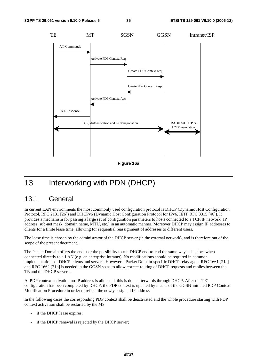

# 13 Interworking with PDN (DHCP)

### 13.1 General

In current LAN environments the most commonly used configuration protocol is DHCP (Dynamic Host Configuration Protocol, RFC 2131 [26]) and DHCPv6 (Dynamic Host Configuration Protocol for IPv6, IETF RFC 3315 [46]). It provides a mechanism for passing a large set of configuration parameters to hosts connected to a TCP/IP network (IP address, sub-net mask, domain name, MTU, etc.) in an automatic manner. Moreover DHCP may assign IP addresses to clients for a finite lease time, allowing for sequential reassignment of addresses to different users.

The lease time is chosen by the administrator of the DHCP server (in the external network), and is therefore out of the scope of the present document.

The Packet Domain offers the end user the possibility to run DHCP end-to-end the same way as he does when connected directly to a LAN (e.g. an enterprise Intranet). No modifications should be required in common implementations of DHCP clients and servers. However a Packet Domain-specific DHCP relay agent RFC 1661 [21a] and RFC 1662 [21b] is needed in the GGSN so as to allow correct routing of DHCP requests and replies between the TE and the DHCP servers.

At PDP context activation no IP address is allocated, this is done afterwards through DHCP. After the TE's configuration has been completed by DHCP, the PDP context is updated by means of the GGSN-initiated PDP Context Modification Procedure in order to reflect the newly assigned IP address.

In the following cases the corresponding PDP context shall be deactivated and the whole procedure starting with PDP context activation shall be restarted by the MS

- if the DHCP lease expires;
- if the DHCP renewal is rejected by the DHCP server;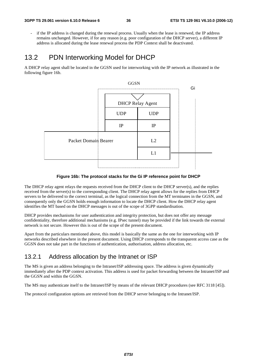if the IP address is changed during the renewal process. Usually when the lease is renewed, the IP address remains unchanged. However, if for any reason (e.g. poor configuration of the DHCP server), a different IP address is allocated during the lease renewal process the PDP Context shall be deactivated.

## 13.2 PDN Interworking Model for DHCP

A DHCP relay agent shall be located in the GGSN used for interworking with the IP network as illustrated in the following figure 16b.



#### **Figure 16b: The protocol stacks for the Gi IP reference point for DHCP**

The DHCP relay agent relays the requests received from the DHCP client to the DHCP server(s), and the replies received from the server(s) to the corresponding client. The DHCP relay agent allows for the replies from DHCP servers to be delivered to the correct terminal, as the logical connection from the MT terminates in the GGSN, and consequently only the GGSN holds enough information to locate the DHCP client. How the DHCP relay agent identifies the MT based on the DHCP messages is out of the scope of 3GPP standardisation.

DHCP provides mechanisms for user authentication and integrity protection, but does not offer any message confidentiality, therefore additional mechanisms (e.g. IPsec tunnel) may be provided if the link towards the external network is not secure. However this is out of the scope of the present document.

Apart from the particulars mentioned above, this model is basically the same as the one for interworking with IP networks described elsewhere in the present document. Using DHCP corresponds to the transparent access case as the GGSN does not take part in the functions of authentication, authorisation, address allocation, etc.

## 13.2.1 Address allocation by the Intranet or ISP

The MS is given an address belonging to the Intranet/ISP addressing space. The address is given dynamically immediately after the PDP context activation. This address is used for packet forwarding between the Intranet/ISP and the GGSN and within the GGSN.

The MS may authenticate itself to the Intranet/ISP by means of the relevant DHCP procedures (see RFC 3118 [45]).

The protocol configuration options are retrieved from the DHCP server belonging to the Intranet/ISP.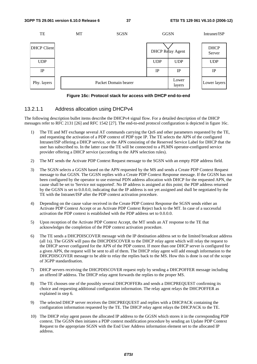

#### **Figure 16c: Protocol stack for access with DHCP end-to-end**

### 13.2.1.1 Address allocation using DHCPv4

The following description bullet items describe the DHCPv4 signal flow. For a detailed description of the DHCP messages refer to RFC 2131 [26] and RFC 1542 [27]. The end-to-end protocol configuration is depicted in figure 16c.

- 1) The TE and MT exchange several AT commands carrying the QoS and other parameters requested by the TE, and requesting the activation of a PDP context of PDP type IP. The TE selects the APN of the configured Intranet/ISP offering a DHCP service, or the APN consisting of the Reserved Service Label for DHCP that the user has subscribed to. In the latter case the TE will be connected to a PLMN operator-configured service provider offering a DHCP service (according to the APN selection rules).
- 2) The MT sends the Activate PDP Context Request message to the SGSN with an empty PDP address field.
- 3) The SGSN selects a GGSN based on the APN requested by the MS and sends a Create PDP Context Request message to that GGSN. The GGSN replies with a Create PDP Context Response message. If the GGSN has not been configured by the operator to use external PDN address allocation with DHCP for the requested APN, the cause shall be set to 'Service not supported'. No IP address is assigned at this point; the PDP address returned by the GGSN is set to 0.0.0.0, indicating that the IP address is not yet assigned and shall be negotiated by the TE with the Intranet/ISP after the PDP context activation procedure.
- 4) Depending on the cause value received in the Create PDP Context Response the SGSN sends either an Activate PDP Context Accept or an Activate PDP Context Reject back to the MT. In case of a successful activation the PDP context is established with the PDP address set to 0.0.0.0.
- 5) Upon reception of the Activate PDP Context Accept, the MT sends an AT response to the TE that acknowledges the completion of the PDP context activation procedure.
- 6) The TE sends a DHCPDISCOVER message with the IP destination address set to the limited broadcast address (all 1s). The GGSN will pass the DHCPDISCOVER to the DHCP relay agent which will relay the request to the DHCP server configured for the APN of the PDP context. If more than one DHCP server is configured for a given APN, the request will be sent to all of them. The DHCP relay agent will add enough information to the DHCPDISCOVER message to be able to relay the replies back to the MS. How this is done is out of the scope of 3GPP standardisation.
- 7) DHCP servers receiving the DHCPDISCOVER request reply by sending a DHCPOFFER message including an offered IP address. The DHCP relay agent forwards the replies to the proper MS.
- 8) The TE chooses one of the possibly several DHCPOFFERs and sends a DHCPREQUEST confirming its choice and requesting additional configuration information. The relay agent relays the DHCPOFFER as explained in step 6.
- 9) The selected DHCP server receives the DHCPREQUEST and replies with a DHCPACK containing the configuration information requested by the TE. The DHCP relay agent relays the DHCPACK to the TE.
- 10) The DHCP relay agent passes the allocated IP address to the GGSN which stores it in the corresponding PDP context. The GGSN then initiates a PDP context modification procedure by sending an Update PDP Context Request to the appropriate SGSN with the End User Address information element set to the allocated IP address.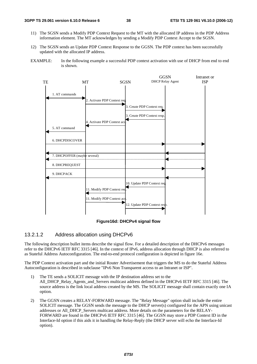#### **3GPP TS 29.061 version 6.10.0 Release 6 38 ETSI TS 129 061 V6.10.0 (2006-12)**

- 11) The SGSN sends a Modify PDP Context Request to the MT with the allocated IP address in the PDP Address information element. The MT acknowledges by sending a Modify PDP Context Accept to the SGSN.
- 12) The SGSN sends an Update PDP Context Response to the GGSN. The PDP context has been successfully updated with the allocated IP address.
- EXAMPLE: In the following example a successful PDP context activation with use of DHCP from end to end is shown.



#### **Figure16d: DHCPv4 signal flow**

### 13.2.1.2 Address allocation using DHCPv6

The following description bullet items describe the signal flow. For a detailed description of the DHCPv6 messages refer to the DHCPv6 IETF RFC 3315 [46]. In the context of IPv6, address allocation through DHCP is also referred to as Stateful Address Autoconfiguration. The end-to-end protocol configuration is depicted in figure 16e.

The PDP Context activation part and the initial Router Advertisement that triggers the MS to do the Stateful Address Autoconfiguration is described in subclause "IPv6 Non Transparent access to an Intranet or ISP".

- 1) The TE sends a SOLICIT message with the IP destination address set to the All DHCP Relay Agents and Servers multicast address defined in the DHCPv6 IETF RFC 3315 [46]. The source address is the link local address created by the MS. The SOLICIT message shall contain exactly one IA option.
- 2) The GGSN creates a RELAY-FORWARD message. The "Relay Message" option shall include the entire SOLICIT message. The GGSN sends the message to the DHCP server(s) configured for the APN using unicast addresses or All\_DHCP\_Servers multicast address. More details on the parameters for the RELAY-FORWARD are found in the DHCPv6 IETF RFC 3315 [46]. The GGSN may store a PDP Context ID in the Interface-Id option if this aids it in handling the Relay-Reply (the DHCP server will echo the Interface-Id option).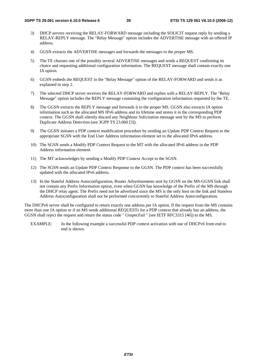- 3) DHCP servers receiving the RELAY-FORWARD message including the SOLICIT request reply by sending a RELAY-REPLY message. The "Relay Message" option includes the ADVERTISE message with an offered IP address.
- 4) GGSN extracts the ADVERTISE messages and forwards the messages to the proper MS.
- 5) The TE chooses one of the possibly several ADVERTISE messages and sends a REQUEST confirming its choice and requesting additional configuration information. The REQUEST message shall contain exactly one IA option.
- 6) GGSN embeds the REQUEST in the "Relay Message" option of the RELAY-FORWARD and sends it as explained in step 2.
- 7) The selected DHCP server receives the RELAY-FORWARD and replies with a RELAY-REPLY. The "Relay Message" option includes the REPLY message containing the configuration information requested by the TE.
- 8) The GGSN extracts the REPLY message and forwards it to the proper MS. GGSN also extracts IA option information such as the allocated MS IPv6 address and its lifetime and stores it in the corresponding PDP context. The GGSN shall silently discard any Neighbour Solicitation message sent by the MS to perform Duplicate Address Detection (see 3GPP TS 23.060 [3]).
- 9) The GGSN initiates a PDP context modification procedure by sending an Update PDP Context Request to the appropriate SGSN with the End User Address information element set to the allocated IPv6 address.
- 10) The SGSN sends a Modify PDP Context Request to the MT with the allocated IPv6 address in the PDP Address information element.
- 11) The MT acknowledges by sending a Modify PDP Context Accept to the SGSN.
- 12) The SGSN sends an Update PDP Context Response to the GGSN. The PDP context has been successfully updated with the allocated IPv6 address.
- 13) In the Stateful Address Autoconfiguration, Router Advertisements sent by GGSN on the MS-GGSN link shall not contain any Prefix Information option, even when GGSN has knowledge of the Prefix of the MS through the DHCP relay agent. The Prefix need not be advertised since the MS is the only host on the link and Stateless Address Autoconfiguration shall not be performed concurrently to Stateful Address Autoconfiguration.

The DHCPv6 server shall be configured to return exactly one address per IA option. If the request from the MS contains more than one IA option or if an MS sends additional REQUESTs for a PDP context that already has an address, the GGSN shall reject the request and return the status code " UnspecFail " (see IETF RFC3315 [46]) to the MS.

EXAMPLE: In the following example a successful PDP context activation with use of DHCPv6 from end to end is shown.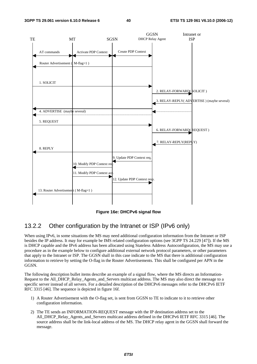

**Figure 16e: DHCPv6 signal flow** 

## 13.2.2 Other configuration by the Intranet or ISP (IPv6 only)

When using IPv6, in some situations the MS may need additional configuration information from the Intranet or ISP besides the IP address. It may for example be IMS related configuration options (see 3GPP TS 24.229 [47]). If the MS is DHCP capable and the IPv6 address has been allocated using Stateless Address Autoconfiguration, the MS may use a procedure as in the example below to configure additional external network protocol parameters, or other parameters that apply to the Intranet or ISP. The GGSN shall in this case indicate to the MS that there is additional configuration information to retrieve by setting the O-flag in the Router Advertisements. This shall be configured per APN in the GGSN.

The following description bullet items describe an example of a signal flow, where the MS directs an Information-Request to the All\_DHCP\_Relay\_Agents\_and\_Servers multicast address. The MS may also direct the message to a specific server instead of all servers. For a detailed description of the DHCPv6 messages refer to the DHCPv6 IETF RFC 3315 [46]. The sequence is depicted in figure 16f.

- 1) A Router Advertisement with the O-flag set, is sent from GGSN to TE to indicate to it to retrieve other configuration information.
- 2) The TE sends an INFORMATION-REQUEST message with the IP destination address set to the All DHCP Relay Agents and Servers multicast address defined in the DHCPv6 IETF RFC 3315 [46]. The source address shall be the link-local address of the MS. The DHCP relay agent in the GGSN shall forward the message.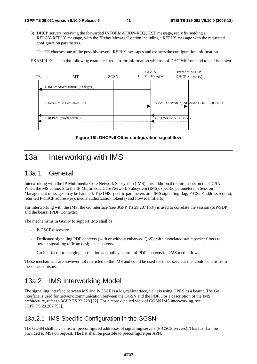3) DHCP servers receiving the forwarded INFORMATION-REQUEST message, reply by sending a RELAY-REPLY message, with the "Relay Message" option including a REPLY message with the requested configuration parameters.

The TE chooses one of the possibly several REPLY messages and extracts the configuration information.

EXAMPLE: In the following example a request for information with use of DHCPv6 from end to end is shown.



**Figure 16f: DHCPv6 Other configuration signal flow** 

# 13a Interworking with IMS

## 13a.1 General

Interworking with the IP Multimedia Core Network Subsystem (IMS) puts additional requirements on the GGSN. When the MS connects to the IP Multimedia Core Network Subsystem (IMS), specific parameters in Session Management messages may be handled. The IMS specific parameters are: IMS signalling flag, P-CSCF address request, returned P-CSCF address(es), media authorization token(s) and flow identifier(s).

For interworking with the IMS, the Go interface (see 3GPP TS 29.207 [53]) is used to correlate the session (SIP/SDP) and the bearer (PDP Contexts).

The mechanisms in GGSN to support IMS shall be:

- P-CSCF discovery.
- Dedicated signalling PDP contexts (with or without enhanced QoS); with associated static packet filters to permit signalling to/from designated servers.
- Go interface for charging correlation and policy control of PDP contexts for IMS media flows.

These mechanisms are however not restricted to the IMS and could be used for other services that could benefit from these mechanisms.

## 13a.2 IMS Interworking Model

The signalling interface between MS and P-CSCF is a logical interface, i.e. it is using GPRS as a bearer. The Go interface is used for network communication between the GGSN and the PDF. For a description of the IMS architecture, refer to 3GPP TS 23.228 [52]. For a more detailed view of GGSN IMS interworking, see 3GPP TS 29.207 [53].

## 13a.2.1 IMS Specific Configuration in the GGSN

The GGSN shall have a list of preconfigured addresses of signalling servers (P-CSCF servers). This list shall be provided to MSs on request. The list shall be possible to preconfigure per APN.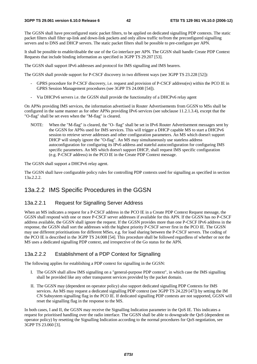The GGSN shall have preconfigured static packet filters, to be applied on dedicated signalling PDP contexts. The static packet filters shall filter up-link and down-link packets and only allow traffic to/from the preconfigured signalling servers and to DNS and DHCP servers. The static packet filters shall be possible to pre-configure per APN.

It shall be possible to enable/disable the use of the Go interface per APN. The GGSN shall handle Create PDP Context Requests that include binding information as specified in 3GPP TS 29.207 [53].

The GGSN shall support IPv6 addresses and protocol for IMS signalling and IMS bearers.

The GGSN shall provide support for P-CSCF discovery in two different ways (see 3GPP TS 23.228 [52]):

- GPRS procedure for P-CSCF discovery, i.e. request and provision of P-CSCF address(es) within the PCO IE in GPRS Session Management procedures (see 3GPP TS 24.008 [54]).
- Via DHCPv6 servers i.e. the GGSN shall provide the functionality of a DHCPv6 relay agent

On APNs providing IMS services, the information advertised in Router Advertisements from GGSN to MSs shall be configured in the same manner as for other APNs providing IPv6 services (see subclause 11.2.1.3.4), except that the "O-flag" shall be set even when the "M-flag" is cleared.

NOTE: When the "M-flag" is cleared, the "O- flag" shall be set in IPv6 Router Advertisement messages sent by the GGSN for APNs used for IMS services. This will trigger a DHCP capable MS to start a DHCPv6 session to retrieve server addresses and other configuration parameters. An MS which doesn't support DHCP will simply ignore the "O-flag". An MS may simultaneously use stateless address autoconfiguration for configuring its IPv6 address and stateful autoconfiguration for configuring IMS specific parameters. An MS which doesn't support DHCP, shall request IMS specific configuration (e.g. P-CSCF address) in the PCO IE in the Create PDP Context message.

The GGSN shall support a DHCPv6 relay agent.

The GGSN shall have configurable policy rules for controlling PDP contexts used for signalling as specified in section 13a.2.2.2.

### 13a.2.2 IMS Specific Procedures in the GGSN

#### 13a.2.2.1 Request for Signalling Server Address

When an MS indicates a request for a P-CSCF address in the PCO IE in a Create PDP Context Request message, the GGSN shall respond with one or more P-CSCF server addresses if available for this APN. If the GGSN has no P-CSCF address available, the GGSN shall ignore the request. If the GGSN provides more than one P-CSCF IPv6 address in the response, the GGSN shall sort the addresses with the highest priority P-CSCF server first in the PCO IE. The GGSN may use different prioritisations for different MSes, e.g. for load sharing between the P-CSCF servers. The coding of the PCO IE is described in the 3GPP TS 24.008 [54]. This procedure shall be followed regardless of whether or not the MS uses a dedicated signalling PDP context, and irrespective of the Go status for the APN.

### 13a.2.2.2 Establishment of a PDP Context for Signalling

The following applies for establishing a PDP context for signalling in the GGSN:

- I. The GGSN shall allow IMS signalling on a "general-purpose PDP context", in which case the IMS signalling shall be provided like any other transparent services provided by the packet domain.
- II. The GGSN may (dependent on operator policy) also support dedicated signalling PDP Contexts for IMS services. An MS may request a dedicated signalling PDP context (see 3GPP TS 24.229 [47]) by setting the IM CN Subsystem signalling flag in the PCO IE. If dedicated signalling PDP contexts are not supported, GGSN will reset the signalling flag in the response to the MS.

In both cases, I and II, the GGSN may receive the Signalling Indication parameter in the QoS IE. This indicates a request for prioritised handling over the radio interface. The GGSN shall be able to downgrade the QoS (dependent on operator policy) by resetting the Signalling Indication according to the normal procedures for QoS negotiation, see 3GPP TS 23.060 [3].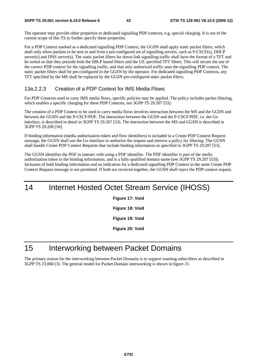The operator may provide other properties to dedicated signalling PDP contexts, e.g. special charging. It is out of the current scope of this TS to further specify these properties.

For a PDP Context marked as a dedicated signalling PDP Context, the GGSN shall apply static packet filters, which shall only allow packets to be sent to and from a pre-configured set of signalling servers, such as P-CSCF(s), DHCP server(s) and DNS server(s). The static packet filters for down-link signalling traffic shall have the format of a TFT and be sorted so that they precede both the SBLP based filters and the UE specified TFT filters. This will secure the use of the correct PDP context for the signalling traffic, and that only authorized traffic uses the signalling PDP context. The static packet filters shall be pre-configured in the GGSN by the operator. For dedicated signalling PDP Contexts, any TFT specified by the MS shall be replaced by the GGSN pre-configured static packet filters.

### 13a.2.2.3 Creation of a PDP Context for IMS Media Flows

For PDP Contexts used to carry IMS media flows, specific policies may be applied. The policy includes packet filtering, which enables a specific charging for these PDP Contexts, see 3GPP TS 29.207 [53].

The creation of a PDP Context to be used to carry media flows involves interaction between the MS and the GGSN and between the GGSN and the P-CSCF/PDF. The interaction between the GGSN and the P-CSCF/PDF, i.e. the Go interface, is described in detail in 3GPP TS 29.207 [53]. The interaction between the MS and GGSN is described in 3GPP TS 29.208 [56].

If binding information (media authorization token and flow identifiers) is included in a Create PDP Context Request message, the GGSN shall use the Go interface to authorize the request and retrieve a policy for filtering. The GGSN shall handle Create PDP Context Requests that include binding information as specified in 3GPP TS 29.207 [53].

The GGSN identifies the PDF to interact with using a PDF identifier. The PDF identifier is part of the media authorization token in the binding information, and is a fully qualified domain name (see 3GPP TS 29.207 [53]). Inclusion of both binding information and an indication for a dedicated signalling PDP Context in the same Create PDP Context Request message is not permitted. If both are received together, the GGSN shall reject the PDP context request.

# 14 Internet Hosted Octet Stream Service (IHOSS)

**Figure 17: Void** 

**Figure 18: Void** 

**Figure 19: Void** 

**Figure 20: Void** 

# 15 Interworking between Packet Domains

The primary reason for the interworking between Packet Domains is to support roaming subscribers as described in 3GPP TS 23.060 [3]. The general model for Packet Domain interworking is shown in figure 21.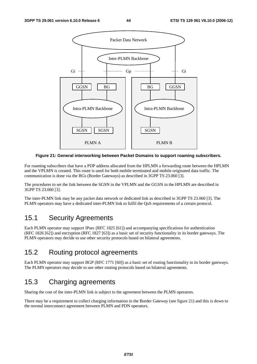

**Figure 21: General interworking between Packet Domains to support roaming subscribers.** 

For roaming subscribers that have a PDP address allocated from the HPLMN a forwarding route between the HPLMN and the VPLMN is created. This route is used for both mobile terminated and mobile originated data traffic. The communication is done via the BGs (Border Gateways) as described in 3GPP TS 23.060 [3].

The procedures to set the link between the SGSN in the VPLMN and the GGSN in the HPLMN are described in 3GPP TS 23.060 [3].

The inter-PLMN link may be any packet data network or dedicated link as described in 3GPP TS 23.060 [3]. The PLMN operators may have a dedicated inter-PLMN link to fulfil the QoS requirements of a certain protocol.

## 15.1 Security Agreements

Each PLMN operator may support IPsec (RFC 1825 [61]) and accompanying specifications for authentication (RFC 1826 [62]) and encryption (RFC 1827 [63]) as a basic set of security functionality in its border gateways. The PLMN operators may decide to use other security protocols based on bilateral agreements.

## 15.2 Routing protocol agreements

Each PLMN operator may support BGP (RFC 1771 [60]) as a basic set of routing functionality in its border gateways. The PLMN operators may decide to use other routing protocols based on bilateral agreements.

# 15.3 Charging agreements

Sharing the cost of the inter-PLMN link is subject to the agreement between the PLMN operators.

There may be a requirement to collect charging information in the Border Gateway (see figure 21) and this is down to the normal interconnect agreement between PLMN and PDN operators.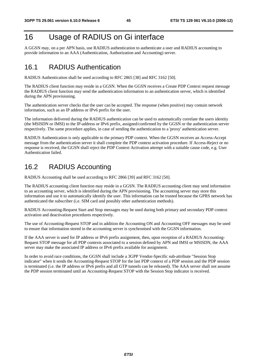# 16 Usage of RADIUS on Gi interface

A GGSN may, on a per APN basis, use RADIUS authentication to authenticate a user and RADIUS accounting to provide information to an AAA (Authentication, Authorization and Accounting) server.

# 16.1 RADIUS Authentication

RADIUS Authentication shall be used according to RFC 2865 [38] and RFC 3162 [50].

The RADIUS client function may reside in a GGSN. When the GGSN receives a Create PDP Context request message the RADIUS client function may send the authentication information to an authentication server, which is identified during the APN provisioning.

The authentication server checks that the user can be accepted. The response (when positive) may contain network information, such as an IP address or IPv6 prefix for the user.

The information delivered during the RADIUS authentication can be used to automatically correlate the users identity (the MSISDN or IMSI) to the IP-address or IPv6 prefix, assigned/confirmed by the GGSN or the authentication server respectively. The same procedure applies, in case of sending the authentication to a 'proxy' authentication server.

RADIUS Authentication is only applicable to the primary PDP context. When the GGSN receives an Access-Accept message from the authentication server it shall complete the PDP context activation procedure. If Access-Reject or no response is received, the GGSN shall reject the PDP Context Activation attempt with a suitable cause code, e.g. User Authentication failed.

# 16.2 RADIUS Accounting

RADIUS Accounting shall be used according to RFC 2866 [39] and RFC 3162 [50].

The RADIUS accounting client function may reside in a GGSN. The RADIUS accounting client may send information to an accounting server, which is identified during the APN provisioning. The accounting server may store this information and use it to automatically identify the user. This information can be trusted because the GPRS network has authenticated the subscriber (i.e. SIM card and possibly other authentication methods).

RADIUS Accounting-Request Start and Stop messages may be used during both primary and secondary PDP context activation and deactivation procedures respectively.

The use of Accounting-Request STOP and in addition the Accounting ON and Accounting OFF messages may be used to ensure that information stored in the accounting server is synchronised with the GGSN information.

If the AAA server is used for IP address or IPv6 prefix assignment, then, upon reception of a RADIUS Accounting-Request STOP message for all PDP contexts associated to a session defined by APN and IMSI or MSISDN, the AAA server may make the associated IP address or IPv6 prefix available for assignment.

In order to avoid race conditions, the GGSN shall include a 3GPP Vendor-Specific sub-attribute "Session Stop indicator" when it sends the Accounting-Request STOP for the last PDP context of a PDP session and the PDP session is terminated (i.e. the IP address or IPv6 prefix and all GTP tunnels can be released). The AAA server shall not assume the PDP session terminated until an Accounting-Request STOP with the Session Stop indicator is received.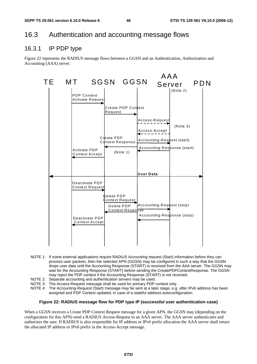# 16.3 Authentication and accounting message flows

## 16.3.1 IP PDP type

Figure 22 represents the RADIUS message flows between a GGSN and an Authentication, Authorization and Accounting (AAA) server.



- NOTE 1: If some external applications require RADIUS Accounting request (Start) information before they can process user packets, then the selected APN (GGSN) may be configured in such a way that the GGSN drops user data until the Accounting Response (START) is received from the AAA server. The GGSN may wait for the Accounting Response (START) before sending the CreatePDPContextResponse. The GGSN may reject the PDP context if the Accounting Response (START) is not received.
- NOTE 2: Separate accounting and authentication servers may be used.
- NOTE 3: The Access-Request message shall be used for primary PDP context only.
- NOTE 4: The Accounting-Request (Start) message may be sent at a later stage, e.g. after IPv6 address has been assigned and PDP Context updated, in case of a stateful address autoconfiguration.

### **Figure 22: RADIUS message flow for PDP type IP (successful user authentication case)**

When a GGSN receives a Create PDP Context Request message for a given APN, the GGSN may (depending on the configuration for this APN) send a RADIUS Access-Request to an AAA server. The AAA server authenticates and authorizes the user. If RADIUS is also responsible for IP address or IPv6 prefix allocation the AAA server shall return the allocated IP address or IPv6 prefix in the Access-Accept message.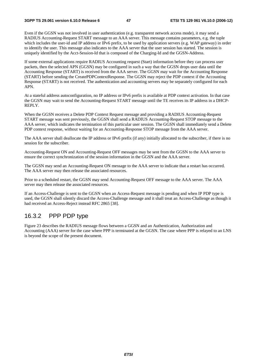Even if the GGSN was not involved in user authentication (e.g. transparent network access mode), it may send a RADIUS Accounting-Request START message to an AAA server. This message contains parameters, e.g. the tuple which includes the user-id and IP address or IPv6 prefix, to be used by application servers (e.g. WAP gateway) in order to identify the user. This message also indicates to the AAA server that the user session has started. The session is uniquely identified by the Acct-Session-Id that is composed of the Charging-Id and the GGSN-Address.

If some external applications require RADIUS Accounting request (Start) information before they can process user packets, then the selected APN (GGSN) may be configured in such a way that the GGSN drops user data until the Accounting Response (START) is received from the AAA server. The GGSN may wait for the Accounting Response (START) before sending the CreatePDPContextResponse. The GGSN may reject the PDP context if the Accounting Response (START) is not received. The authentication and accounting servers may be separately configured for each APN.

At a stateful address autoconfiguration, no IP address or IPv6 prefix is available at PDP context activation. In that case the GGSN may wait to send the Accounting-Request START message until the TE receives its IP address in a DHCP-REPLY.

When the GGSN receives a Delete PDP Context Request message and providing a RADIUS Accounting-Request START message was sent previously, the GGSN shall send a RADIUS Accounting-Request STOP message to the AAA server, which indicates the termination of this particular user session. The GGSN shall immediately send a Delete PDP context response, without waiting for an Accounting-Response STOP message from the AAA server.

The AAA server shall deallocate the IP address or IPv6 prefix (if any) initially allocated to the subscriber, if there is no session for the subscriber.

Accounting-Request ON and Accounting-Request OFF messages may be sent from the GGSN to the AAA server to ensure the correct synchronization of the session information in the GGSN and the AAA server.

The GGSN may send an Accounting-Request ON message to the AAA server to indicate that a restart has occurred. The AAA server may then release the associated resources.

Prior to a scheduled restart, the GGSN may send Accounting-Request OFF message to the AAA server. The AAA server may then release the associated resources.

If an Access-Challenge is sent to the GGSN when an Access-Request message is pending and when IP PDP type is used, the GGSN shall silently discard the Access-Challenge message and it shall treat an Access-Challenge as though it had received an Access-Reject instead RFC 2865 [38].

## 16.3.2 PPP PDP type

Figure 23 describes the RADIUS message flows between a GGSN and an Authentication, Authorization and Accounting (AAA) server for the case where PPP is terminated at the GGSN. The case where PPP is relayed to an LNS is beyond the scope of the present document.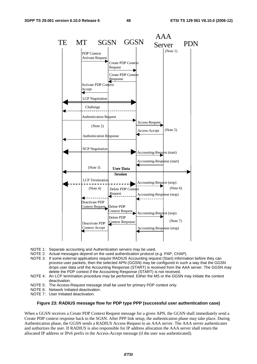

- NOTE 1: Separate accounting and Authentication servers may be used.
- NOTE 2: Actual messages depend on the used authentication protocol (e.g. PAP, CHAP).
- NOTE 3: If some external applications require RADIUS Accounting request (Start) information before they can process user packets, then the selected APN (GGSN) may be configured in such a way that the GGSN drops user data until the Accounting Response (START) is received from the AAA server. The GGSN may delete the PDP context if the Accounting Response (START) is not received.
- NOTE 4: An LCP termination procedure may be performed. Either the MS or the GGSN may initiate the context deactivation.
- NOTE 5: The Access-Request message shall be used for primary PDP context only.
- NOTE 6: Network Initiated deactivation.
- NOTE 7: User Initiated deactivation.

#### **Figure 23: RADIUS message flow for PDP type PPP (successful user authentication case)**

When a GGSN receives a Create PDP Context Request message for a given APN, the GGSN shall immediately send a Create PDP context response back to the SGSN. After PPP link setup, the authentication phase may take place. During Authentication phase, the GGSN sends a RADIUS Access-Request to an AAA server. The AAA server authenticates and authorizes the user. If RADIUS is also responsible for IP address allocation the AAA server shall return the allocated IP address or IPv6 prefix in the Access-Accept message (if the user was authenticated).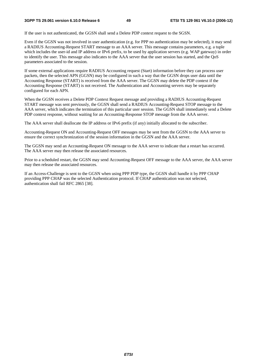#### **3GPP TS 29.061 version 6.10.0 Release 6 49 ETSI TS 129 061 V6.10.0 (2006-12)**

If the user is not authenticated, the GGSN shall send a Delete PDP context request to the SGSN.

Even if the GGSN was not involved in user authentication (e.g. for PPP no authentication may be selected), it may send a RADIUS Accounting-Request START message to an AAA server. This message contains parameters, e.g. a tuple which includes the user-id and IP address or IPv6 prefix, to be used by application servers (e.g. WAP gateway) in order to identify the user. This message also indicates to the AAA server that the user session has started, and the QoS parameters associated to the session.

If some external applications require RADIUS Accounting request (Start) information before they can process user packets, then the selected APN (GGSN) may be configured in such a way that the GGSN drops user data until the Accounting Response (START) is received from the AAA server. The GGSN may delete the PDP context if the Accounting Response (START) is not received. The Authentication and Accounting servers may be separately configured for each APN.

When the GGSN receives a Delete PDP Context Request message and providing a RADIUS Accounting-Request START message was sent previously, the GGSN shall send a RADIUS Accounting-Request STOP message to the AAA server, which indicates the termination of this particular user session. The GGSN shall immediately send a Delete PDP context response, without waiting for an Accounting-Response STOP message from the AAA server.

The AAA server shall deallocate the IP address or IPv6 prefix (if any) initially allocated to the subscriber.

Accounting-Request ON and Accounting-Request OFF messages may be sent from the GGSN to the AAA server to ensure the correct synchronization of the session information in the GGSN and the AAA server.

The GGSN may send an Accounting-Request ON message to the AAA server to indicate that a restart has occurred. The AAA server may then release the associated resources.

Prior to a scheduled restart, the GGSN may send Accounting-Request OFF message to the AAA server, the AAA server may then release the associated resources.

If an Access-Challenge is sent to the GGSN when using PPP PDP type, the GGSN shall handle it by PPP CHAP providing PPP CHAP was the selected Authentication protocol. If CHAP authentication was not selected, authentication shall fail RFC 2865 [38].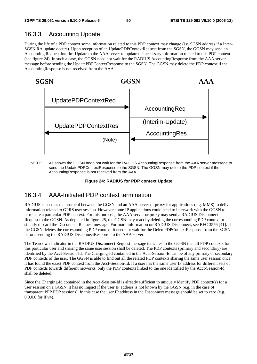## 16.3.3 Accounting Update

During the life of a PDP context some information related to this PDP context may change (i.e. SGSN address if a Inter-SGSN RA update occurs). Upon reception of an UpdatePDPContextRequest from the SGSN, the GGSN may send an Accounting Request Interim-Update to the AAA server to update the necessary information related to this PDP context (see figure 24). In such a case, the GGSN need not wait for the RADIUS AccountingResponse from the AAA server message before sending the UpdatePDPContextResponse to the SGSN. The GGSN may delete the PDP context if the AccountingResponse is not received from the AAA.



NOTE: As shown the GGSN need not wait for the RADIUS AccountingResponse from the AAA server message to send the UpdatePDPContextResponse to the SGSN. The GGSN may delete the PDP context if the AccountingResponse is not received from the AAA.

#### **Figure 24: RADIUS for PDP context Update**

## 16.3.4 AAA-Initiated PDP context termination

RADIUS is used as the protocol between the GGSN and an AAA server or proxy for applications (e.g. MMS) to deliver information related to GPRS user session. However some IP applications could need to interwork with the GGSN to terminate a particular PDP context. For this purpose, the AAA server or proxy may send a RADIUS Disconnect Request to the GGSN. As depicted in figure 25, the GGSN may react by deleting the corresponding PDP context or silently discard the Disconnect Request message. For more information on RADIUS Disconnect, see RFC 3576 [41]. If the GGSN deletes the corresponding PDP context, it need not wait for the DeletePDPContextResponse from the SGSN before sending the RADIUS DisconnectResponse to the AAA server.

The Teardown-Indicator in the RADIUS Disconnect Request message indicates to the GGSN that all PDP contexts for this particular user and sharing the same user session shall be deleted. The PDP contexts (primary and secondary) are identified by the Acct-Session-Id. The Charging-Id contained in the Acct-Session-Id can be of any primary or secondary PDP contexts of the user. The GGSN is able to find out all the related PDP contexts sharing the same user session once it has found the exact PDP context from the Acct-Session-Id. If a user has the same user IP address for different sets of PDP contexts towards different networks, only the PDP contexts linked to the one identified by the Acct-Session-Id shall be deleted.

Since the Charging-Id contained in the Acct-Session-Id is already sufficient to uniquely identify PDP context(s) for a user session on a GGSN, it has no impact if the user IP address is not known by the GGSN (e.g. in the case of transparent PPP PDP sessions). In this case the user IP address in the Disconnect message should be set to zero (e.g. 0.0.0.0 for IPv4).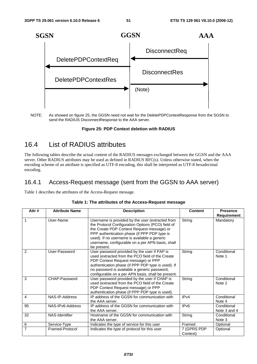

NOTE: As showed on figure 25, the GGSN need not wait for the DeletePDPContextResponse from the SGSN to send the RADIUS DisconnectResponse to the AAA server.

#### **Figure 25: PDP Context deletion with RADIUS**

## 16.4 List of RADIUS attributes

The following tables describe the actual content of the RADIUS messages exchanged between the GGSN and the AAA server. Other RADIUS attributes may be used as defined in RADIUS RFC(s). Unless otherwise stated, when the encoding scheme of an attribute is specified as UTF-8 encoding, this shall be interpreted as UTF-8 hexadecimal encoding.

## 16.4.1 Access-Request message (sent from the GGSN to AAA server)

Table 1 describes the attributes of the Access-Request message.

| Attr#          | <b>Attribute Name</b> | <b>Description</b>                                                                                                                                                                                                                                                                                                     | <b>Content</b>          | <b>Presence</b><br><b>Requirement</b> |
|----------------|-----------------------|------------------------------------------------------------------------------------------------------------------------------------------------------------------------------------------------------------------------------------------------------------------------------------------------------------------------|-------------------------|---------------------------------------|
|                | User-Name             | Username is provided by the user (extracted from<br>the Protocol Configuration Options (PCO) field of<br>the Create PDP Context Request message) or<br>PPP authentication phase (if PPP PDP type is<br>used). If no username is available a generic<br>username, configurable on a per APN basis, shall<br>be present. | String                  | Mandatory                             |
| $\mathfrak{p}$ | User-Password         | User password provided by the user if PAP is<br>used (extracted from the PCO field of the Create<br>PDP Context Request message) or PPP<br>authentication phase (if PPP PDP type is used). If<br>no password is available a generic password,<br>configurable on a per APN basis, shall be present.                    | String                  | Conditional<br>Note 1                 |
| 3              | CHAP-Password         | User password provided by the user if CHAP is<br>used (extracted from the PCO field of the Create<br>PDP Context Request message) or PPP<br>authentication phase (if PPP PDP type is used).                                                                                                                            | String                  | Conditional<br>Note 2                 |
| $\overline{4}$ | NAS-IP-Address        | IP address of the GGSN for communication with<br>the AAA server.                                                                                                                                                                                                                                                       | IPv4                    | Conditional<br>Note 4                 |
| 95             | NAS-IPv6-Address      | IP address of the GGSN for communication with<br>the AAA server.                                                                                                                                                                                                                                                       | IPv6                    | Conditional<br>Note 3 and 4           |
| 32             | NAS-Identifier        | Hostname of the GGSN for communication with<br>the AAA server.                                                                                                                                                                                                                                                         | String                  | Conditional<br>Note 3                 |
| 6              | Service-Type          | Indicates the type of service for this user                                                                                                                                                                                                                                                                            | Framed                  | Optional                              |
| $\overline{7}$ | Framed-Protocol       | Indicates the type of protocol for this user                                                                                                                                                                                                                                                                           | 7 (GPRS PDP<br>Context) | Optional                              |

|  |  | Table 1: The attributes of the Access-Request message |  |  |  |  |
|--|--|-------------------------------------------------------|--|--|--|--|
|--|--|-------------------------------------------------------|--|--|--|--|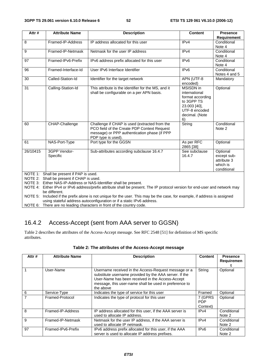| Attr#    | <b>Attribute Name</b>                                                                                                                                                                                                                                                                                      | <b>Description</b>                                                                                                                                                                          | <b>Content</b>                                                                                                        | <b>Presence</b>                                                   |  |  |
|----------|------------------------------------------------------------------------------------------------------------------------------------------------------------------------------------------------------------------------------------------------------------------------------------------------------------|---------------------------------------------------------------------------------------------------------------------------------------------------------------------------------------------|-----------------------------------------------------------------------------------------------------------------------|-------------------------------------------------------------------|--|--|
|          |                                                                                                                                                                                                                                                                                                            |                                                                                                                                                                                             |                                                                                                                       | <b>Requirement</b>                                                |  |  |
| 8        | Framed-IP-Address                                                                                                                                                                                                                                                                                          | IP address allocated for this user                                                                                                                                                          | IPv4                                                                                                                  | Conditional<br>Note 4                                             |  |  |
| 9        | Framed-IP-Netmask                                                                                                                                                                                                                                                                                          | Netmask for the user IP address                                                                                                                                                             | IPv4                                                                                                                  | Conditional<br>Note 4                                             |  |  |
| 97       | Framed-IPv6-Prefix                                                                                                                                                                                                                                                                                         | IPv6 address prefix allocated for this user                                                                                                                                                 | IP <sub>v6</sub>                                                                                                      | Conditional<br>Note 4                                             |  |  |
| 96       | Framed-Interface-Id                                                                                                                                                                                                                                                                                        | User IPv6 Interface Identifier                                                                                                                                                              | IP <sub>v6</sub>                                                                                                      | Conditional<br>Notes 4 and 5                                      |  |  |
| 30       | Called-Station-Id                                                                                                                                                                                                                                                                                          | Identifier for the target network                                                                                                                                                           | APN (UTF-8<br>encoded)                                                                                                | Mandatory                                                         |  |  |
| 31       | Calling-Station-Id                                                                                                                                                                                                                                                                                         | This attribute is the identifier for the MS, and it<br>shall be configurable on a per APN basis.                                                                                            | MSISDN in<br>international<br>format according<br>to 3GPP TS<br>23.003 [40],<br>UTF-8 encoded<br>decimal. (Note<br>6) | Optional                                                          |  |  |
| 60       | CHAP-Challenge                                                                                                                                                                                                                                                                                             | Challenge if CHAP is used (extracted from the<br>PCO field of the Create PDP Context Request<br>message) or PPP authentication phase (if PPP<br>PDP type is used).                          | String                                                                                                                | Conditional<br>Note 2                                             |  |  |
| 61       | NAS-Port-Type                                                                                                                                                                                                                                                                                              | Port type for the GGSN                                                                                                                                                                      | As per RFC<br>2865 [38]                                                                                               | Optional                                                          |  |  |
| 26/10415 | 3GPP Vendor-<br>Specific                                                                                                                                                                                                                                                                                   | Sub-attributes according subclause 16.4.7                                                                                                                                                   | See subclause<br>16.4.7                                                                                               | Optional<br>except sub-<br>attribute 3<br>which is<br>conditional |  |  |
|          | NOTE 1: Shall be present if PAP is used.<br>NOTE 2: Shall be present if CHAP is used.<br>NOTE 3: Either NAS-IP-Address or NAS-Identifier shall be present.<br>NOTE 4: Either IPv4 or IPv6 address/prefix attribute shall be present. The IP protocol version for end-user and network may<br>be different. |                                                                                                                                                                                             |                                                                                                                       |                                                                   |  |  |
| NOTE 5:  |                                                                                                                                                                                                                                                                                                            | Included if the prefix alone is not unique for the user. This may be the case, for example, if address is assigned<br>using stateful address autoconfiguration or if a static IPv6 address. |                                                                                                                       |                                                                   |  |  |
|          | NOTE 6: There are no leading characters in front of the country code.                                                                                                                                                                                                                                      |                                                                                                                                                                                             |                                                                                                                       |                                                                   |  |  |

## 16.4.2 Access-Accept (sent from AAA server to GGSN)

Table 2 describes the attributes of the Access-Accept message. See RFC 2548 [51] for definition of MS specific attributes.

| Attr# | <b>Attribute Name</b> | <b>Description</b>                                                                                                                                                                                                                        | <b>Content</b>                     | <b>Presence</b><br>Requiremen |
|-------|-----------------------|-------------------------------------------------------------------------------------------------------------------------------------------------------------------------------------------------------------------------------------------|------------------------------------|-------------------------------|
|       | User-Name             | Username received in the Access-Request message or a<br>substitute username provided by the AAA server. If the<br>User-Name has been received in the Access-Accept<br>message, this user-name shall be used in preference to<br>the above | String                             | Optional                      |
| 6     | Service-Type          | Indicates the type of service for this user                                                                                                                                                                                               | Framed                             | Optional                      |
|       | Framed-Protocol       | Indicates the type of protocol for this user                                                                                                                                                                                              | 7 (GPRS)<br><b>PDP</b><br>Context) | Optional                      |
| 8     | Framed-IP-Address     | IP address allocated for this user, if the AAA server is<br>used to allocate IP address.                                                                                                                                                  | IPv4                               | Conditional<br>Note 2         |
| 9     | Framed-IP-Netmask     | Netmask for the user IP address, if the AAA server is<br>used to allocate IP netmask.                                                                                                                                                     | IPv4                               | Conditional<br>Note 2         |
| 97    | Framed-IPv6-Prefix    | IPv6 address prefix allocated for this user, if the AAA<br>server is used to allocate IP address prefixes.                                                                                                                                | IP <sub>v6</sub>                   | Conditional<br>Note 2         |

#### **Table 2: The attributes of the Access-Accept message**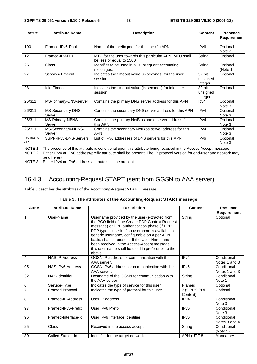| Attr#                         | <b>Attribute Name</b>                                                   | <b>Description</b>                                                                                                                                                                                                                   | <b>Content</b>                | <b>Presence</b>      |
|-------------------------------|-------------------------------------------------------------------------|--------------------------------------------------------------------------------------------------------------------------------------------------------------------------------------------------------------------------------------|-------------------------------|----------------------|
|                               |                                                                         |                                                                                                                                                                                                                                      |                               | Requiremen           |
| 100                           | Framed-IPv6-Pool                                                        | Name of the prefix pool for the specific APN                                                                                                                                                                                         | IP <sub>v6</sub>              | Optional<br>Note 2   |
| 12                            | Framed-IP-MTU                                                           | MTU for the user towards this particular APN, MTU shall<br>be less or equal to 1500                                                                                                                                                  | String                        | Optional             |
| 25                            | Class                                                                   | Identifier to be used in all subsequent accounting<br>messages.                                                                                                                                                                      | String                        | Optional<br>(Note 1) |
| 27                            | Session-Timeout                                                         | Indicates the timeout value (in seconds) for the user<br>session                                                                                                                                                                     | 32 bit<br>unsigned<br>Integer | Optional             |
| 28                            | Idle-Timeout                                                            | Indicates the timeout value (in seconds) for idle user<br>session                                                                                                                                                                    | 32 bit<br>unsigned<br>Integer | Optional             |
| 26/311                        | MS- primary-DNS-server                                                  | Contains the primary DNS server address for this APN                                                                                                                                                                                 | $\text{lpv4}$                 | Optional<br>Note 3   |
| 26/311                        | MS-Secondary-DNS-<br>Server                                             | Contains the secondary DNS server address for this APN                                                                                                                                                                               | IPv4                          | Optional<br>Note 3   |
| 26/311                        | MS-Primary-NBNS-<br>Server                                              | Contains the primary NetBios name server address for<br>this APN                                                                                                                                                                     | IP <sub>v4</sub>              | Optional<br>Note 3   |
| 26/311                        | MS-Secondary-NBNS-<br>Server                                            | Contains the secondary NetBios server address for this<br><b>APN</b>                                                                                                                                                                 | IPv4                          | Optional<br>Note 3   |
| 26/10415<br>/17               | 3GPP-IPv6-DNS-Servers                                                   | List of IPv6 addresses of DNS servers for this APN                                                                                                                                                                                   | IP <sub>v6</sub>              | Optional<br>Note 3   |
| NOTE 1:<br>NOTE 2:<br>NOTE 3: | be different.<br>Either IPv4 or IPv6 address attribute shall be present | The presence of this attribute is conditional upon this attribute being received in the Access-Accept message<br>Either IPv4 or IPv6 address/prefix attribute shall be present. The IP protocol version for end-user and network may |                               |                      |

## 16.4.3 Accounting-Request START (sent from GGSN to AAA server)

Table 3 describes the attributes of the Accounting-Request START message.

## **Table 3: The attributes of the Accounting-Request START message**

| Attr#          | <b>Attribute Name</b>  | <b>Description</b>                                                                                                                                                                                                                                                                                                                                                                                                | <b>Content</b>          | <b>Presence</b>              |
|----------------|------------------------|-------------------------------------------------------------------------------------------------------------------------------------------------------------------------------------------------------------------------------------------------------------------------------------------------------------------------------------------------------------------------------------------------------------------|-------------------------|------------------------------|
|                |                        |                                                                                                                                                                                                                                                                                                                                                                                                                   |                         | Requirement                  |
| $\mathbf{1}$   | User-Name              | Username provided by the user (extracted from<br>the PCO field of the Create PDP Context Request<br>message) or PPP authentication phase (if PPP<br>PDP type is used). If no username is available a<br>generic username, configurable on a per APN<br>basis, shall be present. If the User-Name has<br>been received in the Access-Accept message,<br>this user-name shall be used in preference to the<br>above | String                  | Optional                     |
| $\overline{4}$ | NAS-IP-Address         | GGSN IP address for communication with the<br>AAA server.                                                                                                                                                                                                                                                                                                                                                         | IPv4                    | Conditional<br>Notes 1 and 3 |
| 95             | NAS-IPv6-Address       | GGSN IPv6 address for communication with the<br>AAA server.                                                                                                                                                                                                                                                                                                                                                       | IP <sub>v6</sub>        | Conditional<br>Notes 1 and 3 |
| 32             | NAS-Identifier         | Hostname of the GGSN for communication with<br>the AAA server.                                                                                                                                                                                                                                                                                                                                                    | String                  | Conditional<br>Note 1        |
| $\,6$          | Service-Type           | Indicates the type of service for this user                                                                                                                                                                                                                                                                                                                                                                       | Framed                  | Optional                     |
| $\overline{7}$ | <b>Framed Protocol</b> | Indicates the type of protocol for this user                                                                                                                                                                                                                                                                                                                                                                      | 7 (GPRS PDP<br>Context) | Optional                     |
| 8              | Framed-IP-Address      | User IP address                                                                                                                                                                                                                                                                                                                                                                                                   | IPv4                    | Conditional<br>Note 3        |
| 97             | Framed-IPv6-Prefix     | User IPv6 Prefix                                                                                                                                                                                                                                                                                                                                                                                                  | IP <sub>v6</sub>        | Conditional<br>Note 3        |
| 96             | Framed-Interface-Id    | User IPv6 Interface Identifier                                                                                                                                                                                                                                                                                                                                                                                    | IP <sub>v6</sub>        | Conditional<br>Notes 3 and 4 |
| 25             | Class                  | Received in the access accept                                                                                                                                                                                                                                                                                                                                                                                     | String                  | Conditional<br>(Note 2)      |
| 30             | Called-Station-Id      | Identifier for the target network                                                                                                                                                                                                                                                                                                                                                                                 | APN (UTF-8              | Mandatory                    |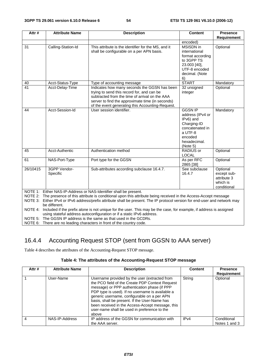| Attr#                                                                                                                                                                                                                                                                                                                                                                                                                                                                                                                                                                                                                      | <b>Attribute Name</b>    | <b>Description</b>                                                                                                                                                                                                                                   | Content                                                                                                                             | <b>Presence</b>                                                   |
|----------------------------------------------------------------------------------------------------------------------------------------------------------------------------------------------------------------------------------------------------------------------------------------------------------------------------------------------------------------------------------------------------------------------------------------------------------------------------------------------------------------------------------------------------------------------------------------------------------------------------|--------------------------|------------------------------------------------------------------------------------------------------------------------------------------------------------------------------------------------------------------------------------------------------|-------------------------------------------------------------------------------------------------------------------------------------|-------------------------------------------------------------------|
|                                                                                                                                                                                                                                                                                                                                                                                                                                                                                                                                                                                                                            |                          |                                                                                                                                                                                                                                                      |                                                                                                                                     | <b>Requirement</b>                                                |
|                                                                                                                                                                                                                                                                                                                                                                                                                                                                                                                                                                                                                            |                          |                                                                                                                                                                                                                                                      | encoded)                                                                                                                            |                                                                   |
| 31                                                                                                                                                                                                                                                                                                                                                                                                                                                                                                                                                                                                                         | Calling-Station-Id       | This attribute is the identifier for the MS, and it<br>shall be configurable on a per APN basis.                                                                                                                                                     | <b>MSISDN</b> in<br>international<br>format according<br>to 3GPP TS<br>23.003 [40],<br>UTF-8 encoded<br>decimal. (Note<br>6)        | Optional                                                          |
| 40                                                                                                                                                                                                                                                                                                                                                                                                                                                                                                                                                                                                                         | Acct-Status-Type         | Type of accounting message                                                                                                                                                                                                                           | <b>START</b>                                                                                                                        | Mandatory                                                         |
| 41                                                                                                                                                                                                                                                                                                                                                                                                                                                                                                                                                                                                                         | Acct-Delay-Time          | Indicates how many seconds the GGSN has been<br>trying to send this record for, and can be<br>subtracted from the time of arrival on the AAA<br>server to find the approximate time (in seconds)<br>of the event generating this Accounting-Request. | 32 unsigned<br>integer                                                                                                              | Optional                                                          |
| 44                                                                                                                                                                                                                                                                                                                                                                                                                                                                                                                                                                                                                         | Acct-Session-Id          | User session identifier.                                                                                                                                                                                                                             | <b>GGSN IP</b><br>address (IPv4 or<br>IPv6) and<br>Charging-ID<br>concatenated in<br>a UTF-8<br>encoded<br>hexadecimal.<br>(Note 5) | Mandatory                                                         |
| 45                                                                                                                                                                                                                                                                                                                                                                                                                                                                                                                                                                                                                         | Acct-Authentic           | Authentication method                                                                                                                                                                                                                                | RADIUS or<br><b>LOCAL</b>                                                                                                           | Optional                                                          |
| 61                                                                                                                                                                                                                                                                                                                                                                                                                                                                                                                                                                                                                         | NAS-Port-Type            | Port type for the GGSN                                                                                                                                                                                                                               | As per RFC<br>2865 [38]                                                                                                             | Optional                                                          |
| 26/10415                                                                                                                                                                                                                                                                                                                                                                                                                                                                                                                                                                                                                   | 3GPP Vendor-<br>Specific | Sub-attributes according subclause 16.4.7.                                                                                                                                                                                                           | See subclause<br>16.4.7                                                                                                             | Optional<br>except sub-<br>attribute 3<br>which is<br>conditional |
| NOTE 1: Either NAS-IP-Address or NAS-Identifier shall be present.<br>NOTE 2: The presence of this attribute is conditional upon this attribute being received in the Access-Accept message<br>NOTE 3: Either IPv4 or IPv6 address/prefix attribute shall be present. The IP protocol version for end-user and network may<br>be different.<br>NOTE 4:<br>Included if the prefix alone is not unique for the user. This may be the case, for example, if address is assigned<br>using stateful address autoconfiguration or if a static IPv6 address.<br>NOTE 5: The GGSN IP address is the same as that used in the GCDRs. |                          |                                                                                                                                                                                                                                                      |                                                                                                                                     |                                                                   |

NOTE 6: There are no leading characters in front of the country code.

## 16.4.4 Accounting Request STOP (sent from GGSN to AAA server)

Table 4 describes the attributes of the Accounting-Request STOP message.

### **Table 4: The attributes of the Accounting-Request STOP message**

| Attr#          | <b>Attribute Name</b> | <b>Description</b>                                                                                                                                                                                                                                                                                                                                                                                                | <b>Content</b> | <b>Presence</b><br><b>Requirement</b> |
|----------------|-----------------------|-------------------------------------------------------------------------------------------------------------------------------------------------------------------------------------------------------------------------------------------------------------------------------------------------------------------------------------------------------------------------------------------------------------------|----------------|---------------------------------------|
|                | User-Name             | Username provided by the user (extracted from<br>the PCO field of the Create PDP Context Request<br>message) or PPP authentication phase (if PPP<br>PDP type is used). If no username is available a<br>generic username, configurable on a per APN<br>basis, shall be present. If the User-Name has<br>been received in the Access-Accept message, this<br>user-name shall be used in preference to the<br>above | String         | Optional                              |
| $\overline{4}$ | NAS-IP-Address        | IP address of the GGSN for communication with<br>the AAA server.                                                                                                                                                                                                                                                                                                                                                  | IPv4           | Conditional<br>Notes 1 and 3          |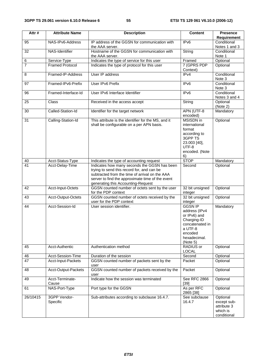| Attr#           | <b>Attribute Name</b>    | <b>Description</b>                                                                                                                                                                                                                     | <b>Content</b>                                                                                                                      | <b>Presence</b><br><b>Requirement</b>                             |
|-----------------|--------------------------|----------------------------------------------------------------------------------------------------------------------------------------------------------------------------------------------------------------------------------------|-------------------------------------------------------------------------------------------------------------------------------------|-------------------------------------------------------------------|
| 95              | NAS-IPv6-Address         | IP address of the GGSN for communication with<br>the AAA server.                                                                                                                                                                       | IP <sub>v6</sub>                                                                                                                    | Conditional<br>Notes 1 and 3                                      |
| 32              | NAS-Identifier           | Hostname of the GGSN for communication with<br>the AAA server.                                                                                                                                                                         | String                                                                                                                              | Conditional<br>Note 1                                             |
| $6 \overline{}$ | Service-Type             | Indicates the type of service for this user                                                                                                                                                                                            | Framed                                                                                                                              | Optional                                                          |
| $\overline{7}$  | <b>Framed Protocol</b>   | Indicates the type of protocol for this user                                                                                                                                                                                           | 7 (GPRS PDP<br>Context)                                                                                                             | Optional                                                          |
| 8               | Framed-IP-Address        | User IP address                                                                                                                                                                                                                        | IPv4                                                                                                                                | Conditional<br>Note 3                                             |
| 97              | Framed-IPv6-Prefix       | User IPv6 Prefix                                                                                                                                                                                                                       | IPv6                                                                                                                                | Conditional<br>Note 3                                             |
| 96              | Framed-Interface-Id      | User IPv6 Interface Identifier                                                                                                                                                                                                         | IP <sub>v6</sub>                                                                                                                    | Conditional<br>Notes 3 and 4                                      |
| 25              | Class                    | Received in the access accept                                                                                                                                                                                                          | String                                                                                                                              | Optional<br>(Note 2)                                              |
| 30              | Called-Station-Id        | Identifier for the target network                                                                                                                                                                                                      | APN (UTF-8<br>encoded)                                                                                                              | Mandatory                                                         |
| 31              | Calling-Station-Id       | This attribute is the identifier for the MS, and it<br>shall be configurable on a per APN basis.                                                                                                                                       | <b>MSISDN</b> in<br>international<br>format<br>according to<br>3GPP TS<br>23.003 [40],<br>UTF-8<br>encoded. (Note<br>6)             | Optional                                                          |
| 40              | Acct-Status-Type         | Indicates the type of accounting request                                                                                                                                                                                               | <b>STOP</b>                                                                                                                         | Mandatory                                                         |
| 41              | Acct-Delay-Time          | Indicates how many seconds the GGSN has been<br>trying to send this record for, and can be<br>subtracted from the time of arrival on the AAA<br>server to find the approximate time of the event<br>generating this Accounting-Request | Second                                                                                                                              | Optional                                                          |
| 42              | Acct-Input-Octets        | GGSN counted number of octets sent by the user<br>for the PDP context                                                                                                                                                                  | 32 bit unsigned<br>integer                                                                                                          | Optional                                                          |
| 43              | Acct-Output-Octets       | GGSN counted number of octets received by the<br>user for the PDP context                                                                                                                                                              | 32 bit unsigned<br>integer                                                                                                          | Optional                                                          |
| 44              | Acct-Session-Id          | User session identifier.                                                                                                                                                                                                               | <b>GGSN IP</b><br>address (IPv4<br>or IPv6) and<br>Charging-ID<br>concatenated in<br>a UTF-8<br>encoded<br>hexadecimal.<br>(Note 5) | Mandatory                                                         |
| 45              | Acct-Authentic           | Authentication method                                                                                                                                                                                                                  | RADIUS or<br><b>LOCAL</b>                                                                                                           | Optional                                                          |
| 46              | Acct-Session-Time        | Duration of the session                                                                                                                                                                                                                | Second                                                                                                                              | Optional                                                          |
| 47              | Acct-Input-Packets       | GGSN counted number of packets sent by the<br>user                                                                                                                                                                                     | Packet                                                                                                                              | Optional                                                          |
| 48              | Acct-Output-Packets      | GGSN counted number of packets received by the<br>user                                                                                                                                                                                 | Packet                                                                                                                              | Optional                                                          |
| 49              | Acct-Terminate-<br>Cause | Indicate how the session was terminated                                                                                                                                                                                                | See RFC 2866<br>$[39]$                                                                                                              | Optional                                                          |
| 61              | NAS-Port-Type            | Port type for the GGSN                                                                                                                                                                                                                 | As per RFC<br>2865 [38]                                                                                                             | Optional                                                          |
| 26/10415        | 3GPP Vendor-<br>Specific | Sub-attributes according to subclause 16.4.7.                                                                                                                                                                                          | See subclause<br>16.4.7                                                                                                             | Optional<br>except sub-<br>attribute 3<br>which is<br>conditional |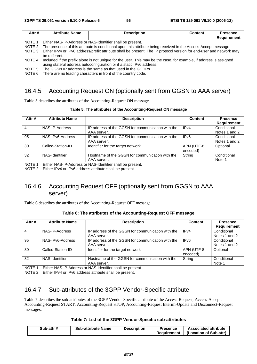| Attr# | <b>Attribute Name</b> | <b>Description</b>                                                                                                          | <b>Content</b> | <b>Presence</b> |
|-------|-----------------------|-----------------------------------------------------------------------------------------------------------------------------|----------------|-----------------|
|       |                       |                                                                                                                             |                | Requirement     |
|       |                       | NOTE 1: Either NAS-IP-Address or NAS-Identifier shall be present.                                                           |                |                 |
|       |                       | NOTE 2: The presence of this attribute is conditional upon this attribute being received in the Access-Accept message       |                |                 |
|       |                       | NOTE 3: Either IPv4 or IPv6 address/prefix attribute shall be present. The IP protocol version for end-user and network may |                |                 |
|       | be different.         |                                                                                                                             |                |                 |
|       |                       | NOTE 4: Included if the prefix alone is not unique for the user. This may be the case, for example, if address is assigned  |                |                 |
|       |                       | using stateful address autoconfiguration or if a static IPv6 address.                                                       |                |                 |
|       |                       | NOTE 5: The GGSN IP address is the same as that used in the GCDRs.                                                          |                |                 |
|       |                       | NOTE 6: There are no leading characters in front of the country code.                                                       |                |                 |

## 16.4.5 Accounting Request ON (optionally sent from GGSN to AAA server)

Table 5 describes the attributes of the Accounting-Request ON message.

| Attr#          | <b>Attribute Name</b>                                             | <b>Description</b>                                               | <b>Content</b>         | <b>Presence</b><br><b>Requirement</b> |  |  |
|----------------|-------------------------------------------------------------------|------------------------------------------------------------------|------------------------|---------------------------------------|--|--|
| $\overline{4}$ | NAS-IP-Address                                                    | IP address of the GGSN for communication with the<br>AAA server. | IPv4                   | Conditional<br>Notes 1 and 2          |  |  |
| 95             | NAS-IPv6-Address                                                  | IP address of the GGSN for communication with the<br>AAA server. | IP <sub>v6</sub>       | Conditional<br>Notes 1 and 2          |  |  |
| 30             | Called-Station-ID                                                 | Identifier for the target network.                               | APN (UTF-8<br>encoded) | Optional                              |  |  |
| 32             | NAS-Identifier                                                    | Hostname of the GGSN for communication with the<br>AAA server.   | String                 | Conditional<br>Note 1                 |  |  |
|                | NOTE 1: Either NAS-IP-Address or NAS-Identifier shall be present. |                                                                  |                        |                                       |  |  |
|                |                                                                   | NOTE 2: Either IPv4 or IPv6 address attribute shall be present.  |                        |                                       |  |  |

## 16.4.6 Accounting Request OFF (optionally sent from GGSN to AAA server)

Table 6 describes the attributes of the Accounting-Request OFF message.

| Table 6: The attributes of the Accounting-Request OFF message |  |  |
|---------------------------------------------------------------|--|--|
|---------------------------------------------------------------|--|--|

| Attr#          | <b>Attribute Name</b>                                           | <b>Description</b>                                                | <b>Content</b>   | <b>Presence</b>    |  |  |  |  |
|----------------|-----------------------------------------------------------------|-------------------------------------------------------------------|------------------|--------------------|--|--|--|--|
|                |                                                                 |                                                                   |                  | <b>Requirement</b> |  |  |  |  |
| $\overline{4}$ | NAS-IP-Address                                                  | IP address of the GGSN for communication with the                 | IPv4             | Conditional        |  |  |  |  |
|                |                                                                 | AAA server.                                                       |                  | Notes 1 and 2      |  |  |  |  |
| 95             | NAS-IPv6-Address                                                | IP address of the GGSN for communication with the                 | IP <sub>v6</sub> | Conditional        |  |  |  |  |
|                |                                                                 | AAA server.                                                       |                  | Notes 1 and 2      |  |  |  |  |
| 30             | Called-Station-ID                                               | Identifier for the target network.                                | APN (UTF-8       | Optional           |  |  |  |  |
|                |                                                                 |                                                                   | encoded)         |                    |  |  |  |  |
| 32             | NAS-Identifier                                                  | Hostname of the GGSN for communication with the                   | String           | Conditional        |  |  |  |  |
|                |                                                                 | AAA server.                                                       |                  | Note 1             |  |  |  |  |
|                |                                                                 | NOTE 1: Either NAS-IP-Address or NAS-Identifier shall be present. |                  |                    |  |  |  |  |
|                | NOTE 2: Either IPv4 or IPv6 address attribute shall be present. |                                                                   |                  |                    |  |  |  |  |

## 16.4.7 Sub-attributes of the 3GPP Vendor-Specific attribute

Table 7 describes the sub-attributes of the 3GPP Vendor-Specific attribute of the Access-Request, Access-Accept, Accounting-Request START, Accounting-Request STOP, Accounting-Request Interim-Update and Disconnect-Request messages.

### **Table 7: List of the 3GPP Vendor-Specific sub-attributes**

| Sub-attr# | <b>Sub-attribute Name</b> | <b>Description</b> | Presence    | <b>Associated attribute</b> |
|-----------|---------------------------|--------------------|-------------|-----------------------------|
|           |                           |                    | Requirement | L (Location of Sub-attr)    |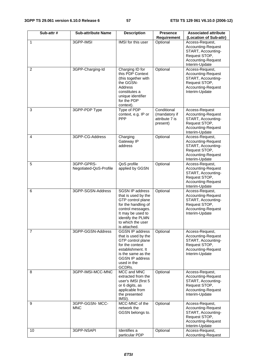| Sub-attr#      | <b>Sub-attribute Name</b>            | <b>Description</b>                                                                                                                                                                     | <b>Presence</b><br><b>Requirement</b>                      | <b>Associated attribute</b><br>(Location of Sub-attr)                                                                |  |  |
|----------------|--------------------------------------|----------------------------------------------------------------------------------------------------------------------------------------------------------------------------------------|------------------------------------------------------------|----------------------------------------------------------------------------------------------------------------------|--|--|
| $\mathbf{1}$   | 3GPP-IMSI                            | IMSI for this user                                                                                                                                                                     | Optional                                                   | Access-Request,<br>Accounting-Request<br>START, Accounting-<br>Request STOP,<br>Accounting-Request<br>Interim-Update |  |  |
| $\overline{2}$ | 3GPP-Charging-Id                     | Charging ID for<br>this PDP Context<br>(this together with<br>the GGSN-<br>Address<br>constitutes a<br>unique identifier<br>for the PDP<br>context).                                   | Optional                                                   | Access-Request,<br>Accounting-Request<br>START, Accounting-<br>Request STOP,<br>Accounting-Request<br>Interim-Update |  |  |
| 3              | 3GPP-PDP Type                        | Type of PDP<br>context, e.g. IP or<br><b>PPP</b>                                                                                                                                       | Conditional<br>(mandatory if<br>attribute 7 is<br>present) | Access-Request<br>Accounting-Request<br>START, Accounting-<br>Request STOP,<br>Accounting-Request<br>Interim-Update  |  |  |
| $\overline{4}$ | 3GPP-CG-Address                      | Charging<br>Gateway IP<br>address                                                                                                                                                      | Optional                                                   | Access-Request,<br>Accounting-Request<br>START, Accounting-<br>Request STOP,<br>Accounting-Request<br>Interim-Update |  |  |
| 5              | 3GPP-GPRS-<br>Negotiated-QoS-Profile | QoS profile<br>applied by GGSN                                                                                                                                                         | Optional                                                   | Access-Request,<br>Accounting-Request<br>START, Accounting-<br>Request STOP,<br>Accounting-Request<br>Interim-Update |  |  |
| 6              | 3GPP-SGSN-Address                    | SGSN IP address<br>that is used by the<br>GTP control plane<br>for the handling of<br>control messages.<br>It may be used to<br>identify the PLMN<br>to which the user<br>is attached. | Optional                                                   | Access-Request,<br>Accounting-Request<br>START, Accounting-<br>Request STOP,<br>Accounting-Request<br>Interim-Update |  |  |
| $\overline{7}$ | 3GPP-GGSN-Address                    | <b>GGSN IP address</b><br>that is used by the<br>GTP control plane<br>for the context<br>establishment. It<br>is the same as the<br><b>GGSN IP address</b><br>used in the<br>GCDRs.    | Optional                                                   | Access-Request,<br>Accounting-Request<br>START, Accounting-<br>Request STOP,<br>Accounting-Request<br>Interim-Update |  |  |
| 8              | 3GPP-IMSI-MCC-MNC                    | MCC and MNC<br>extracted from the<br>user's IMSI (first 5<br>or 6 digits, as<br>applicable from<br>the presented<br>IMSI).                                                             | Optional                                                   | Access-Request,<br>Accounting-Request<br>START, Accounting-<br>Request STOP,<br>Accounting-Request<br>Interim-Update |  |  |
| 9              | 3GPP-GGSN-MCC-<br><b>MNC</b>         | MCC-MNC of the<br>network the<br>GGSN belongs to.                                                                                                                                      | Optional                                                   | Access-Request,<br>Accounting-Request<br>START, Accounting-<br>Request STOP,<br>Accounting-Request<br>Interim-Update |  |  |
| 10             | 3GPP-NSAPI                           | Identifies a<br>particular PDP                                                                                                                                                         | Optional                                                   | Access-Request,<br>Accounting-Request                                                                                |  |  |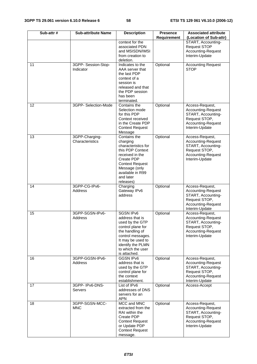| Sub-attr# | <b>Sub-attribute Name</b>         | <b>Description</b>                                                                                                                                                                            | <b>Presence</b><br><b>Requirement</b> | <b>Associated attribute</b><br>(Location of Sub-attr)                                                                |
|-----------|-----------------------------------|-----------------------------------------------------------------------------------------------------------------------------------------------------------------------------------------------|---------------------------------------|----------------------------------------------------------------------------------------------------------------------|
|           |                                   | context for the<br>associated PDN<br>and MSISDN/IMSI<br>from creation to<br>deletion.                                                                                                         |                                       | START, Accounting-<br><b>Request STOP</b><br>Accounting-Request<br>Interim-Update                                    |
| 11        | 3GPP- Session-Stop-<br>Indicator  | Indicates to the<br>AAA server that<br>the last PDP<br>context of a<br>session is<br>released and that<br>the PDP session<br>has been<br>terminated.                                          | Optional                              | <b>Accounting Request</b><br>STOP                                                                                    |
| 12        | 3GPP- Selection-Mode              | Contains the<br>Selection mode<br>for this PDP<br>Context received<br>in the Create PDP<br><b>Context Request</b><br>Message                                                                  | Optional                              | Access-Request,<br>Accounting-Request<br>START, Accounting-<br>Request STOP,<br>Accounting-Request<br>Interim-Update |
| 13        | 3GPP-Charging-<br>Characteristics | Contains the<br>charging<br>characteristics for<br>this PDP Context<br>received in the<br>Create PDP<br><b>Context Request</b><br>Message (only<br>available in R99<br>and later<br>releases) | Optional                              | Access-Request,<br>Accounting-Request<br>START, Accounting-<br>Request STOP,<br>Accounting-Request<br>Interim-Update |
| 14        | 3GPP-CG-IPv6-<br>Address          | Charging<br>Gateway IPv6<br>address                                                                                                                                                           | Optional                              | Access-Request,<br>Accounting-Request<br>START, Accounting-<br>Request STOP,<br>Accounting-Request<br>Interim-Update |
| 15        | 3GPP-SGSN-IPv6-<br>Address        | SGSN IPv6<br>address that is<br>used by the GTP<br>control plane for<br>the handling of<br>control messages.<br>It may be used to<br>identify the PLMN<br>to which the user<br>is attached.   | Optional                              | Access-Request,<br>Accounting-Request<br>START, Accounting-<br>Request STOP,<br>Accounting-Request<br>Interim-Update |
| 16        | 3GPP-GGSN-IPv6-<br>Address        | <b>GGSN IPv6</b><br>address that is<br>used by the GTP<br>control plane for<br>the context<br>establishment.                                                                                  | Optional                              | Access-Request,<br>Accounting-Request<br>START, Accounting-<br>Request STOP,<br>Accounting-Request<br>Interim-Update |
| 17        | 3GPP- IPv6-DNS-<br><b>Servers</b> | List of IPv6<br>addresses of DNS<br>servers for an<br><b>APN</b>                                                                                                                              | Optional                              | Access-Accept                                                                                                        |
| 18        | 3GPP-SGSN-MCC-<br><b>MNC</b>      | MCC and MNC<br>extracted from the<br>RAI within the<br>Create PDP<br><b>Context Request</b><br>or Update PDP<br><b>Context Request</b><br>message.                                            | Optional                              | Access-Request,<br>Accounting-Request<br>START, Accounting-<br>Request STOP,<br>Accounting-Request<br>Interim-Update |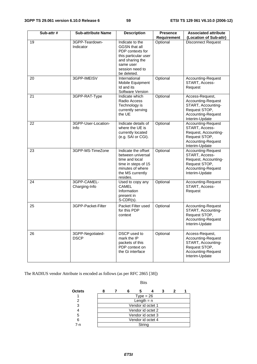| Sub-attr# | <b>Sub-attribute Name</b>       | <b>Description</b>                                                                                                                                    | <b>Presence</b>    | <b>Associated attribute</b>                                                                                                 |
|-----------|---------------------------------|-------------------------------------------------------------------------------------------------------------------------------------------------------|--------------------|-----------------------------------------------------------------------------------------------------------------------------|
|           |                                 |                                                                                                                                                       | <b>Requirement</b> | (Location of Sub-attr)                                                                                                      |
| 19        | 3GPP-Teardown-<br>Indicator     | Indicate to the<br><b>GGSN that all</b><br>PDP contexts for<br>this particular user<br>and sharing the<br>same user<br>session need to<br>be deleted. | Optional           | <b>Disconnect Request</b>                                                                                                   |
| 20        | 3GPP-IMEISV                     | International<br>Mobile Equipment<br>Id and its<br>Software Version                                                                                   | Optional           | Accounting-Request<br>START, Access-<br>Request                                                                             |
| 21        | 3GPP-RAT-Type                   | Indicate which<br>Radio Access<br>Technology is<br>currently serving<br>the UE                                                                        | Optional           | Access-Request,<br>Accounting-Request<br>START, Accounting-<br>Request STOP,<br>Accounting-Request<br>Interim-Update        |
| 22        | 3GPP-User-Location-<br>Info     | Indicate details of<br>where the UE is<br>currently located<br>(e.g. SAI or CGI).                                                                     | Optional           | Accounting-Request<br>START, Access-<br>Request, Accounting-<br>Request STOP,<br>Accounting-Request<br>Interim-Update       |
| 23        | 3GPP-MS-TimeZone                | Indicate the offset<br>between universal<br>time and local<br>time in steps of 15<br>minutes of where<br>the MS currently<br>resides.                 | Optional           | Accounting-Request<br>START, Access-<br>Request, Accounting-<br>Request STOP,<br>Accounting-Request<br>Interim-Update       |
| 24        | 3GPP-CAMEL-<br>Charging-Info    | Used to copy any<br><b>CAMEL</b><br>Information<br>present in<br>$S-CDR(s)$ .                                                                         | Optional           | Accounting-Request<br>START, Access-<br>Request                                                                             |
| 25        | 3GPP-Packet-Filter              | Packet Filter used<br>for this PDP<br>context                                                                                                         | Optional           | Accounting-Request<br>START, Accounting-<br>Request STOP,<br>Accounting-Request<br>Interim-Update                           |
| 26        | 3GPP-Negotiated-<br><b>DSCP</b> | DSCP used to<br>mark the IP<br>packets of this<br>PDP context on<br>the Gi interface                                                                  | Optional           | Access-Request,<br><b>Accounting-Request</b><br>START, Accounting-<br>Request STOP,<br>Accounting-Request<br>Interim-Update |

The RADIUS vendor Attribute is encoded as follows (as per RFC 2865 [38])

**Octets 8 7 6 5 4 3 2 1**   $\frac{1}{2}$  Type = 26<br>Length = n 2 Length = n 3 Vendor id octet 1<br>4 Vendor id octet 2 4 Vendor id octet 2<br>5 Vendor id octet 3 5 Vendor id octet 3<br>6 Vendor id octet 4 6 Vendor id octet 4<br>
7-n String String

Bits

**ETSI**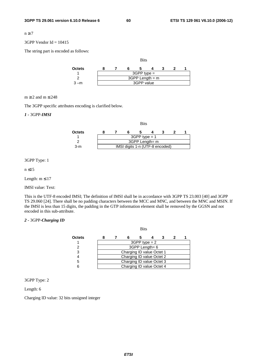#### $n \geq 7$

#### $3GPP$  Vendor Id = 10415

The string part is encoded as follows:



#### $m \ge 2$  and  $m \le 248$

The 3GPP specific attributes encoding is clarified below.

#### *1 -* 3GPP-*IMSI*

|               |                 |                                 | <b>Bits</b> |  |  |  |  |  |  |  |
|---------------|-----------------|---------------------------------|-------------|--|--|--|--|--|--|--|
| <b>Octets</b> |                 |                                 |             |  |  |  |  |  |  |  |
|               | $3GPP$ type = 1 |                                 |             |  |  |  |  |  |  |  |
|               | 3GPP Length= m  |                                 |             |  |  |  |  |  |  |  |
| $3-m$         |                 | IMSI digits 1-n (UTF-8 encoded) |             |  |  |  |  |  |  |  |

#### 3GPP Type: 1

n ≤15

Length:  $m \leq 17$ 

IMSI value: Text:

This is the UTF-8 encoded IMSI; The definition of IMSI shall be in accordance with 3GPP TS 23.003 [40] and 3GPP TS 29.060 [24]. There shall be no padding characters between the MCC and MNC, and between the MNC and MSIN. If the IMSI is less than 15 digits, the padding in the GTP information element shall be removed by the GGSN and not encoded in this sub-attribute.

#### *2 -* 3GPP-*Charging ID*

|        |                           |                           | <b>Bits</b> |  |  |  |  |  |  |
|--------|---------------------------|---------------------------|-------------|--|--|--|--|--|--|
| Octets |                           | 6                         |             |  |  |  |  |  |  |
|        | $3GPP$ type = 2           |                           |             |  |  |  |  |  |  |
| 2      | 3GPP Length= 6            |                           |             |  |  |  |  |  |  |
| 3      |                           | Charging ID value Octet 1 |             |  |  |  |  |  |  |
|        |                           | Charging ID value Octet 2 |             |  |  |  |  |  |  |
| 5      | Charging ID value Octet 3 |                           |             |  |  |  |  |  |  |
|        |                           | Charging ID value Octet 4 |             |  |  |  |  |  |  |

3GPP Type: 2

Length: 6

Charging ID value: 32 bits unsigned integer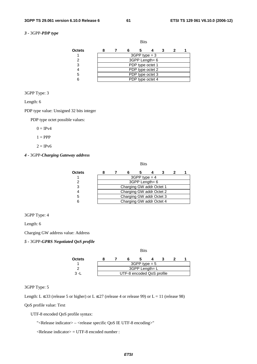#### *3 -* 3GPP-*PDP type*

|        |                 |  | <b>Bits</b>      |  |  |  |  |  |
|--------|-----------------|--|------------------|--|--|--|--|--|
| Octets |                 |  |                  |  |  |  |  |  |
|        | $3GPP$ type = 3 |  |                  |  |  |  |  |  |
| 2      | 3GPP Length= 6  |  |                  |  |  |  |  |  |
| 3      |                 |  | PDP type octet 1 |  |  |  |  |  |
|        |                 |  | PDP type octet 2 |  |  |  |  |  |
| 5      |                 |  | PDP type octet 3 |  |  |  |  |  |
|        |                 |  | PDP type octet 4 |  |  |  |  |  |

#### 3GPP Type: 3

Length: 6

PDP type value: Unsigned 32 bits integer

PDP type octet possible values:

 $0 = IPv4$ 

$$
1 = \mathbf{PPP}
$$

$$
2 = IPv6
$$

#### *4 -* 3GPP-*Charging Gateway address*

Bits

| Octets |                          |                          |                 |  |  |  |  |  |  |  |
|--------|--------------------------|--------------------------|-----------------|--|--|--|--|--|--|--|
|        |                          |                          | $3GPP$ type = 4 |  |  |  |  |  |  |  |
|        | 3GPP Length= 6           |                          |                 |  |  |  |  |  |  |  |
| 3      | Charging GW addr Octet 1 |                          |                 |  |  |  |  |  |  |  |
|        |                          | Charging GW addr Octet 2 |                 |  |  |  |  |  |  |  |
|        | Charging GW addr Octet 3 |                          |                 |  |  |  |  |  |  |  |
|        |                          | Charging GW addr Octet 4 |                 |  |  |  |  |  |  |  |

#### 3GPP Type: 4

Length: 6

Charging GW address value: Address

### *5 -* 3GPP-*GPRS Negotiated QoS profile*

|               |                 |                           | <b>Bits</b> |  |  |  |  |  |  |
|---------------|-----------------|---------------------------|-------------|--|--|--|--|--|--|
| <b>Octets</b> |                 |                           |             |  |  |  |  |  |  |
|               | $3GPP$ type = 5 |                           |             |  |  |  |  |  |  |
|               | 3GPP Length= L  |                           |             |  |  |  |  |  |  |
| $3 - 1$       |                 | UTF-8 encoded QoS profile |             |  |  |  |  |  |  |

#### 3GPP Type: 5

Length:  $L \le 33$  (release 5 or higher) or  $L \le 27$  (release 4 or release 99) or  $L = 11$  (release 98)

#### QoS profile value: Text

UTF-8 encoded QoS profile syntax:

- "<Release indicator> <release specific QoS IE UTF-8 encoding>"
- $\langle$ Release indicator $\rangle$  = UTF-8 encoded number :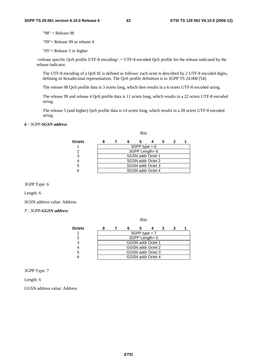"98" = Release 98

"99"= Release 99 or release 4

"05"= Release 5 or higher

<release specific QoS profile UTF-8 encoding> = UTF-8 encoded QoS profile for the release indicated by the release indicator.

The UTF-8 encoding of a QoS IE is defined as follows: each octet is described by 2 UTF-8 encoded digits, defining its hexadecimal representation. The QoS profile definition is in 3GPP TS 24.008 [54].

The release 98 QoS profile data is 3 octets long, which then results in a 6 octets UTF-8 encoded string.

The release 99 and release 4 QoS profile data is 11 octets long, which results in a 22 octets UTF-8 encoded string.

The release 5 (and higher) QoS profile data is 14 octets long, which results in a 28 octets UTF-8 encoded string.

#### *6 -* 3GPP-*SGSN address*

| Octets |  |                   |  |  |
|--------|--|-------------------|--|--|
|        |  | $3GPP$ type = 6   |  |  |
|        |  | 3GPP Length= 6    |  |  |
| З      |  | SGSN addr Octet 1 |  |  |
|        |  | SGSN addr Octet 2 |  |  |
| 5      |  | SGSN addr Octet 3 |  |  |
|        |  | SGSN addr Octet 4 |  |  |
|        |  |                   |  |  |

#### 3GPP Type: 6

Length: 6

SGSN address value: Address

### *7 -* 3GPP-*GGSN address*

Bits

| Octets |                   |  |                   |  |  |  |  |  |  |
|--------|-------------------|--|-------------------|--|--|--|--|--|--|
|        |                   |  | $3GPP$ type = 7   |  |  |  |  |  |  |
|        |                   |  | 3GPP Length= 6    |  |  |  |  |  |  |
|        | GGSN addr Octet 1 |  |                   |  |  |  |  |  |  |
|        |                   |  | GGSN addr Octet 2 |  |  |  |  |  |  |
| 5      |                   |  | GGSN addr Octet 3 |  |  |  |  |  |  |
|        |                   |  | GGSN addr Octet 4 |  |  |  |  |  |  |

3GPP Type: 7

Length: 6

GGSN address value: Address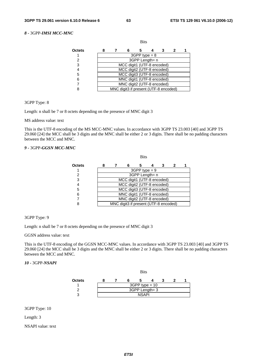#### *8 -* 3GPP-*IMSI MCC-MNC*

|        |   |                                       | <b>Bits</b>     |   |  |
|--------|---|---------------------------------------|-----------------|---|--|
| Octets | 8 | 6                                     |                 | 3 |  |
|        |   |                                       | $3GPP$ type = 8 |   |  |
| 2      |   |                                       | 3GPP Length= n  |   |  |
| 3      |   | MCC digit1 (UTF-8 encoded)            |                 |   |  |
| 4      |   | MCC digit2 (UTF-8 encoded)            |                 |   |  |
| 5      |   | MCC digit3 (UTF-8 encoded)            |                 |   |  |
| 6      |   | MNC digit1 (UTF-8 encoded)            |                 |   |  |
|        |   | MNC digit2 (UTF-8 encoded)            |                 |   |  |
| ጸ      |   | MNC digit3 if present (UTF-8 encoded) |                 |   |  |

#### 3GPP Type: 8

Length: n shall be 7 or 8 octets depending on the presence of MNC digit 3

#### MS address value: text

This is the UTF-8 encoding of the MS MCC-MNC values. In accordance with 3GPP TS 23.003 [40] and 3GPP TS 29.060 [24] the MCC shall be 3 digits and the MNC shall be either 2 or 3 digits. There shall be no padding characters between the MCC and MNC.

#### *9 -* 3GPP-*GGSN MCC-MNC*

|        |   |                                       | <b>Bits</b>     |   |  |
|--------|---|---------------------------------------|-----------------|---|--|
| Octets | 8 | 6                                     |                 | з |  |
|        |   |                                       | $3GPP$ type = 9 |   |  |
| 2      |   |                                       | 3GPP Length= n  |   |  |
| 3      |   | MCC digit1 (UTF-8 encoded)            |                 |   |  |
| 4      |   | MCC digit2 (UTF-8 encoded)            |                 |   |  |
| 5      |   | MCC digit3 (UTF-8 encoded)            |                 |   |  |
| 6      |   | MNC digit1 (UTF-8 encoded)            |                 |   |  |
|        |   | MNC digit2 (UTF-8 encoded)            |                 |   |  |
|        |   | MNC digit3 if present (UTF-8 encoded) |                 |   |  |

#### 3GPP Type: 9

Length: n shall be 7 or 8 octets depending on the presence of MNC digit 3

#### GGSN address value: text

This is the UTF-8 encoding of the GGSN MCC-MNC values. In accordance with 3GPP TS 23.003 [40] and 3GPP TS 29.060 [24] the MCC shall be 3 digits and the MNC shall be either 2 or 3 digits. There shall be no padding characters between the MCC and MNC.

#### *10 -* 3GPP-*NSAPI*

|               | <b>Bits</b>      |  |  |                |  |  |  |  |
|---------------|------------------|--|--|----------------|--|--|--|--|
| <b>Octets</b> |                  |  |  |                |  |  |  |  |
|               | $3GPP$ type = 10 |  |  |                |  |  |  |  |
|               |                  |  |  | 3GPP Length= 3 |  |  |  |  |
| 3             | <b>NSAPI</b>     |  |  |                |  |  |  |  |

3GPP Type: 10

Length: 3

NSAPI value: text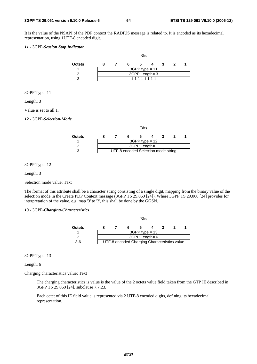It is the value of the NSAPI of the PDP context the RADIUS message is related to. It is encoded as its hexadecimal representation, using 1UTF-8 encoded digit.

#### *11 -* 3GPP-*Session Stop Indicator*



#### 3GPP Type: 11

Length: 3

Value is set to all 1.

#### *12 -* 3GPP-*Selection-Mode*

|               |                                     |                |  | <b>Bits</b>      |  |  |  |  |  |  |
|---------------|-------------------------------------|----------------|--|------------------|--|--|--|--|--|--|
| <b>Octets</b> |                                     |                |  |                  |  |  |  |  |  |  |
|               |                                     |                |  | $3GPP$ type = 12 |  |  |  |  |  |  |
|               |                                     | 3GPP Length= 1 |  |                  |  |  |  |  |  |  |
|               | UTF-8 encoded Selection mode string |                |  |                  |  |  |  |  |  |  |

#### 3GPP Type: 12

#### Length: 3

#### Selection mode value: Text

The format of this attribute shall be a character string consisting of a single digit, mapping from the binary value of the selection mode in the Create PDP Context message (3GPP TS 29.060 [24]). Where 3GPP TS 29.060 [24] provides for interpretation of the value, e.g. map '3' to '2', this shall be done by the GGSN.

#### *13 -* 3GPP-*Charging-Characteristics*

|               |                                              |  | <b>Bits</b>      |  |  |  |  |  |
|---------------|----------------------------------------------|--|------------------|--|--|--|--|--|
| <b>Octets</b> |                                              |  |                  |  |  |  |  |  |
|               |                                              |  | $3GPP$ type = 13 |  |  |  |  |  |
|               |                                              |  | 3GPP Length= 6   |  |  |  |  |  |
| $3-6$         | UTF-8 encoded Charging Characteristics value |  |                  |  |  |  |  |  |

3GPP Type: 13

Length: 6

Charging characteristics value: Text

 The charging characteristics is value is the value of the 2 octets value field taken from the GTP IE described in 3GPP TS 29.060 [24], subclause 7.7.23.

 Each octet of this IE field value is represented via 2 UTF-8 encoded digits, defining its hexadecimal representation.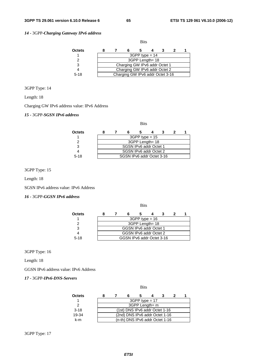### *14 -* 3GPP-*Charging Gateway IPv6 address*

|               |  |                                  | <b>Bits</b>      |  |  |
|---------------|--|----------------------------------|------------------|--|--|
| <b>Octets</b> |  |                                  |                  |  |  |
|               |  |                                  | $3GPP$ type = 14 |  |  |
| 2             |  |                                  | 3GPP Length= 18  |  |  |
| 3             |  | Charging GW IPv6 addr Octet 1    |                  |  |  |
| 4             |  | Charging GW IPv6 addr Octet 2    |                  |  |  |
| $5 - 18$      |  | Charging GW IPv6 addr Octet 3-16 |                  |  |  |

3GPP Type: 14

Length: 18

Charging GW IPv6 address value: IPv6 Address

#### *15 -* 3GPP-*SGSN IPv6 address*

|          |  |                           | <b>Bits</b>      |  |  |
|----------|--|---------------------------|------------------|--|--|
| Octets   |  |                           |                  |  |  |
|          |  |                           | $3GPP$ type = 15 |  |  |
|          |  |                           | 3GPP Length= 18  |  |  |
| 3        |  | SGSN IPv6 addr Octet 1    |                  |  |  |
|          |  | SGSN IPv6 addr Octet 2    |                  |  |  |
| $5 - 18$ |  | SGSN IPv6 addr Octet 3-16 |                  |  |  |

3GPP Type: 15

Length: 18

SGSN IPv6 address value: IPv6 Address

#### *16 -* 3GPP-*GGSN IPv6 address*

|          |  |                           | <b>Bits</b>            |  |  |
|----------|--|---------------------------|------------------------|--|--|
| Octets   |  |                           |                        |  |  |
|          |  |                           | $3GPP$ type = 16       |  |  |
| 2        |  |                           | 3GPP Length= 18        |  |  |
| 3        |  |                           | GGSN IPv6 addr Octet 1 |  |  |
|          |  | GGSN IPv6 addr Octet 2    |                        |  |  |
| $5 - 18$ |  | GGSN IPv6 addr Octet 3-16 |                        |  |  |

3GPP Type: 16

Length: 18

GGSN IPv6 address value: IPv6 Address

*17 -* 3GPP-*IPv6-DNS-Servers*

| Octets   |  |                                 | 5                |  |  |
|----------|--|---------------------------------|------------------|--|--|
|          |  |                                 | $3GPP$ type = 17 |  |  |
|          |  |                                 | 3GPP Length= m   |  |  |
| $3 - 18$ |  | (1st) DNS IPv6 addr Octet 1-16  |                  |  |  |
| 19-34    |  | (2nd) DNS IPv6 addr Octet 1-16  |                  |  |  |
| $k-m$    |  | (n-th) DNS IPv6 addr Octet 1-16 |                  |  |  |

Bits

3GPP Type: 17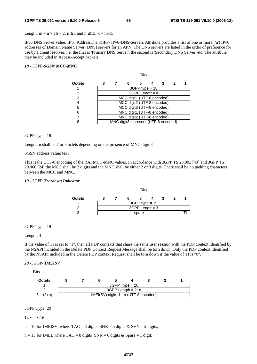Length:  $m = n \times 16 + 2$ ;  $n \ge 1$  and  $n \le 15$ ;  $k = m-15$ 

IPv6 DNS Server value: IPv6 AddressThe 3GPP- IPv6-DNS-Servers Attribute provides a list of one or more ('n') IPv6 addresses of Domain Name Server (DNS) servers for an APN. The DNS servers are listed in the order of preference for use by a client resolver, i.e. the first is 'Primary DNS Server', the second is 'Secondary DNS Server' etc. The attribute may be included in Access-Accept packets.

#### *18 -* 3GPP-*SGSN MCC-MNC*

|        |   | <b>Bits</b> |                                       |                  |  |  |  |  |  |  |  |
|--------|---|-------------|---------------------------------------|------------------|--|--|--|--|--|--|--|
| Octets | 8 |             | 6                                     |                  |  |  |  |  |  |  |  |
|        |   |             |                                       | $3GPP$ type = 18 |  |  |  |  |  |  |  |
| 2      |   |             |                                       | 3GPP Length= n   |  |  |  |  |  |  |  |
| 3      |   |             | MCC digit1 (UTF-8 encoded)            |                  |  |  |  |  |  |  |  |
| 4      |   |             | MCC digit2 (UTF-8 encoded)            |                  |  |  |  |  |  |  |  |
| 5      |   |             | MCC digit3 (UTF-8 encoded)            |                  |  |  |  |  |  |  |  |
| 6      |   |             | MNC digit1 (UTF-8 encoded)            |                  |  |  |  |  |  |  |  |
|        |   |             | MNC digit2 (UTF-8 encoded)            |                  |  |  |  |  |  |  |  |
|        |   |             | MNC digit3 if present (UTF-8 encoded) |                  |  |  |  |  |  |  |  |

#### 3GPP Type: 18

Length: n shall be 7 or 8 octets depending on the presence of MNC digit 3

#### SGSN address value: text

This is the UTF-8 encoding of the RAI MCC-MNC values. In accordance with 3GPP TS 23.003 [40] and 3GPP TS 29.060 [24] the MCC shall be 3 digits and the MNC shall be either 2 or 3 digits. There shall be no padding characters between the MCC and MNC.

#### *19 -* 3GPP-*Teardown Indicator*



#### 3GPP Type: 19

#### Length: 3

If the value of TI is set to "1", then all PDP contexts that share the same user session with the PDP context identified by the NSAPI included in the Delete PDP Context Request Message shall be torn down. Only the PDP context identified by the NSAPI included in the Delete PDP context Request shall be torn down if the value of TI is "0".

#### *20* **-**3GGP**-** *IMEISV*

Bits

| <b>Octets</b> |                                       |  |  |  |  |  |  |  |
|---------------|---------------------------------------|--|--|--|--|--|--|--|
|               | $3GPP$ Type = 20                      |  |  |  |  |  |  |  |
|               | $3GPP$ Length = $2+n$                 |  |  |  |  |  |  |  |
| $3 - (2+n)$   | IMEI(SV) digits 1 - n (UTF-8 encoded) |  |  |  |  |  |  |  |

#### 3GPP Type: 20

 $14 \le n \le 16$ 

 $n = 16$  for IMEISV, where TAC = 8 digits SNR = 6 digits & SVN = 2 digits;

 $n = 15$  for IMEI, where TAC = 8 digits SNR = 6 digits & Spare = 1 digit;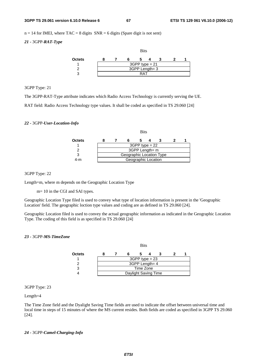$n = 14$  for IMEI, where  $TAC = 8$  digits  $SNR = 6$  digits (Spare digit is not sent)

#### *21 -* 3GPP-*RAT-Type*

|               |                  |  | <b>Bits</b> |  |  |  |  |
|---------------|------------------|--|-------------|--|--|--|--|
| <b>Octets</b> |                  |  |             |  |  |  |  |
|               | $3GPP$ type = 21 |  |             |  |  |  |  |
|               | 3GPP Length= 3   |  |             |  |  |  |  |
|               | RAT              |  |             |  |  |  |  |

#### 3GPP Type: 21

The 3GPP-RAT-Type attribute indicates which Radio Access Technology is currently serving the UE. RAT field: Radio Access Technology type values. It shall be coded as specified in TS 29.060 [24]

#### *22 -* 3GPP-*User-Location-Info*

|        | <b>Bits</b>              |  |  |  |  |  |  |
|--------|--------------------------|--|--|--|--|--|--|
| Octets |                          |  |  |  |  |  |  |
|        | $3GPP$ type = 22         |  |  |  |  |  |  |
|        | 3GPP Length= m           |  |  |  |  |  |  |
| 3      | Geographic Location Type |  |  |  |  |  |  |
| 4-m    | Geographic Location      |  |  |  |  |  |  |
|        |                          |  |  |  |  |  |  |

#### 3GPP Type: 22

Length=m, where m depends on the Geographic Location Type

m= 10 in the CGI and SAI types.

Geographic Location Type filed is used to convey what type of location information is present in the 'Geographic Location' field. The geographic loction type values and coding are as defined in TS 29.060 [24].

Geographic Location filed is used to convey the actual geographic information as indicated in the Geographic Location Type. The coding of this field is as specified in TS 29.060 [24]

#### *23 -* 3GPP-*MS-TimeZone*



3GPP Type: 23

Length=4

The Time Zone field and the Dyalight Saving Time fields are used to indicate the offset between universal time and local time in steps of 15 minutes of where the MS current resides. Both fields are coded as specified in 3GPP TS 29.060 [24].

#### *24 -* 3GPP-*Camel-Charging-Info*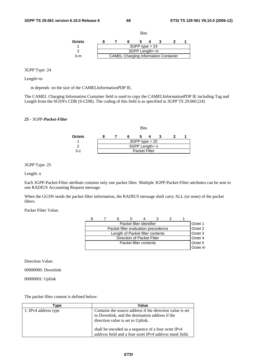

3GPP Type: 24

Length=m

m depends on the size of the CAMELInformationPDP IE.

The CAMEL Charging Information Container field is used to copy the CAMELInformationPDP IE including Tag and Length from the SGSN's CDR (S-CDR). The coding of this field is as specified in 3GPP TS 29.060 [24]

#### *25 -* 3GPP-*Packet-Filter*

|        |                      |  | <b>Bits</b> |  |  |  |  |
|--------|----------------------|--|-------------|--|--|--|--|
| Octets |                      |  |             |  |  |  |  |
|        | $3GPP$ type = 25     |  |             |  |  |  |  |
|        | 3GPP Length= n       |  |             |  |  |  |  |
| $3-z$  | <b>Packet Filter</b> |  |             |  |  |  |  |

3GPP Type: 25

Length: n

Each 3GPP-Packet-Filter attribute contains only one packet filter. Multiple 3GPP-Packet-Filter attributes can be sent in one RADIUS Accounting Request message.

When the GGSN sends the packet filter information, the RADIUS message shall carry ALL (or none) of the packet filters.

Packet Filter Value:

|  |  | Packet filter identifier            |  | Octet 1            |
|--|--|-------------------------------------|--|--------------------|
|  |  | Packet filter evaluation precedence |  | Octet 2            |
|  |  | Length of Packet filter contents    |  | Octet 3            |
|  |  | Direction of Packet Filter          |  | Octet 4            |
|  |  | Packet filter contents              |  | Octet 5<br>Octet m |
|  |  |                                     |  |                    |

Direction Value:

00000000: Downlink

00000001: Uplink

| <b>Type</b>          | Value                                                                                                                                             |
|----------------------|---------------------------------------------------------------------------------------------------------------------------------------------------|
| 1: IPv4 address type | Contains the source address if the direction value is set<br>to Downlink, and the destination address if the<br>direction value is set to Uplink. |
|                      | shall be encoded as a sequence of a four octet $IPv4$<br>address field and a four octet IPv4 address mask field.                                  |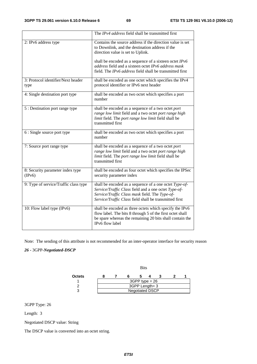|                                            | The IPv4 address field shall be transmitted first                                                                                                                                                                          |
|--------------------------------------------|----------------------------------------------------------------------------------------------------------------------------------------------------------------------------------------------------------------------------|
| 2: IPv6 address type                       | Contains the source address if the direction value is set<br>to Downlink, and the destination address if the<br>direction value is set to Uplink.                                                                          |
|                                            | shall be encoded as a sequence of a sixteen octet $IPv6$<br>address field and a sixteen octet IPv6 address mask<br>field. The IPv6 address field shall be transmitted first                                                |
| 3: Protocol identifier/Next header<br>type | shall be encoded as one octet which specifies the IPv4<br>protocol identifier or IPv6 next header                                                                                                                          |
| 4: Single destination port type            | shall be encoded as two octet which specifies a port<br>number                                                                                                                                                             |
| 5 : Destination port range type            | shall be encoded as a sequence of a two octet port<br>range low limit field and a two octet port range high<br>limit field. The port range low limit field shall be<br>transmitted first                                   |
| 6 : Single source port type                | shall be encoded as two octet which specifies a port<br>number                                                                                                                                                             |
| 7: Source port range type                  | shall be encoded as a sequence of a two octet port<br>range low limit field and a two octet port range high<br>limit field. The port range low limit field shall be<br>transmitted first                                   |
| 8: Security parameter index type<br>(IPv6) | shall be encoded as four octet which specifies the IPSec<br>security parameter index                                                                                                                                       |
| 9: Type of service/Traffic class type      | shall be encoded as a sequence of a one octet Type-of-<br>Service/Traffic Class field and a one octet Type-of-<br>Service/Traffic Class mask field. The Type-of-<br>Service/Traffic Class field shall be transmitted first |
| 10: Flow label type (IPv6)                 | shall be encoded as three octets which specify the IPv6<br>flow label. The bits 8 through 5 of the first octet shall<br>be spare whereas the remaining 20 bits shall contain the<br>IPv6 flow label                        |

Note: The sending of this attribute is not recommended for an inter-operator interface for security reason *26 -* 3GPP-*Negotiated-DSCP* 



3GPP Type: 26

Length: 3

Negotiated DSCP value: String

The DSCP value is converted into an octet string.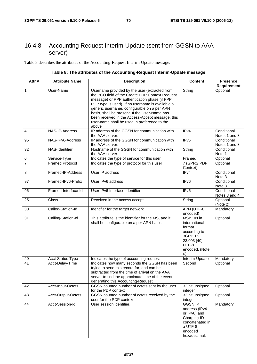## 16.4.8 Accounting Request Interim-Update (sent from GGSN to AAA server)

Table 8 describes the attributes of the Accounting-Request Interim-Update message.

### **Table 8: The attributes of the Accounting-Request Interim-Update message**

| Attr#          | <b>Attribute Name</b>  | <b>Description</b>                                                                                                                                                                                                                                                                                                                                                                                                | <b>Content</b>                                                                                                          | <b>Presence</b><br>Requirement |
|----------------|------------------------|-------------------------------------------------------------------------------------------------------------------------------------------------------------------------------------------------------------------------------------------------------------------------------------------------------------------------------------------------------------------------------------------------------------------|-------------------------------------------------------------------------------------------------------------------------|--------------------------------|
| $\mathbf{1}$   | User-Name              | Username provided by the user (extracted from<br>the PCO field of the Create PDP Context Request<br>message) or PPP authentication phase (if PPP<br>PDP type is used). If no username is available a<br>generic username, configurable on a per APN<br>basis, shall be present. If the User-Name has<br>been received in the Access-Accept message, this<br>user-name shall be used in preference to the<br>above | String                                                                                                                  | Optional                       |
| 4              | NAS-IP-Address         | IP address of the GGSN for communication with<br>the AAA server.                                                                                                                                                                                                                                                                                                                                                  | IPv4                                                                                                                    | Conditional<br>Notes 1 and 3   |
| 95             | NAS-IPv6-Address       | IP address of the GGSN for communication with<br>the AAA server.                                                                                                                                                                                                                                                                                                                                                  | IP <sub>v6</sub>                                                                                                        | Conditional<br>Notes 1 and 3   |
| 32             | NAS-Identifier         | Hostname of the GGSN for communication with<br>the AAA server.                                                                                                                                                                                                                                                                                                                                                    | String                                                                                                                  | Conditional<br>Note 1          |
| $\,6$          | Service-Type           | Indicates the type of service for this user                                                                                                                                                                                                                                                                                                                                                                       | Framed                                                                                                                  | Optional                       |
| $\overline{7}$ | <b>Framed Protocol</b> | Indicates the type of protocol for this user                                                                                                                                                                                                                                                                                                                                                                      | 7 (GPRS PDP<br>Context)                                                                                                 | Optional                       |
| 8              | Framed-IP-Address      | User IP address                                                                                                                                                                                                                                                                                                                                                                                                   | $IPv\overline{4}$                                                                                                       | Conditional<br>Note 3          |
| 97             | Framed-IPv6-Prefix     | User IPv6 address                                                                                                                                                                                                                                                                                                                                                                                                 | IP <sub>v6</sub>                                                                                                        | Conditional<br>Note 3          |
| 96             | Framed-Interface-Id    | User IPv6 Interface Identifier                                                                                                                                                                                                                                                                                                                                                                                    | IP <sub>v6</sub>                                                                                                        | Conditional<br>Notes 3 and 4   |
| 25             | Class                  | Received in the access accept                                                                                                                                                                                                                                                                                                                                                                                     | String                                                                                                                  | Optional<br>(Note 2)           |
| 30             | Called-Station-Id      | Identifier for the target network                                                                                                                                                                                                                                                                                                                                                                                 | APN (UTF-8<br>encoded)                                                                                                  | Mandatory                      |
| 31             | Calling-Station-Id     | This attribute is the identifier for the MS, and it<br>shall be configurable on a per APN basis.                                                                                                                                                                                                                                                                                                                  | MSISDN in<br>international<br>format<br>according to<br>3GPP TS<br>23.003 [40],<br>UTF-8<br>encoded. (Note<br>6)        | Optional                       |
| 40             | Acct-Status-Type       | Indicates the type of accounting request                                                                                                                                                                                                                                                                                                                                                                          | Interim-Update                                                                                                          | Mandatory                      |
| 41             | Acct-Delay-Time        | Indicates how many seconds the GGSN has been<br>trying to send this record for, and can be<br>subtracted from the time of arrival on the AAA<br>server to find the approximate time of the event<br>generating this Accounting-Request                                                                                                                                                                            | Second                                                                                                                  | Optional                       |
| 42             | Acct-Input-Octets      | GGSN counted number of octets sent by the user<br>for the PDP context                                                                                                                                                                                                                                                                                                                                             | 32 bit unsigned<br>integer                                                                                              | Optional                       |
| 43             | Acct-Output-Octets     | GGSN counted number of octets received by the<br>user for the PDP context                                                                                                                                                                                                                                                                                                                                         | 32 bit unsigned<br>integer                                                                                              | Optional                       |
| 44             | Acct-Session-Id        | User session identifier.                                                                                                                                                                                                                                                                                                                                                                                          | <b>GGSN IP</b><br>address (IPv4<br>or IPv6) and<br>Charging-ID<br>concatenated in<br>a UTF-8<br>encoded<br>hexadecimal. | Mandatory                      |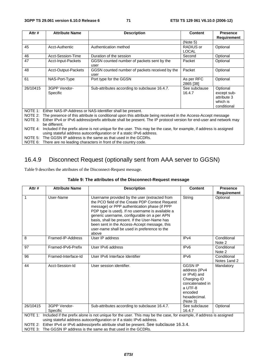| Attr#                                                                 | <b>Attribute Name</b>                                                                                               | <b>Description</b>                                                                                                    | <b>Content</b>            | <b>Presence</b>                                                   |  |  |  |  |
|-----------------------------------------------------------------------|---------------------------------------------------------------------------------------------------------------------|-----------------------------------------------------------------------------------------------------------------------|---------------------------|-------------------------------------------------------------------|--|--|--|--|
|                                                                       |                                                                                                                     |                                                                                                                       |                           | <b>Requirement</b>                                                |  |  |  |  |
|                                                                       |                                                                                                                     |                                                                                                                       | (Note 5)                  |                                                                   |  |  |  |  |
| 45                                                                    | Acct-Authentic                                                                                                      | Authentication method                                                                                                 | RADIUS or<br><b>LOCAL</b> | Optional                                                          |  |  |  |  |
| 46                                                                    | Acct-Session-Time                                                                                                   | Duration of the session                                                                                               | Second                    | Optional                                                          |  |  |  |  |
| 47                                                                    | Acct-Input-Packets                                                                                                  | GGSN counted number of packets sent by the<br>user                                                                    | Packet                    | Optional                                                          |  |  |  |  |
| 48                                                                    | Acct-Output-Packets                                                                                                 | GGSN counted number of packets received by the<br>user                                                                | Packet                    | Optional                                                          |  |  |  |  |
| 61                                                                    | NAS-Port-Type                                                                                                       | Port type for the GGSN                                                                                                | As per RFC<br>2865 [38]   | Optional                                                          |  |  |  |  |
| 26/10415                                                              | 3GPP Vendor-<br><b>Specific</b>                                                                                     | Sub-attributes according to subclause 16.4.7.                                                                         | See subclause<br>16.4.7   | Optional<br>except sub-<br>attribute 3<br>which is<br>conditional |  |  |  |  |
| NOTE 1:                                                               |                                                                                                                     | Either NAS-IP-Address or NAS-Identifier shall be present.                                                             |                           |                                                                   |  |  |  |  |
|                                                                       |                                                                                                                     | NOTE 2: The presence of this attribute is conditional upon this attribute being received in the Access-Accept message |                           |                                                                   |  |  |  |  |
| NOTE 3:                                                               | Either IPv4 or IPv6 address/prefix attribute shall be present. The IP protocol version for end-user and network may |                                                                                                                       |                           |                                                                   |  |  |  |  |
| be different.                                                         |                                                                                                                     |                                                                                                                       |                           |                                                                   |  |  |  |  |
| NOTE 4:                                                               |                                                                                                                     | Included if the prefix alone is not unique for the user. This may be the case, for example, if address is assigned    |                           |                                                                   |  |  |  |  |
| using stateful address autoconfiguration or if a static IPv6 address. |                                                                                                                     |                                                                                                                       |                           |                                                                   |  |  |  |  |
|                                                                       |                                                                                                                     | NOTE 5: The GGSN IP address is the same as that used in the GCDRs.                                                    |                           |                                                                   |  |  |  |  |
| NOTE 6:                                                               |                                                                                                                     | There are no leading characters in front of the country code.                                                         |                           |                                                                   |  |  |  |  |

# 16.4.9 Disconnect Request (optionally sent from AAA server to GGSN)

Table 9 describes the attributes of the Disconnect-Request message.

| Attr#                                                                                                                                                                                                                                                                                                                                                                           | <b>Attribute Name</b>    | <b>Description</b>                                                                                                                                                                                                                                                                                                                                                                                            | <b>Content</b>                                                                                                                      | <b>Presence</b>              |  |  |
|---------------------------------------------------------------------------------------------------------------------------------------------------------------------------------------------------------------------------------------------------------------------------------------------------------------------------------------------------------------------------------|--------------------------|---------------------------------------------------------------------------------------------------------------------------------------------------------------------------------------------------------------------------------------------------------------------------------------------------------------------------------------------------------------------------------------------------------------|-------------------------------------------------------------------------------------------------------------------------------------|------------------------------|--|--|
| $\mathbf{1}$                                                                                                                                                                                                                                                                                                                                                                    | User-Name                | Username provided by the user (extracted from<br>the PCO field of the Create PDP Context Request<br>message) or PPP authentication phase (if PPP<br>PDP type is used). If no username is available a<br>generic username, configurable on a per APN<br>basis, shall be present. If the User-Name has<br>been sent in the Access-Accept message, this<br>user-name shall be used in preference to the<br>above | String                                                                                                                              | Requirement<br>Optional      |  |  |
| 8                                                                                                                                                                                                                                                                                                                                                                               | Framed-IP-Address        | User IP address                                                                                                                                                                                                                                                                                                                                                                                               | IPv4                                                                                                                                | Conditional<br>Note 2        |  |  |
| 97                                                                                                                                                                                                                                                                                                                                                                              | Framed-IPv6-Prefix       | User IPv6 address                                                                                                                                                                                                                                                                                                                                                                                             | IP <sub>v6</sub>                                                                                                                    | Conditional<br>Note 2        |  |  |
| 96                                                                                                                                                                                                                                                                                                                                                                              | Framed-Interface-Id      | User IPv6 Interface Identifier                                                                                                                                                                                                                                                                                                                                                                                | IP <sub>v6</sub>                                                                                                                    | Conditional<br>Notes 1 and 2 |  |  |
| 44                                                                                                                                                                                                                                                                                                                                                                              | Acct-Session-Id          | User session identifier.                                                                                                                                                                                                                                                                                                                                                                                      | <b>GGSN IP</b><br>address (IPv4<br>or IPv6) and<br>Charging-ID<br>concatenated in<br>a UTF-8<br>encoded<br>hexadecimal.<br>(Note 3) | Mandatory                    |  |  |
| 26/10415                                                                                                                                                                                                                                                                                                                                                                        | 3GPP Vendor-<br>Specific | Sub-attributes according to subclause 16.4.7.                                                                                                                                                                                                                                                                                                                                                                 | See subclause<br>16.4.7                                                                                                             | Optional                     |  |  |
| NOTE 1:<br>Included if the prefix alone is not unique for the user. This may be the case, for example, if address is assigned<br>using stateful address autoconfiguration or if a static IPv6 address.<br>Either IPv4 or IPv6 address/prefix attribute shall be present. See subclause 16.3.4.<br>NOTE 2:<br>NOTE 3: The GGSN IP address is the same as that used in the GCDRs. |                          |                                                                                                                                                                                                                                                                                                                                                                                                               |                                                                                                                                     |                              |  |  |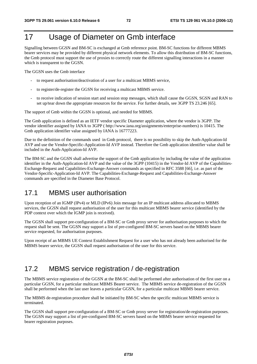# 17 Usage of Diameter on Gmb interface

Signalling between GGSN and BM-SC is exchanged at Gmb reference point. BM-SC functions for different MBMS bearer services may be provided by different physical network elements. To allow this distribution of BM-SC functions, the Gmb protocol must support the use of proxies to correctly route the different signalling interactions in a manner which is transparent to the GGSN.

The GGSN uses the Gmb interface

- to request authorisation/deactivation of a user for a multicast MBMS service,
- to register/de-register the GGSN for receiving a multicast MBMS service.
- to receive indication of session start and session stop messages, which shall cause the GGSN, SGSN and RAN to set up/tear down the appropriate resources for the service. For further details, see 3GPP TS 23.246 [65].

The support of Gmb within the GGSN is optional, and needed for MBMS.

The Gmb application is defined as an IETF vendor specific Diameter application, where the vendor is 3GPP. The vendor identifier assigned by IANA to 3GPP ( http://www.iana.org/assignments/enterprise-numbers) is 10415. The Gmb application identifier value assigned by IANA is 16777223.

Due to the definition of the commands used in Gmb protocol, there is no possibility to skip the Auth-Application-Id AVP and use the Vendor-Specific-Application-Id AVP instead. Therefore the Gmb application identifier value shall be included in the Auth-Application-Id AVP.

The BM-SC and the GGSN shall advertise the support of the Gmb application by including the value of the application identifier in the Auth-Application-Id AVP and the value of the 3GPP (10415) in the Vendor-Id AVP of the Capabilities-Exchange-Request and Capabilities-Exchange-Answer commands as specified in RFC 3588 [66], i.e. as part of the Vendor-Specific-Application-Id AVP. The Capabilities-Exchange-Request and Capabilities-Exchange-Answer commands are specified in the Diameter Base Protocol.

# 17.1 MBMS user authorisation

Upon reception of an IGMP (IPv4) or MLD (IPv6) Join message for an IP multicast address allocated to MBMS services, the GGSN shall request authorisation of the user for this multicast MBMS bearer service (identified by the PDP context over which the IGMP join is received).

The GGSN shall support pre-configuration of a BM-SC or Gmb proxy server for authorisation purposes to which the request shall be sent. The GGSN may support a list of pre-configured BM-SC servers based on the MBMS bearer service requested, for authorisation purposes.

Upon receipt of an MBMS UE Context Establishment Request for a user who has not already been authorised for the MBMS bearer service, the GGSN shall request authorisation of the user for this service.

# 17.2 MBMS service registration / de-registration

The MBMS service registration of the GGSN at the BM-SC shall be performed after authorisation of the first user on a particular GGSN, for a particular multicast MBMS Bearer service. The MBMS service de-registration of the GGSN shall be performed when the last user leaves a particular GGSN, for a particular multicast MBMS bearer service.

The MBMS de-registration procedure shall be initiated by BM-SC when the specific multicast MBMS service is terminated.

The GGSN shall support pre-configuration of a BM-SC or Gmb proxy server for registration/de-registration purposes. The GGSN may support a list of pre-configured BM-SC servers based on the MBMS bearer service requested for bearer registration purposes.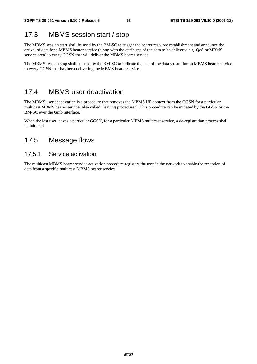# 17.3 MBMS session start / stop

The MBMS session start shall be used by the BM-SC to trigger the bearer resource establishment and announce the arrival of data for a MBMS bearer service (along with the attributes of the data to be delivered e.g. QoS or MBMS service area) to every GGSN that will deliver the MBMS bearer service.

The MBMS session stop shall be used by the BM-SC to indicate the end of the data stream for an MBMS bearer service to every GGSN that has been delivering the MBMS bearer service.

# 17.4 MBMS user deactivation

The MBMS user deactivation is a procedure that removes the MBMS UE context from the GGSN for a particular multicast MBMS bearer service (also called "leaving procedure"). This procedure can be initiated by the GGSN or the BM-SC over the Gmb interface.

When the last user leaves a particular GGSN, for a particular MBMS multicast service, a de-registration process shall be initiated.

# 17.5 Message flows

## 17.5.1 Service activation

The multicast MBMS bearer service activation procedure registers the user in the network to enable the reception of data from a specific multicast MBMS bearer service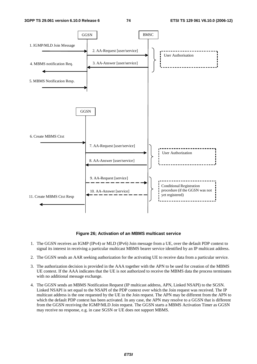

**Figure 26; Activation of an MBMS multicast service** 

- 1. The GGSN receives an IGMP (IPv4) or MLD (IPv6) Join message from a UE, over the default PDP context to signal its interest in receiving a particular multicast MBMS bearer service identified by an IP multicast address.
- 2. The GGSN sends an AAR seeking authorization for the activating UE to receive data from a particular service.
- 3. The authorization decision is provided in the AAA together with the APN to be used for creation of the MBMS UE context. If the AAA indicates that the UE is not authorized to receive the MBMS data the process terminates with no additional message exchange.
- 4. The GGSN sends an MBMS Notification Request (IP multicast address, APN, Linked NSAPI) to the SGSN. Linked NSAPI is set equal to the NSAPI of the PDP context over which the Join request was received. The IP multicast address is the one requested by the UE in the Join request. The APN may be different from the APN to which the default PDP context has been activated. In any case, the APN may resolve to a GGSN that is different from the GGSN receiving the IGMP/MLD Join request. The GGSN starts a MBMS Activation Timer as GGSN may receive no response, e.g. in case SGSN or UE does not support MBMS.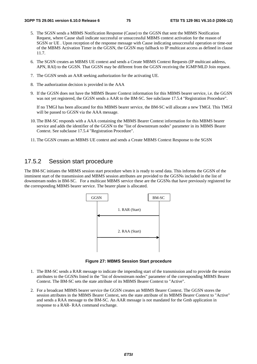- 5. The SGSN sends a MBMS Notification Response (Cause) to the GGSN that sent the MBMS Notification Request, where Cause shall indicate successful or unsuccessful MBMS context activation for the reason of SGSN or UE . Upon reception of the response message with Cause indicating unsuccessful operation or time-out of the MBMS Activation Timer in the GGSN, the GGSN may fallback to IP multicast access as defined in clause 11.7.
- 6. The SGSN creates an MBMS UE context and sends a Create MBMS Context Requests (IP multicast address, APN, RAI) to the GGSN. That GGSN may be different from the GGSN receiving the IGMP/MLD Join request.
- 7. The GGSN sends an AAR seeking authorization for the activating UE.
- 8. The authorization decision is provided in the AAA
- 9. If the GGSN does not have the MBMS Bearer Context information for this MBMS bearer service, i.e. the GGSN was not yet registered, the GGSN sends a AAR to the BM-SC. See subclause 17.5.4 "Registration Procedure".

 If no TMGI has been allocated for this MBMS bearer service, the BM-SC will allocate a new TMGI. This TMGI will be passed to GGSN via the AAA message.

- 10. The BM-SC responds with a AAA containing the MBMS Bearer Context information for this MBMS bearer service and adds the identifier of the GGSN to the "list of downstream nodes" parameter in its MBMS Bearer Context. See subclause 17.5.4 "Registration Procedure".
- 11. The GGSN creates an MBMS UE context and sends a Create MBMS Context Response to the SGSN

### 17.5.2 Session start procedure

The BM-SC initiates the MBMS session start procedure when it is ready to send data. This informs the GGSN of the imminent start of the transmission and MBMS session attributes are provided to the GGSNs included in the list of downstream nodes in BM-SC. For a multicast MBMS service these are the GGSNs that have previously registered for the corresponding MBMS bearer service. The bearer plane is allocated.



**Figure 27: MBMS Session Start procedure** 

- 1. The BM-SC sends a RAR message to indicate the impending start of the transmission and to provide the session attributes to the GGSNs listed in the "list of downstream nodes" parameter of the corresponding MBMS Bearer Context. The BM-SC sets the state attribute of its MBMS Bearer Context to "Active".
- 2. For a broadcast MBMS bearer service the GGSN creates an MBMS Bearer Context. The GGSN stores the session attributes in the MBMS Bearer Context, sets the state attribute of its MBMS Bearer Context to "Active" and sends a RAA message to the BM-SC. An AAR message is not mandated for the Gmb application in response to a RAR- RAA command exchange.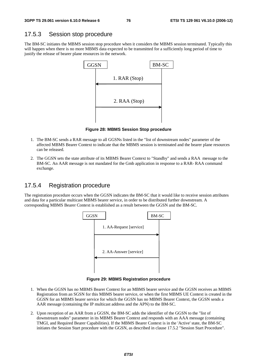# 17.5.3 Session stop procedure

The BM-SC initiates the MBMS session stop procedure when it considers the MBMS session terminated. Typically this will happen when there is no more MBMS data expected to be transmitted for a sufficiently long period of time to justify the release of bearer plane resources in the network.



**Figure 28: MBMS Session Stop procedure** 

- 1. The BM-SC sends a RAR message to all GGSNs listed in the "list of downstream nodes" parameter of the affected MBMS Bearer Context to indicate that the MBMS session is terminated and the bearer plane resources can be released.
- 2. The GGSN sets the state attribute of its MBMS Bearer Context to "Standby" and sends a RAA message to the BM-SC. An AAR message is not mandated for the Gmb application in response to a RAR- RAA command exchange.

### 17.5.4 Registration procedure

The registration procedure occurs when the GGSN indicates the BM-SC that it would like to receive session attributes and data for a particular multicast MBMS bearer service, in order to be distributed further downstream. A corresponding MBMS Bearer Context is established as a result between the GGSN and the BM-SC.



**Figure 29: MBMS Registration procedure** 

- 1. When the GGSN has no MBMS Bearer Context for an MBMS bearer service and the GGSN receives an MBMS Registration from an SGSN for this MBMS bearer service, or when the first MBMS UE Context is created in the GGSN for an MBMS bearer service for which the GGSN has no MBMS Bearer Context, the GGSN sends a AAR message (containing the IP multicast address and the APN) to the BM-SC.
- 2. Upon reception of an AAR from a GGSN, the BM-SC adds the identifier of the GGSN to the "list of downstream nodes" parameter in its MBMS Bearer Context and responds with an AAA message (containing TMGI, and Required Bearer Capabilities). If the MBMS Bearer Context is in the 'Active' state, the BM-SC initiates the Session Start procedure with the GGSN, as described in clause 17.5.2 "Session Start Procedure".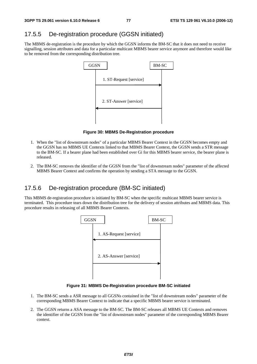# 17.5.5 De-registration procedure (GGSN initiated)

The MBMS de-registration is the procedure by which the GGSN informs the BM-SC that it does not need to receive signalling, session attributes and data for a particular multicast MBMS bearer service anymore and therefore would like to be removed from the corresponding distribution tree.



**Figure 30: MBMS De-Registration procedure** 

- 1. When the "list of downstream nodes" of a particular MBMS Bearer Context in the GGSN becomes empty and the GGSN has no MBMS UE Contexts linked to that MBMS Bearer Context, the GGSN sends a STR message to the BM-SC. If a bearer plane had been established over Gi for this MBMS bearer service, the bearer plane is released.
- 2. The BM-SC removes the identifier of the GGSN from the "list of downstream nodes" parameter of the affected MBMS Bearer Context and confirms the operation by sending a STA message to the GGSN.

# 17.5.6 De-registration procedure (BM-SC initiated)

This MBMS de-registration procedure is initiated by BM-SC when the specific multicast MBMS bearer service is terminated. This procedure tears down the distribution tree for the delivery of session attributes and MBMS data. This procedure results in releasing of all MBMS Bearer Contexts.



**Figure 31: MBMS De-Registration procedure BM-SC initiated** 

- 1. The BM-SC sends a ASR message to all GGSNs contained in the "list of downstream nodes" parameter of the corresponding MBMS Bearer Context to indicate that a specific MBMS bearer service is terminated.
- 2. The GGSN returns a ASA message to the BM-SC. The BM-SC releases all MBMS UE Contexts and removes the identifier of the GGSN from the "list of downstream nodes" parameter of the corresponding MBMS Bearer context.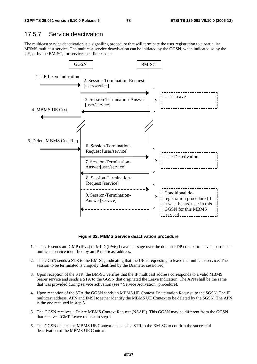# 17.5.7 Service deactivation

The multicast service deactivation is a signalling procedure that will terminate the user registration to a particular MBMS multicast service. The multicast service deactivation can be initiated by the GGSN, when indicated so by the UE, or by the BM-SC, for service specific reasons.



**Figure 32: MBMS Service deactivation procedure** 

- 1. The UE sends an IGMP (IPv4) or MLD (IPv6) Leave message over the default PDP context to leave a particular multicast service identified by an IP multicast address.
- 2. The GGSN sends a STR to the BM-SC, indicating that the UE is requesting to leave the multicast service. The session to be terminated is uniquely identified by the Diameter session-id.
- 3. Upon reception of the STR, the BM-SC verifies that the IP multicast address corresponds to a valid MBMS bearer service and sends a STA to the GGSN that originated the Leave Indication. The APN shall be the same that was provided during service activation (see " Service Activation" procedure).
- 4. Upon reception of the STA the GGSN sends an MBMS UE Context Deactivation Request to the SGSN. The IP multicast address, APN and IMSI together identify the MBMS UE Context to be deleted by the SGSN. The APN is the one received in step 3.
- 5. The GGSN receives a Delete MBMS Context Request (NSAPI). This GGSN may be different from the GGSN that receives IGMP Leave request in step 1.
- 6. The GGSN deletes the MBMS UE Context and sends a STR to the BM-SC to confirm the successful deactivation of the MBMS UE Context.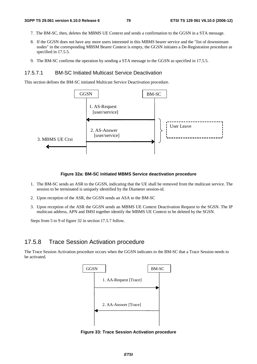- 7. The BM-SC, then, deletes the MBMS UE Context and sends a confirmation to the GGSN in a STA message.
- 8. If the GGSN does not have any more users interested in this MBMS bearer service and the "list of downstream nodes" in the corresponding MBSM Bearer Context is empty, the GGSN initiates a De-Registration procedure as specified in 17.5.5.
- 9. The BM-SC confirms the operation by sending a STA message to the GGSN as specified in 17.5.5.

#### 17.5.7.1 BM-SC Initiated Multicast Service Deactivation

This section defines the BM-SC initiated Multicast Service Deactivation procedure.



#### **Figure 32a: BM-SC initiated MBMS Service deactivation procedure**

- 1. The BM-SC sends an ASR to the GGSN, indicating that the UE shall be removed from the multicast service. The session to be terminated is uniquely identified by the Diameter session-id.
- 2. Upon reception of the ASR, the GGSN sends an ASA to the BM-SC
- 3. Upon reception of the ASR the GGSN sends an MBMS UE Context Deactivation Request to the SGSN. The IP multicast address, APN and IMSI together identify the MBMS UE Context to be deleted by the SGSN.

Steps from 5 to 9 of figure 32 in section 17.5.7 follow.

### 17.5.8 Trace Session Activation procedure

The Trace Session Activation procedure occurs when the GGSN indicates to the BM-SC that a Trace Session needs to be activated.



**Figure 33: Trace Session Activation procedure**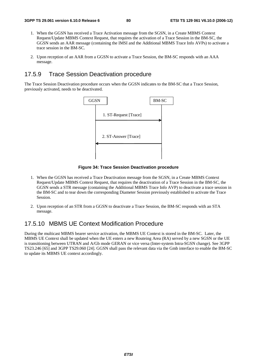- 1. When the GGSN has received a Trace Activation message from the SGSN, in a Create MBMS Context Request/Update MBMS Context Request, that requires the activation of a Trace Session in the BM-SC, the GGSN sends an AAR message (containing the IMSI and the Additional MBMS Trace Info AVPs) to activate a trace session in the BM-SC.
- 2. Upon reception of an AAR from a GGSN to activate a Trace Session, the BM-SC responds with an AAA message.

### 17.5.9 Trace Session Deactivation procedure

The Trace Session Deactivation procedure occurs when the GGSN indicates to the BM-SC that a Trace Session, previously activated, needs to be deactivated.



**Figure 34: Trace Session Deactivation procedure** 

- 1. When the GGSN has received a Trace Deactivation message from the SGSN, in a Create MBMS Context Request/Update MBMS Context Request, that requires the deactivation of a Trace Session in the BM-SC, the GGSN sends a STR message (containing the Additional MBMS Trace Info AVP) to deactivate a trace session in the BM-SC and to tear down the corresponding Diameter Session previously established to activate the Trace Session.
- 2. Upon reception of an STR from a GGSN to deactivate a Trace Session, the BM-SC responds with an STA message.

# 17.5.10 MBMS UE Context Modification Procedure

During the multicast MBMS bearer service activation, the MBMS UE Context is stored in the BM-SC. Later, the MBMS UE Context shall be updated when the UE enters a new Routeing Area (RA) served by a new SGSN or the UE is transitioning between UTRAN and A/Gb mode GERAN or vice versa (Inter-system Intra-SGSN change). See 3GPP TS23.246 [65] and 3GPP TS29.060 [24]. GGSN shall pass the relevant data via the Gmb interface to enable the BM-SC to update its MBMS UE context accordingly.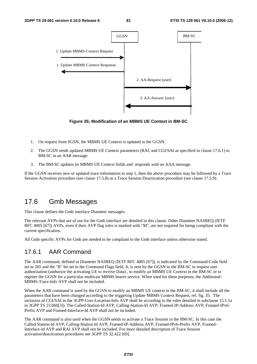

**Figure 35; Modification of an MBMS UE Context in BM-SC** 

- 1. On request from SGSN, the MBMS UE Context is updated in the GGSN.
- 2. The GGSN sends updated MBMS UE Context parameters (RAI, and CGI/SAI as specified in clause 17.6.1) to BM-SC in an AAR message.
- 3. The BM-SC updates its MBMS UE Context fields and responds with an AAA message.

If the GGSN receives new or updated trace information in step 1, then the above procedure may be followed by a Trace Session Activation procedure (see clause 17.5.8) or a Trace Session Deactivation procedure (see clause 17.5.9).

# 17.6 Gmb Messages

This clause defines the Gmb interface Diameter messages.

The relevant AVPs that are of use for the Gmb interface are detailed in this clause. Other Diameter NASREQ (IETF RFC 4005 [67]) AVPs, even if their AVP flag rules is marked with "M", are not required for being compliant with the current specification.

All Gmb specific AVPs for Gmb are needed to be compliant to the Gmb interface unless otherwise stated.

## 17.6.1 AAR Command

The AAR command, defined in Diameter NASREQ (IETF RFC 4005 [67]), is indicated by the Command-Code field set to 265 and the "R" bit set in the Command Flags field. It, is sent by the GGSN to the BM-SC to request user authorization (authorize the activating UE to receive Data) , to modify an MBMS UE Context in the BM-SC or to register the GGSN for a particular multicast MBMS bearer service. When used for these purposes, the Additional-MBMS-Trace-Info AVP shall not be included.

When the AAR command is used by the GGSN to modify an MBMS UE context in the BM-SC, it shall include all the parameters that have been changed according to the triggering Update MBMS Context Request, ref. fig. 35. The inclusion of CGI/SAI in the 3GPP-User-Location-Info AVP shall be according to the rules detailed in subclause 15.1.1a in 3GPP TS 23.060[3]). The Called-Station-Id AVP, Calling-Station-Id AVP, Framed-IP-Address AVP, Framed-IPv6- Prefix AVP and Framed-Interface-Id AVP shall not be included.

The AAR command is also used when the GGSN needs to activate a Trace Session in the BM-SC. In this case the Called-Station-Id AVP, Calling-Station-Id AVP, Framed-IP-Address AVP, Framed-IPv6-Prefix AVP, Framed-Interface-Id AVP and RAI AVP shall not be included. For more detailed description of Trace Session activation/deactivation procedures see 3GPP TS 32.422 [69].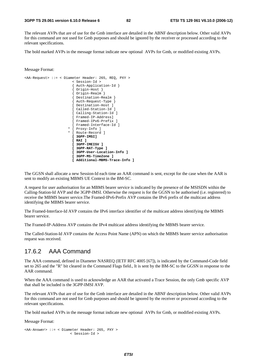The relevant AVPs that are of use for the Gmb interface are detailed in the ABNF description below. Other valid AVPs for this command are not used for Gmb purposes and should be ignored by the receiver or processed according to the relevant specifications.

The bold marked AVPs in the message format indicate new optional AVPs for Gmb, or modified existing AVPs.

Message Format:

```
<AA-Request> ::= < Diameter Header: 265, REQ, PXY > 
                         < Session-Id > 
                          { Auth-Application-Id } 
                           { Origin-Host } 
                          { Origin-Realm } 
                          Destination-Realm
                          { Auth-Request-Type } 
                         [ Destination-Host ] 
                         [ Called-Station-Id ] 
                         [ Calling-Station-Id ] 
                         [ Framed-IP-Address] 
                         [ Framed-IPv6-Prefix ] 
                         [ Framed-Interface-Id ] 
                        [ Proxy-Info ]
                         * [ Route-Record ] 
                         [ 3GPP-IMSI] 
                         [ RAI ] 
                         [ 3GPP-IMEISV ] 
                         [ 3GPP-RAT-Type ] 
                         [ 3GPP-User-Location-Info ] 
                          [ 3GPP-MS-TimeZone ] 
                         [ Additional-MBMS-Trace-Info ]
```
The GGSN shall allocate a new Session-Id each time an AAR command is sent, except for the case when the AAR is sent to modify an existing MBMS UE Context in the BM-SC.

A request for user authorisation for an MBMS bearer service is indicated by the presence of the MSISDN within the Calling-Station-Id AVP and the 3GPP-IMSI. Otherwise the request is for the GGSN to be authorised (i.e. registered) to receive the MBMS bearer service.The Framed-IPv6-Prefix AVP contains the IPv6 prefix of the multicast address identifying the MBMS bearer service.

The Framed-Interface-Id AVP contains the IPv6 interface identifier of the multicast address identifying the MBMS bearer service.

The Framed-IP-Address AVP contains the IPv4 multicast address identifying the MBMS bearer service.

The Called-Station-Id AVP contains the Access Point Name (APN) on which the MBMS bearer service authorisation request was received.

### 17.6.2 AAA Command

The AAA command, defined in Diameter NASREQ (IETF RFC 4005 [67]), is indicated by the Command-Code field set to 265 and the "R" bit cleared in the Command Flags field., It is sent by the BM-SC to the GGSN in response to the AAR command.

When the AAA command is used to acknowledge an AAR that activated a Trace Session, the only Gmb specific AVP that shall be included is the 3GPP-IMSI AVP.

The relevant AVPs that are of use for the Gmb interface are detailed in the ABNF description below. Other valid AVPs for this command are not used for Gmb purposes and should be ignored by the receiver or processed according to the relevant specifications.

The bold marked AVPs in the message format indicate new optional AVPs for Gmb, or modified existing AVPs.

Message Format:

```
<AA-Answer> ::= < Diameter Header: 265, PXY > 
                      < Session-Id >
```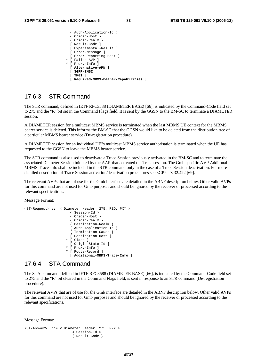```
 { Auth-Application-Id } 
    { Origin-Host } 
  { Origin-Realm } 
  [ Result-Code ] 
  [ Experimental-Result ] 
 [ Error-Message ] 
 [ Error-Reporting-Host ] 
* [ Failed-AVP ] 
* [ Proxy-Info ] 
 [ Alternative-APN ] 
  [ 3GPP-IMSI] 
  [ TMGI ] 
  [ Required-MBMS-Bearer-Capabilities ]
```
### 17.6.3 STR Command

The STR command, defined in IETF RFC3588 (DIAMETER BASE) [66], is indicated by the Command-Code field set to 275 and the "R" bit set in the Command Flags field, It is sent by the GGSN to the BM-SC to terminate a DIAMETER session.

A DIAMETER session for a multicast MBMS service is terminated when the last MBMS UE context for the MBMS bearer service is deleted. This informs the BM-SC that the GGSN would like to be deleted from the distribution tree of a particular MBMS bearer service (De-registration procedure).

A DIAMETER session for an individual UE"s multicast MBMS service authorisation is terminated when the UE has requested to the GGSN to leave the MBMS bearer service.

The STR command is also used to deactivate a Trace Session previously activated in the BM-SC and to terminate the associated Diameter Session initiated by the AAR that activated the Trace session. The Gmb specific AVP Additonal-MBMS-Trace-Info shall be included in the STR command only in the case of a Trace Session deactivation. For more detailed description of Trace Session activation/deactivation procedures see 3GPP TS 32.422 [69].

The relevant AVPs that are of use for the Gmb interface are detailed in the ABNF description below. Other valid AVPs for this command are not used for Gmb purposes and should be ignored by the receiver or processed according to the relevant specifications.

#### Message Format:

```
<ST-Request> ::= < Diameter Header: 275, REQ, PXY > 
                        < Session-Id > 
                        { Origin-Host } 
                        { Origin-Realm } 
                        { Destination-Realm } 
                        { Auth-Application-Id } 
                        { Termination-Cause } 
                        [ Destination-Host ] 
                      * [ Class ] 
                        [ Origin-State-Id ] 
                      * [ Proxy-Info ] 
                      * [ Route-Record ] 
                        [ Additional-MBMS-Trace-Info ]
```
# 17.6.4 STA Command

The STA command, defined in IETF RFC3588 (DIAMETER BASE) [66], is indicated by the Command-Code field set to 275 and the "R" bit cleared in the Command Flags field, is sent in response to an STR command (De-registration procedure).

The relevant AVPs that are of use for the Gmb interface are detailed in the ABNF description below. Other valid AVPs for this command are not used for Gmb purposes and should be ignored by the receiver or processed according to the relevant specifications.

Message Format:

```
<ST-Answer> ::= < Diameter Header: 275, PXY > 
                        < Session-Id > 
                        { Result-Code }
```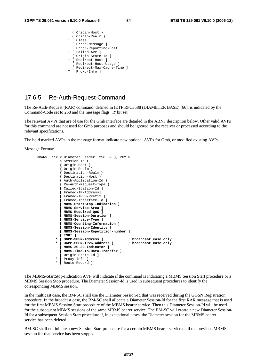```
 { Origin-Host } 
  { Origin-Realm } 
* [ Class ] 
 [ Error-Message ] 
 [ Error-Reporting-Host ] 
* [ Failed-AVP ] 
 [ Origin-State-Id ] 
* [ Redirect-Host ] 
[ Redirect-Host-Usage ]
 [ Redirect-Max-Cache-Time ] 
* [ Proxy-Info ]
```
### 17.6.5 Re-Auth-Request Command

The Re-Auth-Request (RAR) command, defined in IETF RFC3588 (DIAMETER BASE) [66], is indicated by the Command-Code set to 258 and the message flags' 'R' bit set.

The relevant AVPs that are of use for the Gmb interface are detailed in the ABNF description below. Other valid AVPs for this command are not used for Gmb purposes and should be ignored by the receiver or processed according to the relevant specifications.

The bold marked AVPs in the message format indicate new optional AVPs for Gmb, or modified existing AVPs.

Message Format:

```
 <RAR> ::= < Diameter Header: 258, REQ, PXY > 
           < Session-Id > 
            { Origin-Host } 
            { Origin-Realm } 
            { Destination-Realm } 
            { Destination-Host } 
            { Auth-Application-Id } 
            { Re-Auth-Request-Type } 
           [ Called-Station-Id ] 
           [ Framed-IP-Address] 
           [ Framed-IPv6-Prefix ] 
           [ Framed-Interface-Id ] 
           [ MBMS-StartStop-Indication ] 
           [ MBMS-Service-Area ] 
           [ MBMS-Required-QoS ] 
           [ MBMS-Session-Duration ] 
           [ MBMS-Service-Type ] 
           [ MBMS-Counting-Information ] 
           [ MBMS-Session-Identity ] 
           [ MBMS-Session-Repetition-number ] 
           [ TMGI ] 
          * [ 3GPP-SGSN-Address ] ; broadcast case only 
         * [ 3GPP-SGSN-IPv6-Address ] ; broadcast case only 
           [ MBMS-2G-3G-Indicator ] 
           [ MBMS-Time-To-Data-Transfer ] 
           [ Origin-State-Id ] 
         * [ Proxy-Info ] 
         * [ Route-Record ]
```
The MBMS-StartStop-Indication AVP will indicate if the command is indicating a MBMS Session Start procedure or a MBMS Session Stop procedure. The Diameter Session-Id is used in subsequent procedures to identify the corresponding MBMS session.

In the multicast case, the BM-SC shall use the Diameter Session-Id that was received during the GGSN Registration procedure. In the broadcast case, the BM-SC shall allocate a Diameter Session-Id for the first RAR message that is used for the first MBMS Session Start procedure of the MBMS bearer service. Then this Diameter Session-Id will be used for the subsequent MBMS sessions of the same MBMS bearer service. The BM-SC will create a new Diameter Session-Id for a subsequent Session Start procedure if, in exceptional cases, the Diameter session for the MBMS bearer service has been deleted.

BM-SC shall not initiate a new Session Start procedure for a certain MBMS bearer service until the previous MBMS session for that service has been stopped.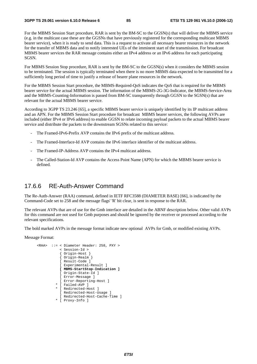For the MBMS Session Start procedure, RAR is sent by the BM-SC to the GGSN(s) that will deliver the MBMS service (e.g. in the multicast case these are the GGSNs that have previously registered for the corresponding multicast MBMS bearer service), when it is ready to send data. This is a request to activate all necessary bearer resources in the network for the transfer of MBMS data and to notify interested UEs of the imminent start of the transmission. For broadcast MBMS bearer services the RAR message contains either an IPv4 address or an IPv6 address for each participating SGSN.

For MBMS Session Stop procedure, RAR is sent by the BM-SC to the GGSN(s) when it considers the MBMS session to be terminated. The session is typically terminated when there is no more MBMS data expected to be transmitted for a sufficiently long period of time to justify a release of bearer plane resources in the network.

For the MBMS Session Start procedure, the MBMS-Required-QoS indicates the QoS that is required for the MBMS bearer service for the actual MBMS session. The information of the MBMS-2G-3G-Indicator, the MBMS-Service-Area and the MBMS-Counting-Information is passed from BM-SC transparently through GGSN to the SGSN(s) that are relevant for the actual MBMS bearer service.

According to 3GPP TS 23.246 [65], a specific MBMS bearer service is uniquely identified by its IP multicast address and an APN. For the MBMS Session Start procedure for broadcast MBMS bearer services, the following AVPs are included (either IPv4 or IPv6 address) to enable GGSN to relate incoming payload packets to the actual MBMS bearer service and distribute the packets to the downstream SGSNs related to this service:

- The Framed-IPv6-Prefix AVP contains the IPv6 prefix of the multicast address.
- The Framed-Interface-Id AVP contains the IPv6 interface identifier of the multicast address.
- The Framed-IP-Address AVP contains the IPv4 multicast address.
- The Called-Station-Id AVP contains the Access Point Name (APN) for which the MBMS bearer service is defined.

### 17.6.6 RE-Auth-Answer Command

The Re-Auth-Answer (RAA) command, defined in IETF RFC3588 (DIAMETER BASE) [66], is indicated by the Command-Code set to 258 and the message flags' 'R' bit clear, is sent in response to the RAR.

The relevant AVPs that are of use for the Gmb interface are detailed in the ABNF description below. Other valid AVPs for this command are not used for Gmb purposes and should be ignored by the receiver or processed according to the relevant specifications.

The bold marked AVPs in the message format indicate new optional AVPs for Gmb, or modified existing AVPs.

Message Format:

```
 <RAA> ::= < Diameter Header: 258, PXY > 
            < Session-Id > 
            { Origin-Host } 
            { Origin-Realm } 
            [ Result-Code ] 
            [ Experimental-Result ] 
            [ MBMS-StartStop-Indication ] 
            [ Origin-State-Id ] 
            [ Error-Message ] 
            [ Error-Reporting-Host ] 
          * [ Failed-AVP ] 
          * [ Redirected-Host ] 
            [ Redirected-Host-Usage ] 
            [ Redirected-Host-Cache-Time ] 
          * [ Proxy-Info ]
```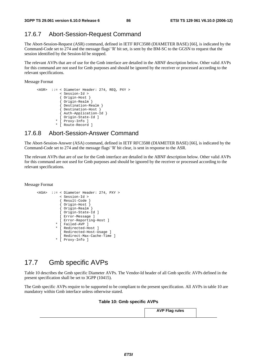### 17.6.7 Abort-Session-Request Command

The Abort-Session-Request (ASR) command, defined in IETF RFC3588 (DIAMETER BASE) [66], is indicated by the Command-Code set to 274 and the message flags' 'R' bit set, is sent by the BM-SC to the GGSN to request that the session identified by the Session-Id be stopped.

The relevant AVPs that are of use for the Gmb interface are detailed in the ABNF description below. Other valid AVPs for this command are not used for Gmb purposes and should be ignored by the receiver or processed according to the relevant specifications.

#### Message Format

```
 <ASR> ::= < Diameter Header: 274, REQ, PXY > 
                < Session-Id > 
                { Origin-Host } 
                { Origin-Realm } 
                { Destination-Realm } 
{ Destination-Host } 
{ Auth-Application-Id } 
                [ Origin-State-Id ] 
              [ Proxy-Info ]
              * [ Route-Record ]
```
### 17.6.8 Abort-Session-Answer Command

The Abort-Session-Answer (ASA) command, defined in IETF RFC3588 (DIAMETER BASE) [66], is indicated by the Command-Code set to 274 and the message flags' 'R' bit clear, is sent in response to the ASR.

The relevant AVPs that are of use for the Gmb interface are detailed in the ABNF description below. Other valid AVPs for this command are not used for Gmb purposes and should be ignored by the receiver or processed according to the relevant specifications.

Message Format

```
 <ASA> ::= < Diameter Header: 274, PXY > 
           < Session-Id > 
            { Result-Code } 
            { Origin-Host } 
            { Origin-Realm } 
            [ Origin-State-Id ] 
            [ Error-Message ] 
           [ Error-Reporting-Host ] 
          * [ Failed-AVP ] 
          * [ Redirected-Host ] 
           [ Redirected-Host-Usage ] 
            [ Redirect-Max-Cache-Time ] 
          * [ Proxy-Info ]
```
# 17.7 Gmb specific AVPs

Table 10 describes the Gmb specific Diameter AVPs. The Vendor-Id header of all Gmb specific AVPs defined in the present specification shall be set to 3GPP (10415).

The Gmb specific AVPs require to be supported to be compliant to the present specification. All AVPs in table 10 are mandatory within Gmb interface unless otherwise stated.

#### **Table 10: Gmb specific AVPs**

| AVP Flag rules |  |
|----------------|--|
|                |  |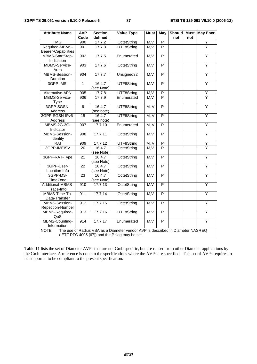| <b>Attribute Name</b>                           | <b>AVP</b>       | <b>Section</b>        | <b>Value Type</b>                                                              | <b>Must</b>      | <b>May</b>              | <b>Should</b> |     | Must May Encr.          |
|-------------------------------------------------|------------------|-----------------------|--------------------------------------------------------------------------------|------------------|-------------------------|---------------|-----|-------------------------|
|                                                 | Code             | defined               |                                                                                |                  |                         | not           | not |                         |
| <b>TMGI</b>                                     | 900              | 17.7.2                | OctetString                                                                    | M, V             | P                       |               |     | Y                       |
| Required-MBMS-                                  | 901              | 17.7.3                | UTF8String                                                                     | M, V             | P                       |               |     | Ÿ                       |
| <b>Bearer-Capabilities</b>                      |                  |                       |                                                                                |                  |                         |               |     |                         |
| MBMS-StartStop-                                 | $\overline{902}$ | 17.7.5                | Enumerated                                                                     | M, V             | P                       |               |     | Ÿ                       |
| Indication                                      |                  |                       |                                                                                |                  |                         |               |     |                         |
| MBMS-Service-                                   | 903              | 17.7.6                | OctetString                                                                    | M, V             | P                       |               |     | Ÿ                       |
| Area<br>MBMS-Session-                           | 904              | 17.7.7                | Unsigned32                                                                     | M, V             | $\overline{\mathsf{P}}$ |               |     | Ÿ                       |
| Duration                                        |                  |                       |                                                                                |                  |                         |               |     |                         |
| 3GPP-IMSI                                       | 1                | 16.4.7                | UTF8String                                                                     | M.V              | P                       |               |     | Ÿ                       |
|                                                 |                  | (see Note)            |                                                                                |                  |                         |               |     |                         |
| Alternative-APN                                 | $\overline{905}$ | 17.7.8                | UTF8String                                                                     | M, V             | $\overline{P}$          |               |     | Y                       |
| MBMS-Service-                                   | 906              | 17.7.9                | Enumerated                                                                     | M, V             | P                       |               |     | Υ                       |
| <b>Type</b>                                     |                  |                       |                                                                                |                  |                         |               |     |                         |
| 3GPP-SGSN-                                      | 6                | 16.4.7                | UTF8String                                                                     | M, V             | $\overline{P}$          |               |     | Y                       |
| Address                                         |                  | (see note)            |                                                                                |                  |                         |               |     |                         |
| 3GPP-SGSN-IPv6-                                 | $\overline{15}$  | 16.4.7                | UTF8String                                                                     | M, V             | $\overline{P}$          |               |     | Ÿ                       |
| Address                                         |                  | (see note)            |                                                                                |                  |                         |               |     |                         |
| <b>MBMS-2G-3G-</b>                              | 907              | 17.7.10               | Enumerated                                                                     | M, V             | P                       |               |     | Υ                       |
| Indicator                                       |                  |                       |                                                                                |                  |                         |               |     |                         |
| MBMS-Session-                                   | $\overline{908}$ | 17.7.11               | OctetString                                                                    | M.V              | $\overline{P}$          |               |     | Ÿ                       |
| Identity                                        |                  |                       |                                                                                |                  |                         |               |     |                         |
| RAI                                             | 909              | 17.7.12               | UTF8String                                                                     | M, V             | P                       |               |     | Υ                       |
| 3GPP-IMEISV                                     | 20               | 16.4.7                | OctetString                                                                    | M.V              | P                       |               |     | $\overline{\mathsf{Y}}$ |
|                                                 |                  | (see Note)            |                                                                                |                  |                         |               |     |                         |
| 3GPP-RAT-Type                                   | 21               | 16.4.7                | OctetString                                                                    | M, V             | $\overline{P}$          |               |     | Υ                       |
|                                                 |                  | (see Note)            |                                                                                |                  |                         |               |     |                         |
| 3GPP-User-                                      | 22               | 16.4.7                | OctetString                                                                    | M, V             | $\overline{P}$          |               |     | Ÿ                       |
| Location-Info                                   |                  | (see Note)            |                                                                                |                  |                         |               |     |                         |
| 3GPP-MS-<br>TimeZone                            | 23               | 16.4.7                | OctetString                                                                    | M, V             | $\overline{P}$          |               |     | Y                       |
| Additional-MBMS-                                | 910              | (see Note)<br>17.7.13 | OctetString                                                                    | M, V             | $\overline{\mathsf{P}}$ |               |     | Ÿ                       |
| Trace-Info                                      |                  |                       |                                                                                |                  |                         |               |     |                         |
| MBMS-Time-To-                                   | 911              | 17.7.14               | OctetString                                                                    | M, V             | $\overline{P}$          |               |     | Ÿ                       |
| Data-Transfer                                   |                  |                       |                                                                                |                  |                         |               |     |                         |
| MBMS-Session-                                   | $\overline{912}$ | 17.7.15               | OctetString                                                                    | $\overline{M.V}$ | P                       |               |     | Ÿ                       |
| Repetition-Number                               |                  |                       |                                                                                |                  |                         |               |     |                         |
| MBMS-Required-                                  | $\overline{913}$ | 17.7.16               | UTF8String                                                                     | M.V              | $\overline{P}$          |               |     | Ÿ                       |
| QoS                                             |                  |                       |                                                                                |                  |                         |               |     |                         |
| MBMS-Counting-                                  | 914              | 17.7.17               | Enumerated                                                                     | M.V              | P                       |               |     | Y                       |
| Information                                     |                  |                       |                                                                                |                  |                         |               |     |                         |
| NOTE:                                           |                  |                       | The use of Radius VSA as a Diameter vendor AVP is described in Diameter NASREQ |                  |                         |               |     |                         |
| (IETF RFC 4005 [67]) and the P flag may be set. |                  |                       |                                                                                |                  |                         |               |     |                         |

Table 11 lists the set of Diameter AVPs that are not Gmb specific, but are reused from other Diameter applications by the Gmb interface. A reference is done to the specifications where the AVPs are specified. This set of AVPs requires to be supported to be compliant to the present specification.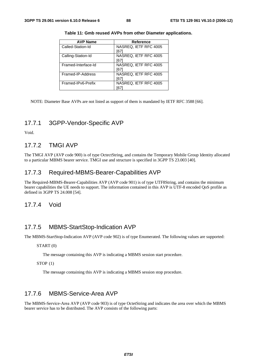| <b>AVP Name</b>     | Reference                   |
|---------------------|-----------------------------|
| Called-Station-Id   | NASREQ, IETF RFC 4005<br>67 |
| Calling-Station-Id  | NASREQ, IETF RFC 4005<br>67 |
| Framed-Interface-Id | NASREQ, IETF RFC 4005<br>67 |
| Framed-IP-Address   | NASREQ, IETF RFC 4005       |
| Framed-IPv6-Prefix  | NASREQ, IETF RFC 4005       |

**Table 11: Gmb reused AVPs from other Diameter applications.** 

NOTE: Diameter Base AVPs are not listed as support of them is mandated by IETF RFC 3588 [66].

# 17.7.1 3GPP-Vendor-Specific AVP

Void.

# 17.7.2 TMGI AVP

The TMGI AVP (AVP code 900) is of type OctectString, and contains the Temporary Mobile Group Identity allocated to a particular MBMS bearer service. TMGI use and structure is specified in 3GPP TS 23.003 [40].

# 17.7.3 Required-MBMS-Bearer-Capabilities AVP

The Required-MBMS-Bearer-Capabilities AVP (AVP code 901) is of type UTF8String, and contains the minimum bearer capabilities the UE needs to support. The information contained in this AVP is UTF-8 encoded QoS profile as defined in 3GPP TS 24.008 [54].

### 17.7.4 Void

# 17.7.5 MBMS-StartStop-Indication AVP

The MBMS-StartStop-Indication AVP (AVP code 902) is of type Enumerated. The following values are supported:

#### START (0)

The message containing this AVP is indicating a MBMS session start procedure.

#### STOP (1)

The message containing this AVP is indicating a MBMS session stop procedure.

# 17.7.6 MBMS-Service-Area AVP

The MBMS-Service-Area AVP (AVP code 903) is of type OctetString and indicates the area over which the MBMS bearer service has to be distributed. The AVP consists of the following parts: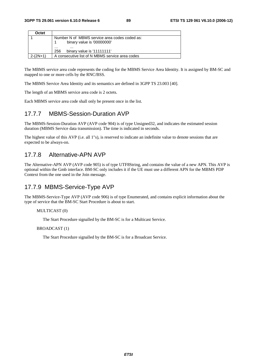| Octet      |                                                 |  |  |  |  |  |  |
|------------|-------------------------------------------------|--|--|--|--|--|--|
|            | Number N of MBMS service area codes coded as:   |  |  |  |  |  |  |
|            | binary value is '00000000'                      |  |  |  |  |  |  |
|            | .<br>                                           |  |  |  |  |  |  |
|            | binary value is '11111111'<br>256               |  |  |  |  |  |  |
| $2-(2N+1)$ | A consecutive list of N MBMS service area codes |  |  |  |  |  |  |

The MBMS service area code represents the coding for the MBMS Service Area Identity. It is assigned by BM-SC and mapped to one or more cells by the RNC/BSS.

The MBMS Service Area Identity and its semantics are defined in 3GPP TS 23.003 [40].

The length of an MBMS service area code is 2 octets.

Each MBMS service area code shall only be present once in the list.

# 17.7.7 MBMS-Session-Duration AVP

The MBMS-Session-Duration AVP (AVP code 904) is of type Unsigned32, and indicates the estimated session duration (MBMS Service data transmission). The time is indicated in seconds.

The highest value of this AVP (i.e. all 1"s), is reserved to indicate an indefinite value to denote sessions that are expected to be always-on.

# 17.7.8 Alternative-APN AVP

The Alternative-APN AVP (AVP code 905) is of type UTF8String, and contains the value of a new APN. This AVP is optional within the Gmb interface. BM-SC only includes it if the UE must use a different APN for the MBMS PDP Context from the one used in the Join message.

# 17.7.9 MBMS-Service-Type AVP

The MBMS-Service-Type AVP (AVP code 906) is of type Enumerated, and contains explicit information about the type of service that the BM-SC Start Procedure is about to start.

#### MULTICAST (0)

The Start Procedure signalled by the BM-SC is for a Multicast Service.

BROADCAST (1)

The Start Procedure signalled by the BM-SC is for a Broadcast Service.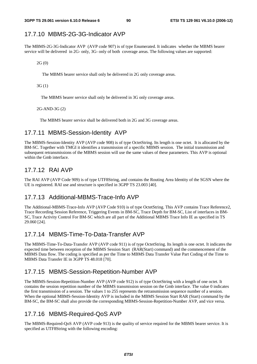# 17.7.10 MBMS-2G-3G-Indicator AVP

The MBMS-2G-3G-Indicator AVP (AVP code 907) is of type Enumerated. It indicates whether the MBMS bearer service will be delivered in 2G- only, 3G- only of both coverage areas. The following values are supported:

2G (0)

The MBMS bearer service shall only be delivered in 2G only coverage areas.

3G (1)

The MBMS bearer service shall only be delivered in 3G only coverage areas.

2G-AND-3G (2)

The MBMS bearer service shall be delivered both in 2G and 3G coverage areas.

## 17.7.11 MBMS-Session-Identity AVP

The MBMS-Session-Identity AVP (AVP code 908) is of type OctetString. Its length is one octet. It is allocated by the BM-SC. Together with TMGI it identifies a transmission of a specific MBMS session. The initial transmission and subsequent retransmissions of the MBMS session will use the same values of these parameters. This AVP is optional within the Gmb interface.

# 17.7.12 RAI AVP

The RAI AVP (AVP Code 909) is of type UTF8String, and contains the Routing Area Identity of the SGSN where the UE is registered. RAI use and structure is specified in 3GPP TS 23.003 [40].

## 17.7.13 Additional-MBMS-Trace-Info AVP

The Additional-MBMS-Trace-Info AVP (AVP Code 910) is of type OctetString. This AVP contains Trace Reference2, Trace Recording Session Reference, Triggering Events in BM-SC, Trace Depth for BM-SC, List of interfaces in BM-SC, Trace Activity Control For BM-SC which are all part of the Additional MBMS Trace Info IE as specified in TS 29.060 [24].

# 17.7.14 MBMS-Time-To-Data-Transfer AVP

The MBMS-Time-To-Data-Transfer AVP (AVP code 911) is of type OctetString. Its length is one octet. It indicates the expected time between reception of the MBMS Session Start (RAR(Start) command) and the commencement of the MBMS Data flow. The coding is specified as per the Time to MBMS Data Transfer Value Part Coding of the Time to MBMS Data Transfer IE in 3GPP TS 48.018 [70].

## 17.7.15 MBMS-Session-Repetition-Number AVP

The MBMS-Session-Repetition-Number AVP (AVP code 912) is of type OctetString with a length of one octet. It contains the session repetition number of the MBMS transmission session on the Gmb interface. The value 0 indicates the first transmission of a session. The values 1 to 255 represents the retransmission sequence number of a session. When the optional MBMS-Session-Identity AVP is included in the MBMS Session Start RAR (Start) command by the BM-SC, the BM-SC shall also provide the corresponding MBMS-Session-Repetition-Number AVP, and vice versa.

# 17.7.16 MBMS-Required-QoS AVP

The MBMS-Required-QoS AVP (AVP code 913) is the quality of service required for the MBMS bearer service. It is specified as UTF8String with the following encoding: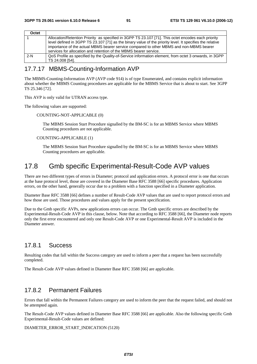| Octet |                                                                                                                                                                                                                                                                                                                                                                                  |
|-------|----------------------------------------------------------------------------------------------------------------------------------------------------------------------------------------------------------------------------------------------------------------------------------------------------------------------------------------------------------------------------------|
|       | Allocation/Retention Priority as specified in 3GPP TS 23.107 [71]. This octet encodes each priority<br>level defined in 3GPP TS 23.107 [71] as the binary value of the priority level. It specifies the relative<br>importance of the actual MBMS bearer service compared to other MBMS and non-MBMS bearer<br>services for allocation and retention of the MBMS bearer service. |
| $2-N$ | QoS Profile as specified by the Quality-of-Service information element, from octet 3 onwards, in 3GPP<br>TS 24.008 [54].                                                                                                                                                                                                                                                         |

### 17.7.17 MBMS-Counting-Information AVP

The MBMS-Counting-Information AVP (AVP code 914) is of type Enumerated, and contains explicit information about whether the MBMS Counting procedures are applicable for the MBMS Service that is about to start. See 3GPP TS 25.346 [72].

This AVP is only valid for UTRAN access type.

The following values are supported:

#### COUNTING-NOT-APPLICABLE (0)

The MBMS Session Start Procedure signalled by the BM-SC is for an MBMS Service where MBMS Counting procedures are not applicable.

#### COUNTING-APPLICABLE (1)

The MBMS Session Start Procedure signalled by the BM-SC is for an MBMS Service where MBMS Counting procedures are applicable.

# 17.8 Gmb specific Experimental-Result-Code AVP values

There are two different types of errors in Diameter; protocol and application errors. A protocol error is one that occurs at the base protocol level, those are covered in the Diameter Base RFC 3588 [66] specific procedures. Application errors, on the other hand, generally occur due to a problem with a function specified in a Diameter application.

Diameter Base RFC 3588 [66] defines a number of Result-Code AVP values that are used to report protocol errors and how those are used. Those procedures and values apply for the present specification.

Due to the Gmb specific AVPs, new applications errors can occur. The Gmb specific errors are described by the Experimental-Result-Code AVP in this clause, below. Note that according to RFC 3588 [66], the Diameter node reports only the first error encountered and only one Result-Code AVP or one Experimental-Result AVP is included in the Diameter answer.

### 17.8.1 Success

Resulting codes that fall within the Success category are used to inform a peer that a request has been successfully completed.

The Result-Code AVP values defined in Diameter Base RFC 3588 [66] are applicable.

# 17.8.2 Permanent Failures

Errors that fall within the Permanent Failures category are used to inform the peer that the request failed, and should not be attempted again.

The Result-Code AVP values defined in Diameter Base RFC 3588 [66] are applicable. Also the following specific Gmb Experimental-Result-Code values are defined:

DIAMETER\_ERROR\_START\_INDICATION (5120)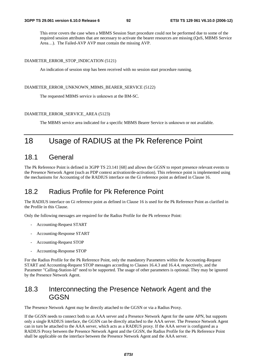This error covers the case when a MBMS Session Start procedure could not be performed due to some of the required session attributes that are necessary to activate the bearer resources are missing (QoS, MBMS Service Area…). The Failed-AVP AVP must contain the missing AVP.

#### DIAMETER\_ERROR\_STOP\_INDICATION (5121)

An indication of session stop has been received with no session start procedure running.

#### DIAMETER\_ERROR\_UNKNOWN\_MBMS\_BEARER\_SERVICE (5122)

The requested MBMS service is unknown at the BM-SC.

#### DIAMETER\_ERROR\_SERVICE\_AREA (5123)

The MBMS service area indicated for a specific MBMS Bearer Service is unknown or not available.

# 18 Usage of RADIUS at the Pk Reference Point

# 18.1 General

The Pk Reference Point is defined in 3GPP TS 23.141 [68] and allows the GGSN to report presence relevant events to the Presence Network Agent (such as PDP context activation/de-activation). This reference point is implemented using the mechanisms for Accounting of the RADIUS interface on the Gi reference point as defined in Clause 16.

# 18.2 Radius Profile for Pk Reference Point

The RADIUS interface on Gi reference point as defined in Clause 16 is used for the Pk Reference Point as clarified in the Profile in this Clause.

Only the following messages are required for the Radius Profile for the Pk reference Point:

- Accounting-Request START
- Accounting-Response START
- Accounting-Request STOP
- Accounting-Response STOP

For the Radius Profile for the Pk Reference Point, only the mandatory Parameters within the Accounting-Request START and Accounting-Request STOP messages according to Clauses 16.4.3 and 16.4.4, respectively, and the Parameter "Calling-Station-Id" need to be supported. The usage of other parameters is optional. They may be ignored by the Presence Network Agent.

# 18.3 Interconnecting the Presence Network Agent and the GGSN

The Presence Network Agent may be directly attached to the GGSN or via a Radius Proxy.

If the GGSN needs to connect both to an AAA server and a Presence Network Agent for the same APN, but supports only a single RADIUS interface, the GGSN can be directly attached to the AAA server. The Presence Network Agent can in turn be attached to the AAA server, which acts as a RADIUS proxy. If the AAA server is configured as a RADIUS Proxy between the Presence Network Agent and the GGSN, the Radius Profile for the Pk Reference Point shall be applicable on the interface between the Presence Network Agent and the AAA server.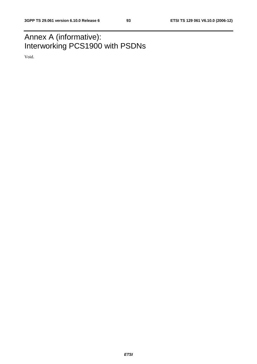# Annex A (informative): Interworking PCS1900 with PSDNs

Void.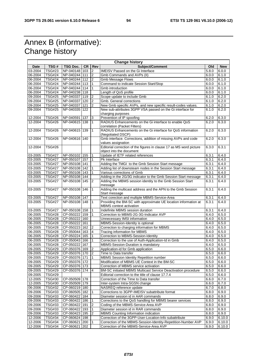# Annex B (informative): Change history

 $\mathbf{r}$ 

| <b>Change history</b> |                                |                 |     |                         |                                                                           |                |            |
|-----------------------|--------------------------------|-----------------|-----|-------------------------|---------------------------------------------------------------------------|----------------|------------|
| Date                  | TSG#                           | <b>TSG Doc.</b> | CR. | Rev                     | <b>Subject/Comment</b>                                                    | Old            | <b>New</b> |
| 03-2004               | <b>TSG#23</b>                  | NP-040148       | 103 | $\overline{2}$          | <b>IMEISV Passed on the Gi Interface</b>                                  | 5.8.0          | 6.0.0      |
| 06-2004               | <b>TSG#24</b>                  | NP-040244 111   |     | $\overline{2}$          | Gmb Commands and AVPs (II)                                                | 6.0.0          | 6.1.0      |
| 06-2004               | <b>TSG#24</b>                  | NP-040244 112   |     | $\overline{\mathbf{c}}$ | <b>Gmb Message Flows</b>                                                  |                | 6.1.0      |
| 06-2004               | <b>TSG#24</b>                  | NP-040244 113   |     | 1                       | Command to indicate Session Start/Stop                                    |                | 6.1.0      |
| 06-2004               | <b>TSG#24</b>                  | NP-040244 114   |     | $\mathbf{1}$            | Gmb introduction                                                          | 6.0.0          | 6.1.0      |
| 06-2004               | <b>TSG#24</b>                  | NP-040238       | 118 |                         | Length of QoS profile                                                     | 6.0.0          | 6.1.0      |
| 09-2004               | <b>TSG#25</b>                  | NP-040337       | 119 | $\overline{2}$          | Scope update to include Gmb                                               | 6.1.0          | 6.2.0      |
| 09-2004               | <b>TSG#25</b>                  | NP-040337 120   |     | $\overline{2}$          | Gmb. General corrections                                                  | 6.1.0          | 6.2.0      |
| 09-2004               | <b>TSG#25</b>                  | NP-040337 121   |     | $\overline{2}$          | New Gmb specific AVPs, and new specific result-codes values.              | 6.1.0          | 6.2.0      |
| 09-2004               | <b>TSG#25</b>                  | NP-040335 122   |     |                         | New sub-attributes 3GPP VSA passed on the Gi interface for                | 6.1.0          | 6.2.0      |
|                       |                                |                 |     |                         | charging purposes                                                         |                |            |
| 12-2004               | <b>TSG#26</b>                  | NP-040591 137   |     | 3                       | Prevention of IP spoofing                                                 | 6.2.0          | 6.3.0      |
| 12-2004               | <b>TSG#26</b>                  | NP-040615 138   |     | $\mathbf{1}$            | RADIUS Enhancements on the Gi interface to enable QoS                     | 6.2.0          | 6.3.0      |
|                       |                                |                 |     |                         | correlation (Packet Filters)                                              |                |            |
| 12-2004               | <b>TSG#26</b>                  | NP-040615   139 |     | 1                       | RADIUS Enhancements on the Gi interface for QoS information               | 6.2.0          | 6.3.0      |
|                       |                                |                 |     |                         | (Negotiated DSCP)                                                         |                |            |
| 12-2004               | <b>TSG#26</b>                  | NP-040616 140   |     |                         | Gmb interface. Corrections, addition of missing AVPs and code             | 6.2.0          | 6.3.0      |
|                       |                                |                 |     |                         | values assignation                                                        |                |            |
| 12-2004               | <b>TSG#26</b>                  |                 |     |                         | Editorial correction of the figures in clause 17 as MS word picture       | 6.3.0          | 6.3.1      |
|                       |                                |                 |     |                         | object into the document                                                  |                |            |
| 03-2005               | <b>TSG#27</b>                  | NP-050102       | 155 | 1                       | Update of IETF related references                                         | 6.3.1          | 6.4.0      |
| 03-2005               | <b>TSG#27</b>                  | NP-050107 157   |     | 1                       | Pk Interface                                                              | 6.3.1          | 6.4.0      |
| 03-2005               | <b>TSG#27</b>                  | NP-050108 141   |     |                         | Adding the TMGI to the Gmb Session Start message                          | 6.3.1          | 6.4.0      |
| 03-2005               | <b>TSG#27</b>                  | NP-050108 142   |     | 1                       | Adding list of downsteam nodes in the Session Start message               | 6.3.1          | 6.4.0      |
| 03-2005               | <b>TSG#27</b>                  | NP-050108 143   |     | 1                       | Various corrections of Gmb                                                | 6.3.1          | 6.4.0      |
| 03-2005               | <b>TSG#27</b>                  | NP-050108 144   |     |                         | Adding in the 2G/3G indicator to the Gmb Session Start message            | 6.3.1          | 6.4.0      |
| 03-2005               | <b>TSG#27</b>                  | NP-050108 145   |     | $\overline{2}$          | Adding the MBMS session identity to the Gmb Session Start                 | 6.3.1          | 6.4.0      |
|                       |                                |                 |     |                         | message                                                                   |                |            |
| 03-2005               | <b>TSG#27</b>                  | NP-050108 146   |     | $\mathbf{1}$            | Adding the multicast address and the APN to the Gmb Session               | 6.3.1          | 6.4.0      |
|                       |                                |                 |     |                         | Start message                                                             |                |            |
| 03-2005               | <b>TSG#27</b>                  | NP-050108 147   |     |                         | Text corection and multiple MBMS-Service-Area                             | 6.3.1          | 6.4.0      |
| 03-2005               | <b>TSG#27</b>                  | NP-050108 148   |     | $\mathbf{1}$            | Providing the BM-SC with approximate UE location information at           | 6.3.1          | 6.4.0      |
|                       |                                |                 |     |                         | MBMS context activation                                                   |                |            |
| 03-2005               | <b>TSG#27</b>                  | NP-050108 158   |     | 1                       | Indefinite MBMS session duration                                          | 6.3.1          | 6.4.0      |
| 06-2005               | <b>TSG#28</b>                  | CP-050222 159   |     | 1                       | Correction to MBMS-2G-3G-Indicator AVP                                    | 6.4.0          | 6.5.0      |
| 06-2005               | <b>TSG#28</b>                  | CP-050222       | 160 |                         | Unnecessary IMSI information                                              | 6.4.0          | 6.5.0      |
| 06-2005               | <b>TSG#28</b>                  | CP-050222       | 161 |                         | MBMS-Session-Identity is optional                                         | 6.4.0          | 6.5.0      |
| 06-2005               | <b>TSG#28</b>                  | CP-050223       | 162 | 2                       | Correction to charging information for MBMS                               | 6.4.0          | 6.5.0      |
| 06-2005               | <b>TSG#28</b>                  | CP-050044       | 163 | 4                       | Tracing information for MBMS                                              | 6.4.0          | 6.5.0      |
| 06-2005               | <b>TSG#28</b>                  | CP-050224 165   |     | 1                       | Correction to MBMS-Session-Identity                                       | 6.4.0          | 6.5.0      |
| 06-2005               | <b>TSG#28</b>                  | CP-050043       | 166 |                         | Correction to the use of Auth-Application-Id in Gmb                       | 6.4.0          | 6.5.0      |
| 06-2005               | <b>TSG#28</b>                  | CP-050222       | 167 |                         | MBMS-Session-Duration is mandatory                                        | 6.4.0          | 6.5.0      |
| 09-2005               | <b>TSG#29</b>                  | CP-050376 169   |     | $\overline{2}$          | Application-id for Gmb application                                        | 6.5.0          | 6.6.0      |
| 09-2005               | <b>TSG#29</b>                  | CP-050376 170   |     | $\overline{2}$          | Time to Data transfer                                                     | 6.5.0          | 6.6.0      |
| 09-2005               | <b>TSG#29</b>                  | CP-050376 171   |     | $\mathbf{1}$            | MBMS Session Identity Repetition number                                   | 6.5.0          | 6.6.0      |
| 09-2005               | <b>TSG#29</b>                  | CP-050376 172   |     |                         | Modification of MBMS UE Context in the BM-SC                              | 6.5.0          | 6.6.0      |
| 09-2005               | <b>TSG#29</b>                  | CP-050376 173   |     |                         | Correction of MBMS service activation                                     | 6.5.0          | 6.6.0      |
| 09-2005               | <b>TSG#29</b>                  | CP-050376 174   |     | 4                       | BM-SC initiated MBMS Multicast Service Deactivation procedure             | 6.5.0          | 6.6.0      |
| 09-2005               | <b>TSG#29</b>                  |                 |     |                         | Editorial correction to the title of clause 17.7.4                        | 6.5.0          | 6.6.0      |
| 12-2005               | <b>TSG#30</b>                  | CP-050509 178   |     |                         | Correction of the Time to Data transfer                                   | 6.6.0          |            |
|                       |                                | CP-050509 179   |     |                         | Inter-system Intra-SGSN change                                            | 6.6.0          | 6.7.0      |
| 12-2005<br>06-2006    | <b>TSG#30</b>                  | CP-060219 180   |     |                         |                                                                           |                | 6.7.0      |
| 09-2006               | <b>TSG#32</b><br><b>TSG#33</b> | CP-060505 182   |     |                         | NASREQ reference update<br>Corrections to 3GPP-IMEISV subattribute format | 6.7.0<br>6.8.0 | 6.8.0      |
|                       |                                |                 |     | 1                       |                                                                           |                | 6.9.0      |
| 09-2006               | <b>TSG#33</b>                  | CP-060422 184   |     |                         | Diameter session id in AAR commands                                       | 6.8.0          | 6.9.0      |
| 09-2006               | <b>TSG#33</b>                  | CP-060422 186   |     | 1                       | Corrections to the QoS handling for MBMS bearer services                  | 6.8.0          | 6.9.0      |
| 09-2006               | <b>TSG#33</b>                  | CP-060422 191   |     | 2                       | Coding of the MBMS-Service-Area AVP                                       | 6.8.0          | 6.9.0      |
| 09-2006               | <b>TSG#33</b>                  | CP-060422 193   |     | 1                       | Diameter session id in RAR commands                                       | 6.8.0          | 6.9.0      |
| 09-2006               | <b>TSG#33</b>                  | CP-060423 195   |     | 2                       | MBMS Counting Information indication                                      | 6.8.0          | 6.9.0      |
| 12-2006               | <b>TSG#34</b>                  | CP-060624 198   |     |                         | Correction of the 3GPP-User-Location-Info subattribute                    | 6.9.0          | 6.10.0     |
| 12-2006               | <b>TSG#34</b>                  | CP-060621 200   |     | 1                       | Correction of the MBMS-Session-Identity-Repetition-Number AVP             | 6.9.0          | 6.10.0     |
| 12-2006               | <b>TSG#34</b>                  | CP-060621 202   |     |                         | Correction of the MBMS-Service-Area AVP                                   | 6.9.0          | 6.10.0     |